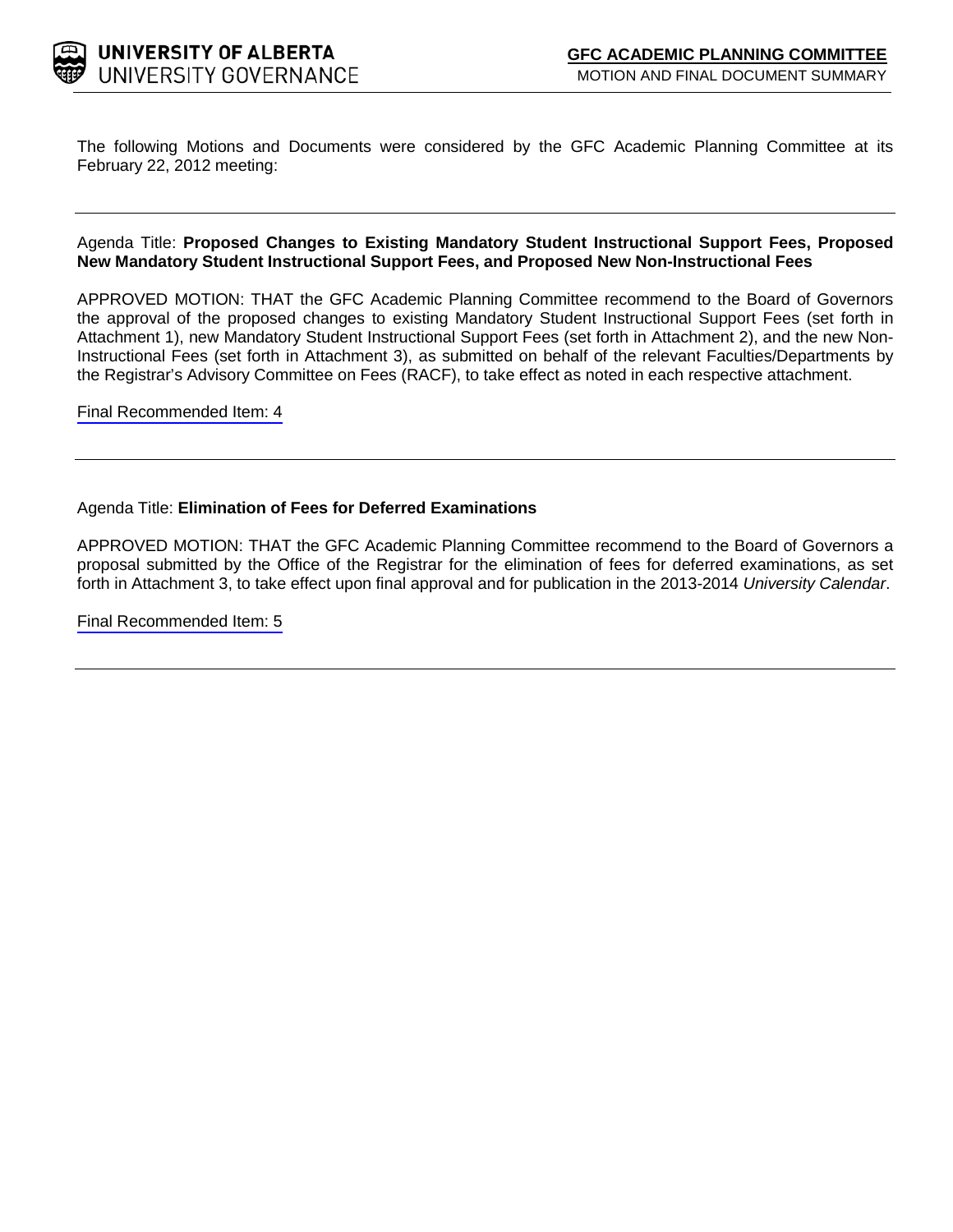

The following Motions and Documents were considered by the GFC Academic Planning Committee at its February 22, 2012 meeting:

#### Agenda Title: **Proposed Changes to Existing Mandatory Student Instructional Support Fees, Proposed New Mandatory Student Instructional Support Fees, and Proposed New Non-Instructional Fees**

APPROVED MOTION: THAT the GFC Academic Planning Committee recommend to the Board of Governors the approval of the proposed changes to existing Mandatory Student Instructional Support Fees (set forth in Attachment 1), new Mandatory Student Instructional Support Fees (set forth in Attachment 2), and the new Non-Instructional Fees (set forth in Attachment 3), as submitted on behalf of the relevant Faculties/Departments by the Registrar's Advisory Committee on Fees (RACF), to take effect as noted in each respective attachment.

[Final Recommended Item:](#page-2-0) 4

#### Agenda Title: **Elimination of Fees for Deferred Examinations**

APPROVED MOTION: THAT the GFC Academic Planning Committee recommend to the Board of Governors a proposal submitted by the Office of the Registrar for the elimination of fees for deferred examinations, as set forth in Attachment 3, to take effect upon final approval and for publication in the 2013-2014 *University Calendar*.

[Final Recommended Item:](#page-48-0) 5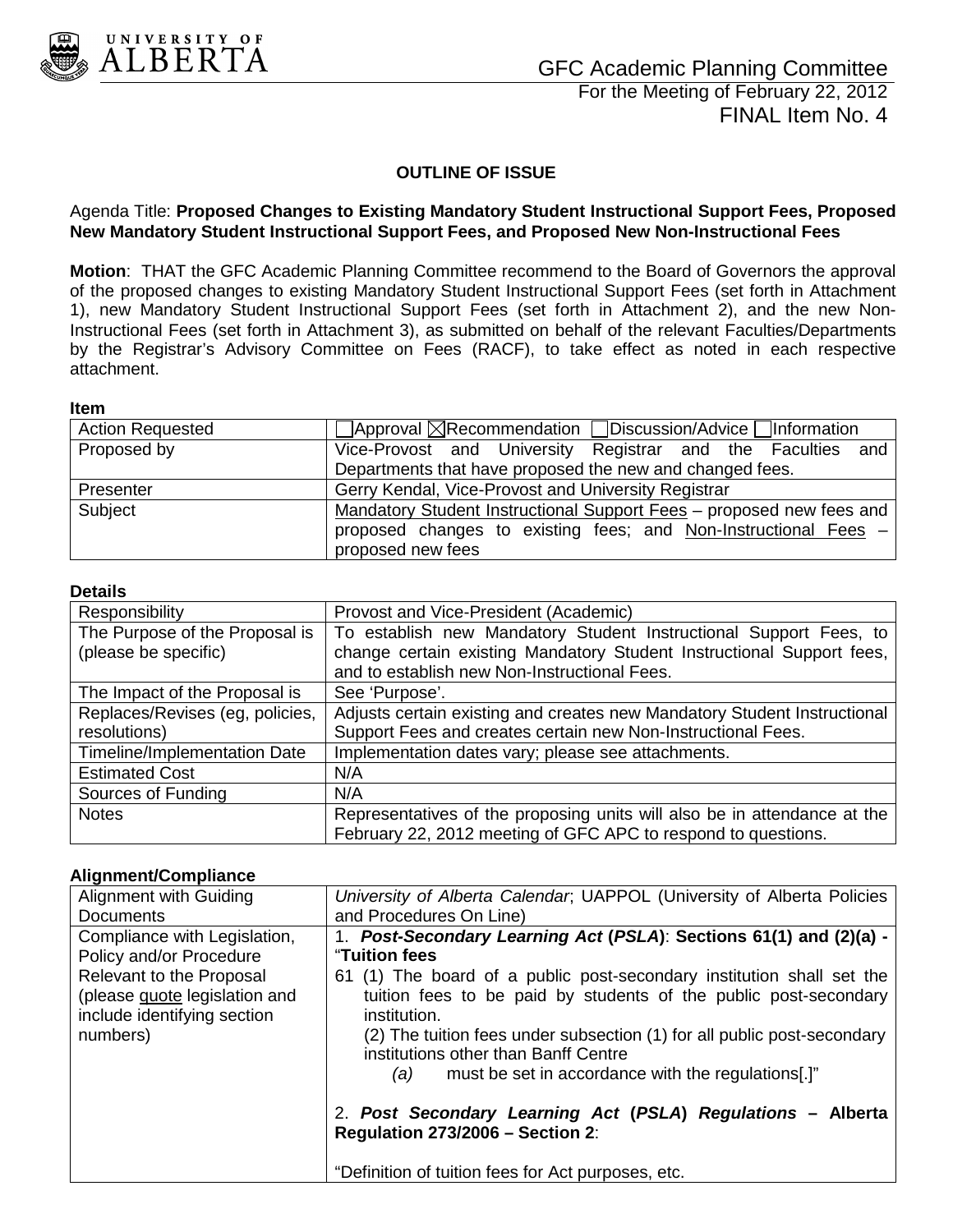<span id="page-2-0"></span>

For the Meeting of February 22, 2012 FINAL Item No. 4

### **OUTLINE OF ISSUE**

#### Agenda Title: **Proposed Changes to Existing Mandatory Student Instructional Support Fees, Proposed New Mandatory Student Instructional Support Fees, and Proposed New Non-Instructional Fees**

**Motion**: THAT the GFC Academic Planning Committee recommend to the Board of Governors the approval of the proposed changes to existing Mandatory Student Instructional Support Fees (set forth in Attachment 1), new Mandatory Student Instructional Support Fees (set forth in Attachment 2), and the new Non-Instructional Fees (set forth in Attachment 3), as submitted on behalf of the relevant Faculties/Departments by the Registrar's Advisory Committee on Fees (RACF), to take effect as noted in each respective attachment.

#### **Item**

| <b>Action Requested</b> | $\Box$ Approval $\boxtimes$ Recommendation $\Box$ Discussion/Advice $\Box$ Information |
|-------------------------|----------------------------------------------------------------------------------------|
| Proposed by             | Vice-Provost and University Registrar and the Faculties and                            |
|                         | Departments that have proposed the new and changed fees.                               |
| Presenter               | Gerry Kendal, Vice-Provost and University Registrar                                    |
| Subject                 | Mandatory Student Instructional Support Fees - proposed new fees and                   |
|                         | proposed changes to existing fees; and Non-Instructional Fees -                        |
|                         | proposed new fees                                                                      |

#### **Details**

| Responsibility                  | Provost and Vice-President (Academic)                                    |
|---------------------------------|--------------------------------------------------------------------------|
| The Purpose of the Proposal is  | To establish new Mandatory Student Instructional Support Fees, to        |
| (please be specific)            | change certain existing Mandatory Student Instructional Support fees,    |
|                                 | and to establish new Non-Instructional Fees.                             |
| The Impact of the Proposal is   | See 'Purpose'.                                                           |
| Replaces/Revises (eg, policies, | Adjusts certain existing and creates new Mandatory Student Instructional |
| resolutions)                    | Support Fees and creates certain new Non-Instructional Fees.             |
| Timeline/Implementation Date    | Implementation dates vary; please see attachments.                       |
| <b>Estimated Cost</b>           | N/A                                                                      |
| Sources of Funding              | N/A                                                                      |
| <b>Notes</b>                    | Representatives of the proposing units will also be in attendance at the |
|                                 | February 22, 2012 meeting of GFC APC to respond to questions.            |

#### **Alignment/Compliance**

| Alignment with Guiding                                                                               | University of Alberta Calendar, UAPPOL (University of Alberta Policies                                                                                                                                                                                                                                                                    |  |
|------------------------------------------------------------------------------------------------------|-------------------------------------------------------------------------------------------------------------------------------------------------------------------------------------------------------------------------------------------------------------------------------------------------------------------------------------------|--|
| <b>Documents</b>                                                                                     | and Procedures On Line)                                                                                                                                                                                                                                                                                                                   |  |
| Compliance with Legislation,                                                                         | 1. Post-Secondary Learning Act (PSLA): Sections 61(1) and (2)(a) -                                                                                                                                                                                                                                                                        |  |
| Policy and/or Procedure                                                                              | "Tuition fees                                                                                                                                                                                                                                                                                                                             |  |
| Relevant to the Proposal<br>(please guote legislation and<br>include identifying section<br>numbers) | 61 (1) The board of a public post-secondary institution shall set the<br>tuition fees to be paid by students of the public post-secondary<br>institution.<br>(2) The tuition fees under subsection (1) for all public post-secondary<br>institutions other than Banff Centre<br>must be set in accordance with the regulations[.]"<br>(a) |  |
|                                                                                                      | 2. Post Secondary Learning Act (PSLA) Regulations - Alberta<br>Regulation 273/2006 - Section 2:<br>"Definition of tuition fees for Act purposes, etc.                                                                                                                                                                                     |  |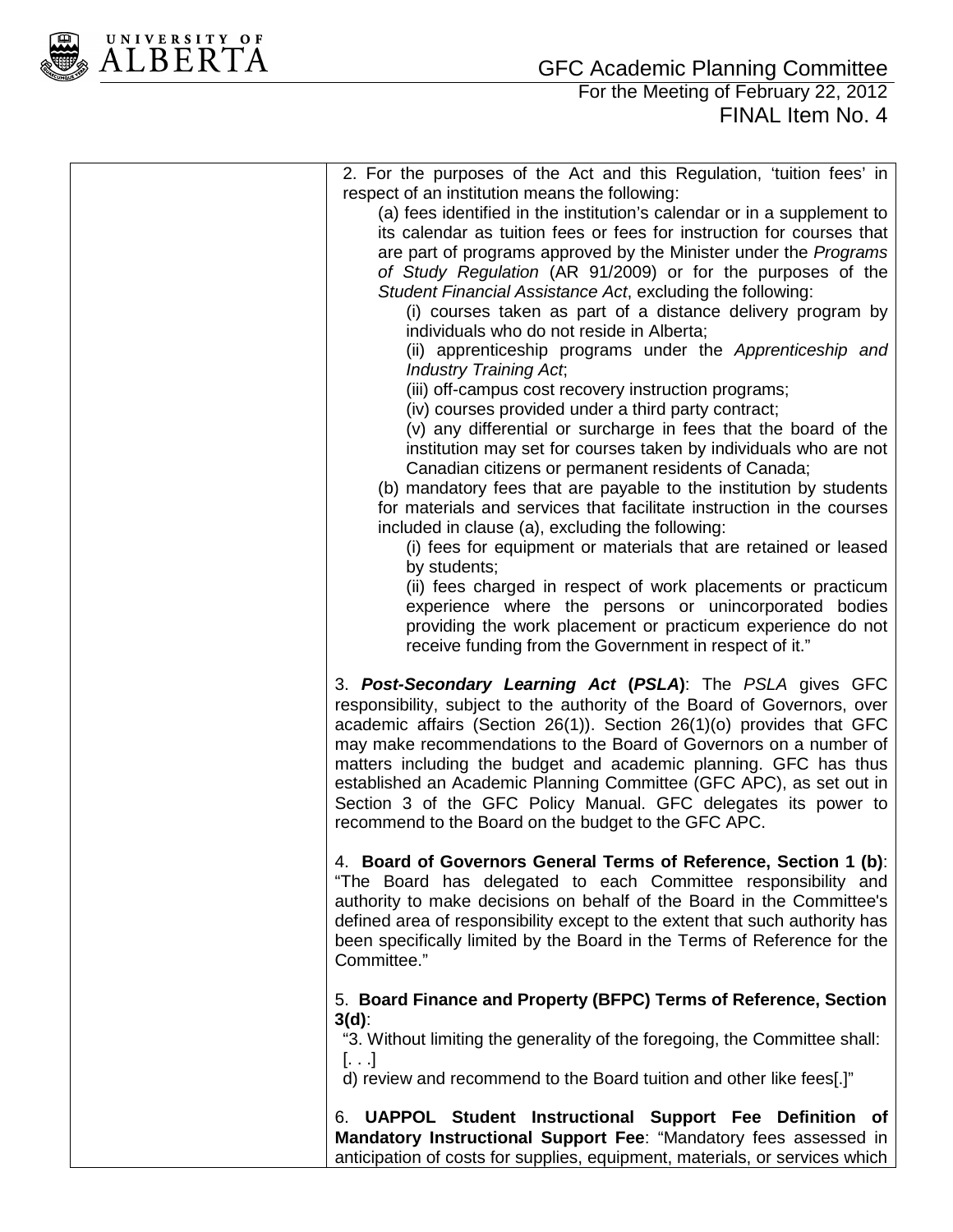

**ALBERTA** 

## For the Meeting of February 22, 2012 FINAL Item No. 4

| 2. For the purposes of the Act and this Regulation, 'tuition fees' in<br>respect of an institution means the following:<br>(a) fees identified in the institution's calendar or in a supplement to<br>its calendar as tuition fees or fees for instruction for courses that<br>are part of programs approved by the Minister under the <i>Programs</i><br>of Study Regulation (AR 91/2009) or for the purposes of the<br>Student Financial Assistance Act, excluding the following:<br>(i) courses taken as part of a distance delivery program by<br>individuals who do not reside in Alberta;<br>(ii) apprenticeship programs under the Apprenticeship and<br><b>Industry Training Act,</b><br>(iii) off-campus cost recovery instruction programs;<br>(iv) courses provided under a third party contract;<br>(v) any differential or surcharge in fees that the board of the<br>institution may set for courses taken by individuals who are not<br>Canadian citizens or permanent residents of Canada;<br>(b) mandatory fees that are payable to the institution by students<br>for materials and services that facilitate instruction in the courses<br>included in clause (a), excluding the following:<br>(i) fees for equipment or materials that are retained or leased<br>by students;<br>(ii) fees charged in respect of work placements or practicum<br>experience where the persons or unincorporated bodies<br>providing the work placement or practicum experience do not<br>receive funding from the Government in respect of it." |
|----------------------------------------------------------------------------------------------------------------------------------------------------------------------------------------------------------------------------------------------------------------------------------------------------------------------------------------------------------------------------------------------------------------------------------------------------------------------------------------------------------------------------------------------------------------------------------------------------------------------------------------------------------------------------------------------------------------------------------------------------------------------------------------------------------------------------------------------------------------------------------------------------------------------------------------------------------------------------------------------------------------------------------------------------------------------------------------------------------------------------------------------------------------------------------------------------------------------------------------------------------------------------------------------------------------------------------------------------------------------------------------------------------------------------------------------------------------------------------------------------------------------------------------------------|
| 3. Post-Secondary Learning Act (PSLA): The PSLA gives GFC<br>responsibility, subject to the authority of the Board of Governors, over<br>academic affairs (Section 26(1)). Section 26(1)(o) provides that GFC<br>may make recommendations to the Board of Governors on a number of<br>matters including the budget and academic planning. GFC has thus<br>established an Academic Planning Committee (GFC APC), as set out in<br>Section 3 of the GFC Policy Manual. GFC delegates its power to<br>recommend to the Board on the budget to the GFC APC.<br>4. Board of Governors General Terms of Reference, Section 1 (b):                                                                                                                                                                                                                                                                                                                                                                                                                                                                                                                                                                                                                                                                                                                                                                                                                                                                                                                        |
| "The Board has delegated to each Committee responsibility and<br>authority to make decisions on behalf of the Board in the Committee's<br>defined area of responsibility except to the extent that such authority has<br>been specifically limited by the Board in the Terms of Reference for the<br>Committee."                                                                                                                                                                                                                                                                                                                                                                                                                                                                                                                                                                                                                                                                                                                                                                                                                                                                                                                                                                                                                                                                                                                                                                                                                                   |
| 5. Board Finance and Property (BFPC) Terms of Reference, Section<br>$3(d)$ :<br>"3. Without limiting the generality of the foregoing, the Committee shall:<br>$\left[ \ldots \right]$<br>d) review and recommend to the Board tuition and other like fees[.]"                                                                                                                                                                                                                                                                                                                                                                                                                                                                                                                                                                                                                                                                                                                                                                                                                                                                                                                                                                                                                                                                                                                                                                                                                                                                                      |
| 6. UAPPOL Student Instructional Support Fee Definition of<br>Mandatory Instructional Support Fee: "Mandatory fees assessed in<br>anticipation of costs for supplies, equipment, materials, or services which                                                                                                                                                                                                                                                                                                                                                                                                                                                                                                                                                                                                                                                                                                                                                                                                                                                                                                                                                                                                                                                                                                                                                                                                                                                                                                                                       |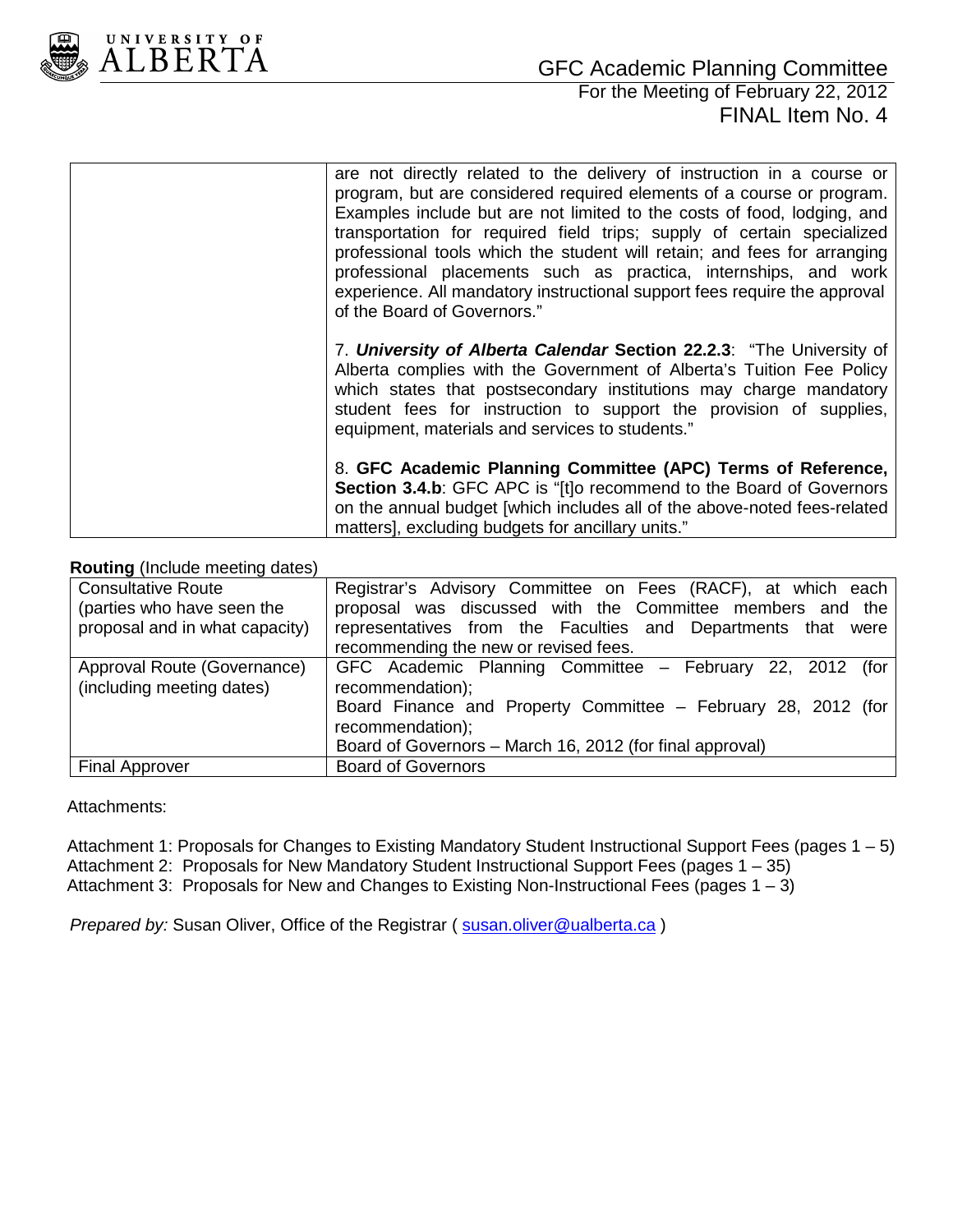

## For the Meeting of February 22, 2012 FINAL Item No. 4

| are not directly related to the delivery of instruction in a course or<br>program, but are considered required elements of a course or program.<br>Examples include but are not limited to the costs of food, lodging, and<br>transportation for required field trips; supply of certain specialized<br>professional tools which the student will retain; and fees for arranging<br>professional placements such as practica, internships, and work<br>experience. All mandatory instructional support fees require the approval<br>of the Board of Governors." |
|-----------------------------------------------------------------------------------------------------------------------------------------------------------------------------------------------------------------------------------------------------------------------------------------------------------------------------------------------------------------------------------------------------------------------------------------------------------------------------------------------------------------------------------------------------------------|
| 7. University of Alberta Calendar Section 22.2.3: "The University of<br>Alberta complies with the Government of Alberta's Tuition Fee Policy<br>which states that postsecondary institutions may charge mandatory<br>student fees for instruction to support the provision of supplies,<br>equipment, materials and services to students."                                                                                                                                                                                                                      |
| 8. GFC Academic Planning Committee (APC) Terms of Reference,<br><b>Section 3.4.b:</b> GFC APC is "[t]o recommend to the Board of Governors<br>on the annual budget [which includes all of the above-noted fees-related<br>matters], excluding budgets for ancillary units."                                                                                                                                                                                                                                                                                     |

### **Routing** (Include meeting dates)

| <b>Consultative Route</b>      | Registrar's Advisory Committee on Fees (RACF), at which each  |
|--------------------------------|---------------------------------------------------------------|
| (parties who have seen the     | proposal was discussed with the Committee members and the     |
| proposal and in what capacity) | representatives from the Faculties and Departments that were  |
|                                | recommending the new or revised fees.                         |
| Approval Route (Governance)    | GFC Academic Planning Committee - February 22, 2012 (for      |
| (including meeting dates)      | recommendation);                                              |
|                                | Board Finance and Property Committee - February 28, 2012 (for |
|                                | recommendation);                                              |
|                                | Board of Governors - March 16, 2012 (for final approval)      |
| <b>Final Approver</b>          | <b>Board of Governors</b>                                     |

#### Attachments:

Attachment 1: Proposals for Changes to Existing Mandatory Student Instructional Support Fees (pages 1 – 5) Attachment 2: Proposals for New Mandatory Student Instructional Support Fees (pages 1 – 35) Attachment 3: Proposals for New and Changes to Existing Non-Instructional Fees (pages  $1 - 3$ )

*Prepared by:* Susan Oliver, Office of the Registrar ( [susan.oliver@ualberta.ca](mailto:susan.oliver@ualberta.ca) )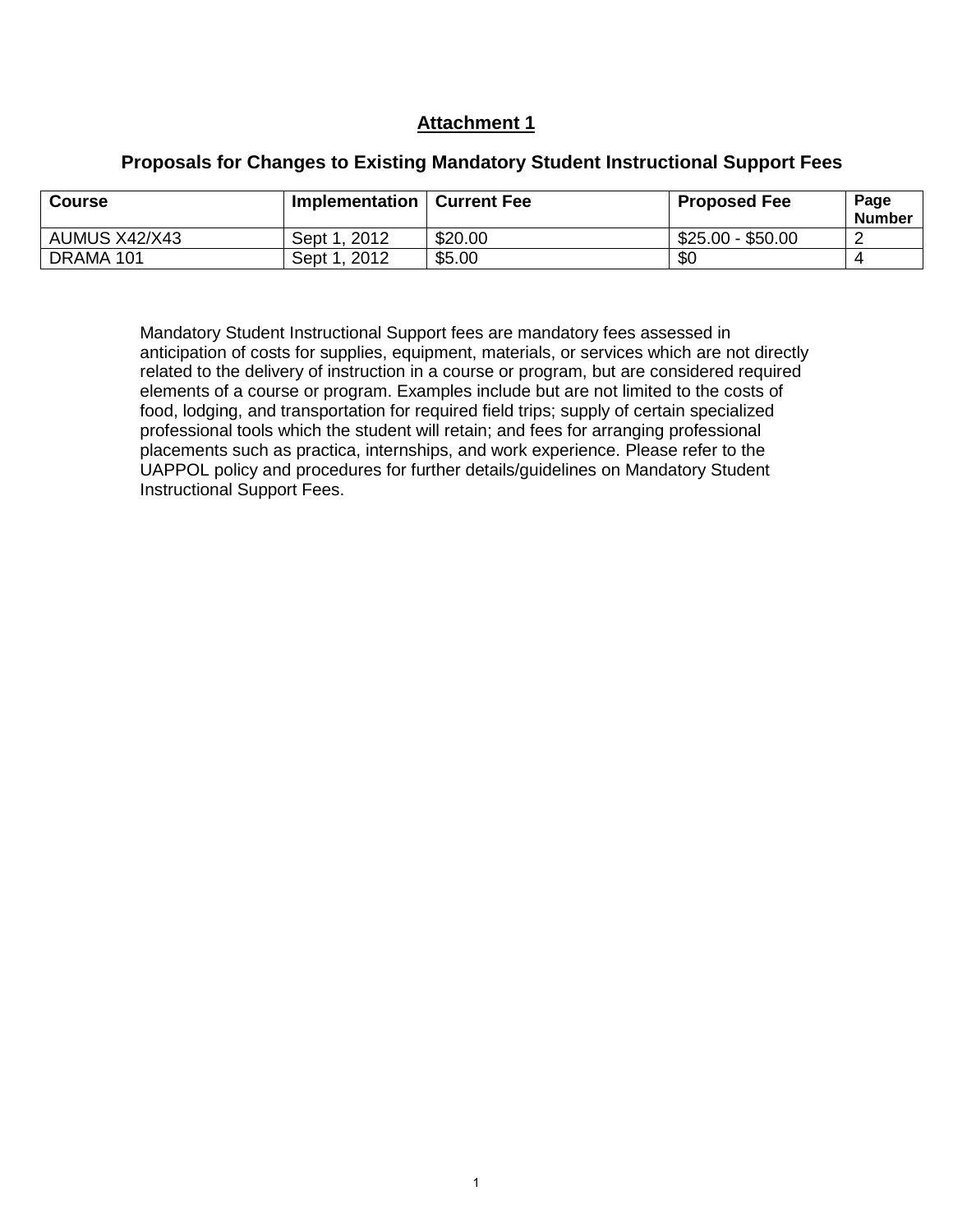### **Attachment 1**

| <b>Course</b> | Implementation  | ∣ Current Fee | <b>Proposed Fee</b> | Page<br><b>Number</b> |
|---------------|-----------------|---------------|---------------------|-----------------------|
| AUMUS X42/X43 | 2012<br>Sept 1. | \$20.00       | $$25.00 - $50.00$   |                       |
| DRAMA 101     | 2012<br>Sept 1  | \$5.00        | \$C                 |                       |

### **Proposals for Changes to Existing Mandatory Student Instructional Support Fees**

Mandatory Student Instructional Support fees are mandatory fees assessed in anticipation of costs for supplies, equipment, materials, or services which are not directly related to the delivery of instruction in a course or program, but are considered required elements of a course or program. Examples include but are not limited to the costs of food, lodging, and transportation for required field trips; supply of certain specialized professional tools which the student will retain; and fees for arranging professional placements such as practica, internships, and work experience. Please refer to the UAPPOL policy and procedures for further details/guidelines on Mandatory Student Instructional Support Fees.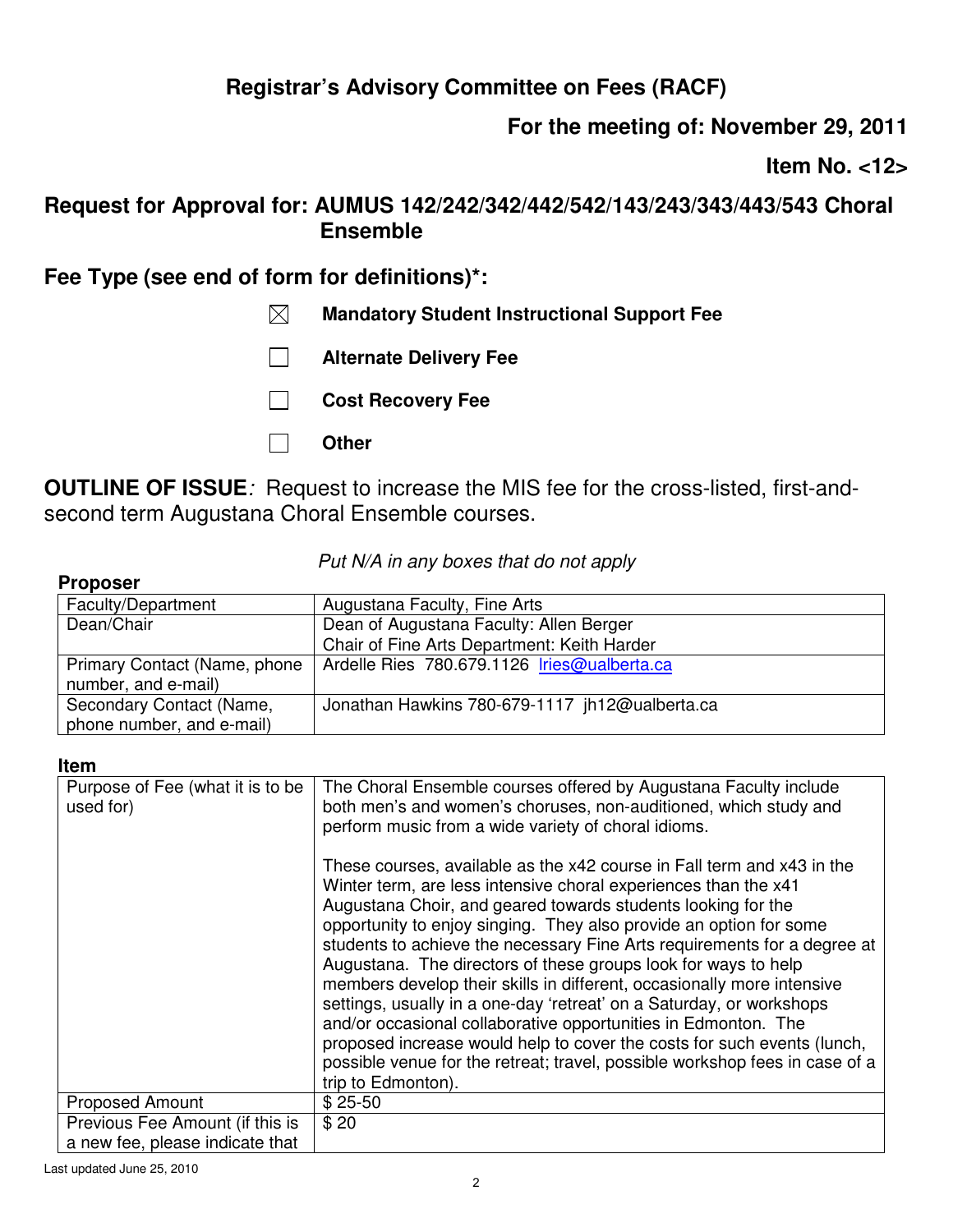# **For the meeting of: November 29, 2011**

**Item No. <12>** 

## **Request for Approval for: AUMUS 142/242/342/442/542/143/243/343/443/543 Choral Ensemble**

## **Fee Type (see end of form for definitions)\*:**

- **Mandatory Student Instructional Support Fee**
- **Alternate Delivery Fee**
- **Cost Recovery Fee**
- **Other**

**OUTLINE OF ISSUE***:* Request to increase the MIS fee for the cross-listed, first-andsecond term Augustana Choral Ensemble courses.

### *Put N/A in any boxes that do not apply*

| <b>Proposer</b>              |                                                |
|------------------------------|------------------------------------------------|
| Faculty/Department           | Augustana Faculty, Fine Arts                   |
| Dean/Chair                   | Dean of Augustana Faculty: Allen Berger        |
|                              | Chair of Fine Arts Department: Keith Harder    |
| Primary Contact (Name, phone | Ardelle Ries 780.679.1126 Iries@ualberta.ca    |
| number, and e-mail)          |                                                |
| Secondary Contact (Name,     | Jonathan Hawkins 780-679-1117 jh12@ualberta.ca |
| phone number, and e-mail)    |                                                |

#### **Item**

| Purpose of Fee (what it is to be<br>used for) | The Choral Ensemble courses offered by Augustana Faculty include<br>both men's and women's choruses, non-auditioned, which study and<br>perform music from a wide variety of choral idioms.                                                                                                                                                                                                                                                                                                                                                                                                                                                                                                                                                                                                                                       |
|-----------------------------------------------|-----------------------------------------------------------------------------------------------------------------------------------------------------------------------------------------------------------------------------------------------------------------------------------------------------------------------------------------------------------------------------------------------------------------------------------------------------------------------------------------------------------------------------------------------------------------------------------------------------------------------------------------------------------------------------------------------------------------------------------------------------------------------------------------------------------------------------------|
|                                               | These courses, available as the x42 course in Fall term and x43 in the<br>Winter term, are less intensive choral experiences than the x41<br>Augustana Choir, and geared towards students looking for the<br>opportunity to enjoy singing. They also provide an option for some<br>students to achieve the necessary Fine Arts requirements for a degree at<br>Augustana. The directors of these groups look for ways to help<br>members develop their skills in different, occasionally more intensive<br>settings, usually in a one-day 'retreat' on a Saturday, or workshops<br>and/or occasional collaborative opportunities in Edmonton. The<br>proposed increase would help to cover the costs for such events (lunch,<br>possible venue for the retreat; travel, possible workshop fees in case of a<br>trip to Edmonton). |
| <b>Proposed Amount</b>                        | $$25-50$                                                                                                                                                                                                                                                                                                                                                                                                                                                                                                                                                                                                                                                                                                                                                                                                                          |
| Previous Fee Amount (if this is               | \$20                                                                                                                                                                                                                                                                                                                                                                                                                                                                                                                                                                                                                                                                                                                                                                                                                              |
| a new fee, please indicate that               |                                                                                                                                                                                                                                                                                                                                                                                                                                                                                                                                                                                                                                                                                                                                                                                                                                   |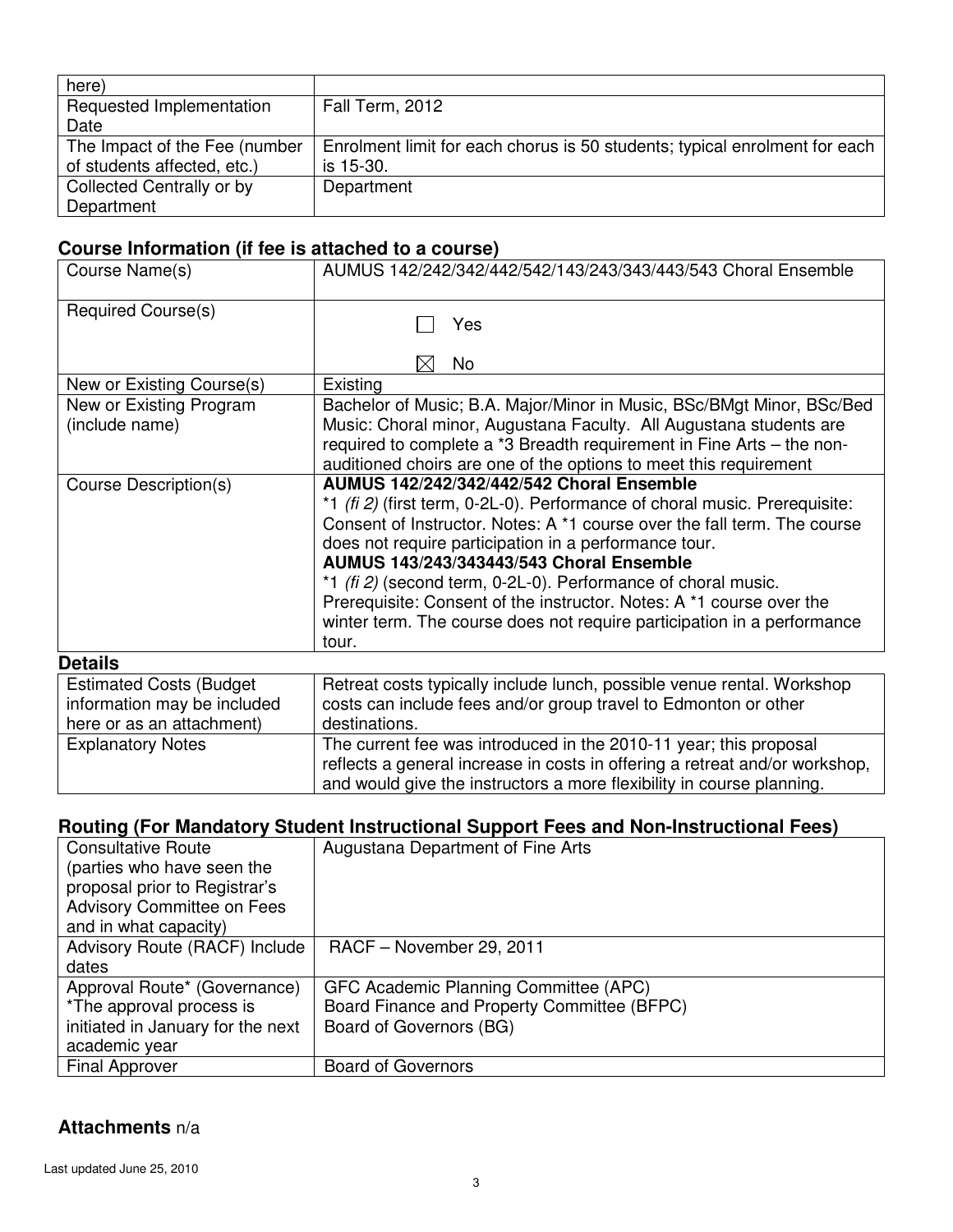| here)                         |                                                                            |
|-------------------------------|----------------------------------------------------------------------------|
| Requested Implementation      | Fall Term, 2012                                                            |
| Date                          |                                                                            |
| The Impact of the Fee (number | Enrolment limit for each chorus is 50 students; typical enrolment for each |
| of students affected, etc.)   | is 15-30.                                                                  |
| Collected Centrally or by     | Department                                                                 |
| Department                    |                                                                            |

## **Course Information (if fee is attached to a course)**

| Course Name(s)                  | AUMUS 142/242/342/442/542/143/243/343/443/543 Choral Ensemble               |
|---------------------------------|-----------------------------------------------------------------------------|
| <b>Required Course(s)</b>       | Yes                                                                         |
|                                 | No<br>$\times$                                                              |
| New or Existing Course(s)       | Existing                                                                    |
| New or Existing Program         | Bachelor of Music; B.A. Major/Minor in Music, BSc/BMgt Minor, BSc/Bed       |
| (include name)                  | Music: Choral minor, Augustana Faculty. All Augustana students are          |
|                                 | required to complete a *3 Breadth requirement in Fine Arts - the non-       |
|                                 | auditioned choirs are one of the options to meet this requirement           |
| Course Description(s)           | AUMUS 142/242/342/442/542 Choral Ensemble                                   |
|                                 | *1 (fi 2) (first term, 0-2L-0). Performance of choral music. Prerequisite:  |
|                                 | Consent of Instructor. Notes: A *1 course over the fall term. The course    |
|                                 | does not require participation in a performance tour.                       |
|                                 | <b>AUMUS 143/243/343443/543 Choral Ensemble</b>                             |
|                                 | *1 (fi 2) (second term, 0-2L-0). Performance of choral music.               |
|                                 | Prerequisite: Consent of the instructor. Notes: A *1 course over the        |
|                                 | winter term. The course does not require participation in a performance     |
|                                 | tour.                                                                       |
| <b>Details</b>                  |                                                                             |
| <b>Estimated Costs (Budget)</b> | Retreat costs typically include lunch, possible venue rental. Workshop      |
| information may be included     | costs can include fees and/or group travel to Edmonton or other             |
| here or as an attachment)       | destinations.                                                               |
| <b>Explanatory Notes</b>        | The current fee was introduced in the 2010-11 year; this proposal           |
|                                 | reflects a general increase in costs in offering a retreat and/or workshop, |
|                                 | and would give the instructors a more flexibility in course planning.       |

### **Routing (For Mandatory Student Instructional Support Fees and Non-Instructional Fees)**

| <b>Consultative Route</b>         | Augustana Department of Fine Arts           |
|-----------------------------------|---------------------------------------------|
| (parties who have seen the        |                                             |
|                                   |                                             |
| proposal prior to Registrar's     |                                             |
| <b>Advisory Committee on Fees</b> |                                             |
| and in what capacity)             |                                             |
| Advisory Route (RACF) Include     | RACF - November 29, 2011                    |
| dates                             |                                             |
| Approval Route* (Governance)      | GFC Academic Planning Committee (APC)       |
| *The approval process is          | Board Finance and Property Committee (BFPC) |
| initiated in January for the next | Board of Governors (BG)                     |
| academic year                     |                                             |
| <b>Final Approver</b>             | <b>Board of Governors</b>                   |

### **Attachments** n/a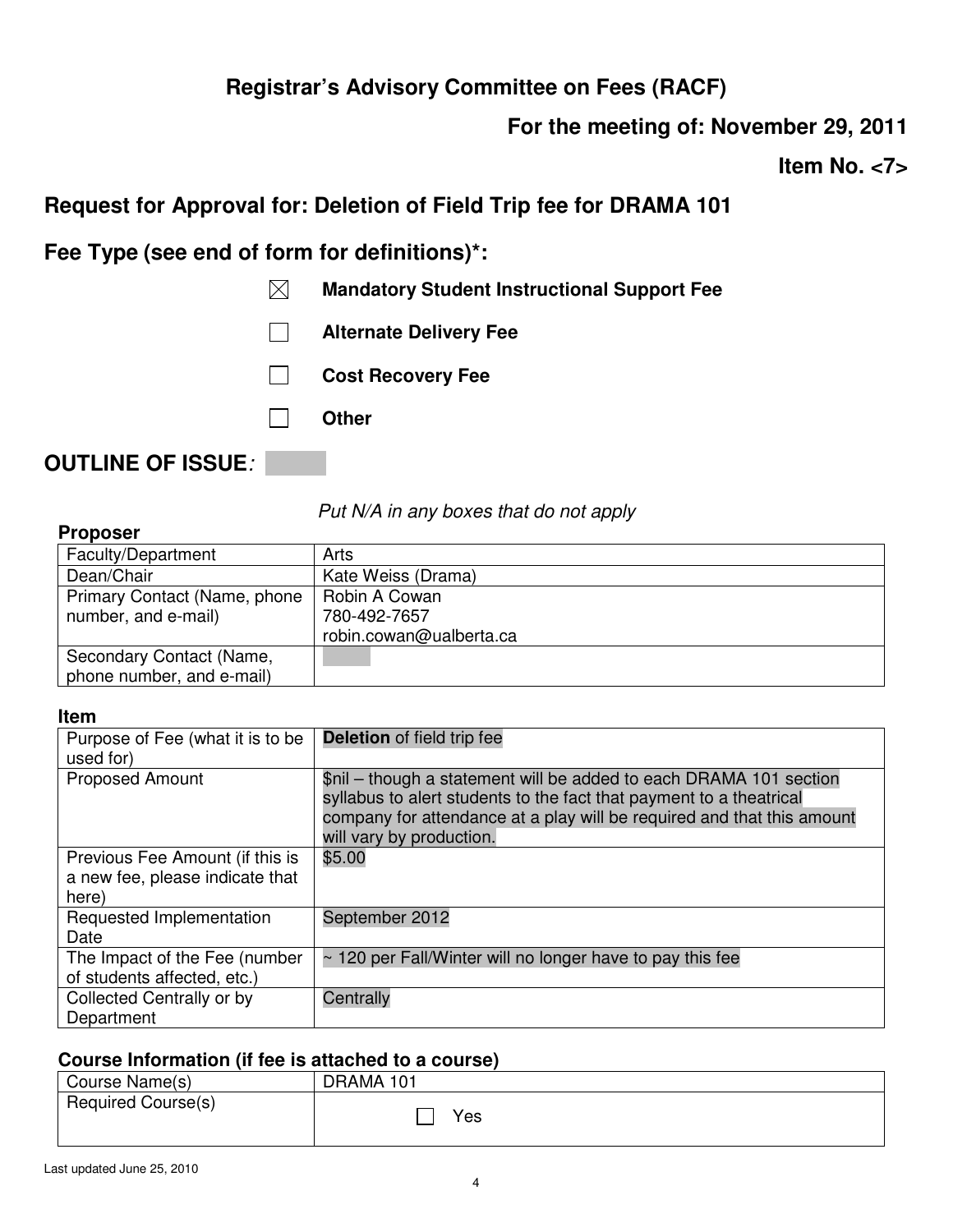**For the meeting of: November 29, 2011** 

**Item No. <7>** 

# **Request for Approval for: Deletion of Field Trip fee for DRAMA 101**

**Fee Type (see end of form for definitions)\*:** 

 $\overline{\phantom{a}}$ 

- **Mandatory Student Instructional Support Fee**
- **Alternate Delivery Fee**
- **Cost Recovery Fee** 
	- **Other**

# **OUTLINE OF ISSUE***:*

*Put N/A in any boxes that do not apply*

| <b>Proposer</b>                                       |                                                          |
|-------------------------------------------------------|----------------------------------------------------------|
| Faculty/Department                                    | Arts                                                     |
| Dean/Chair                                            | Kate Weiss (Drama)                                       |
| Primary Contact (Name, phone<br>number, and e-mail)   | Robin A Cowan<br>780-492-7657<br>robin.cowan@ualberta.ca |
| Secondary Contact (Name,<br>phone number, and e-mail) |                                                          |

#### **Item**

| Purpose of Fee (what it is to be<br>used for)                               | <b>Deletion</b> of field trip fee                                                                                                                                                                                                               |
|-----------------------------------------------------------------------------|-------------------------------------------------------------------------------------------------------------------------------------------------------------------------------------------------------------------------------------------------|
| <b>Proposed Amount</b>                                                      | \$nil – though a statement will be added to each DRAMA 101 section<br>syllabus to alert students to the fact that payment to a theatrical<br>company for attendance at a play will be required and that this amount<br>will vary by production. |
| Previous Fee Amount (if this is<br>a new fee, please indicate that<br>here) | \$5.00                                                                                                                                                                                                                                          |
| Requested Implementation<br>Date                                            | September 2012                                                                                                                                                                                                                                  |
| The Impact of the Fee (number<br>of students affected, etc.)                | $\sim$ 120 per Fall/Winter will no longer have to pay this fee                                                                                                                                                                                  |
| Collected Centrally or by<br>Department                                     | Centrally                                                                                                                                                                                                                                       |

| Course Name(s)     | DRAMA 101 |
|--------------------|-----------|
| Required Course(s) | Yes       |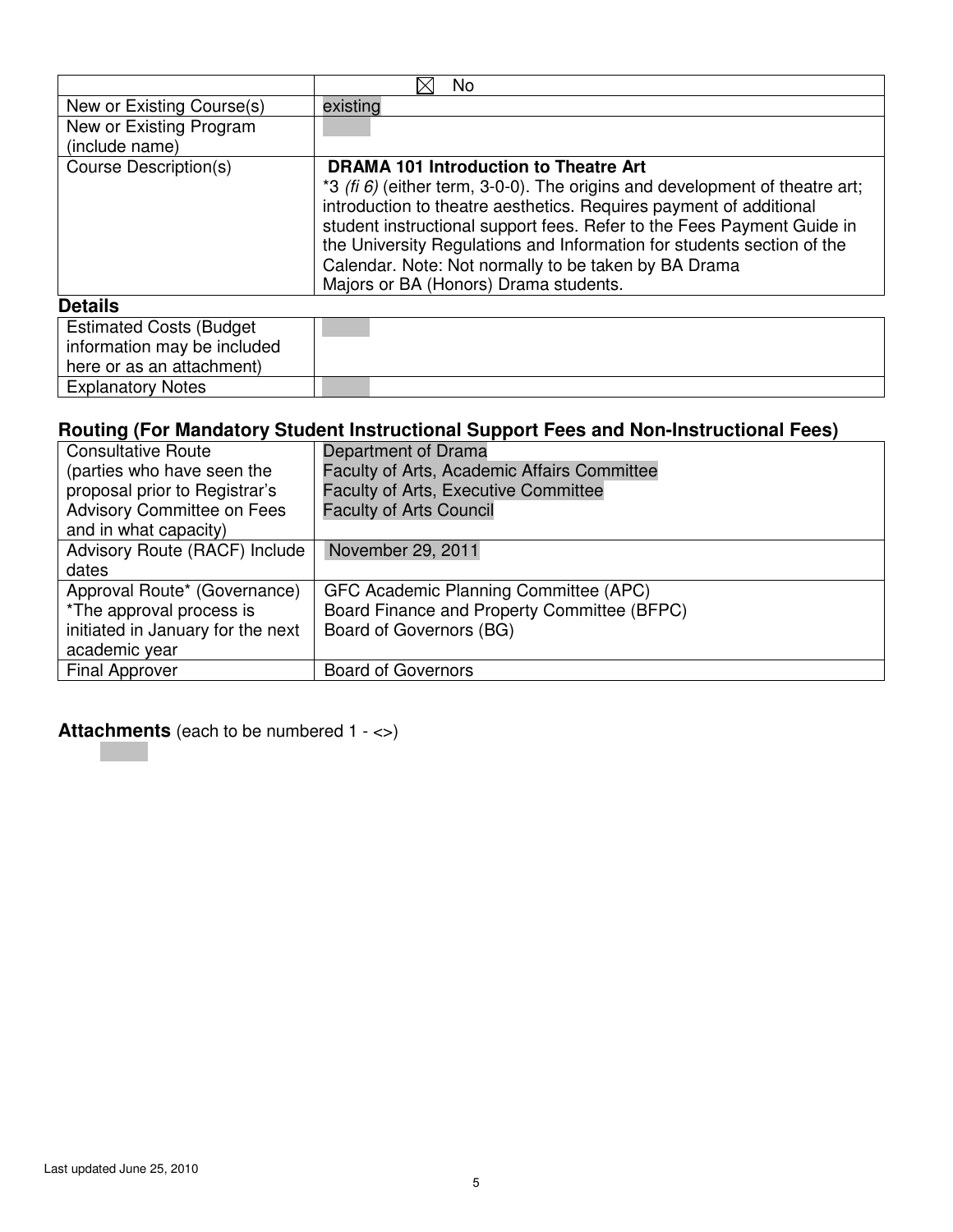|                                                                                             | No                                                                                                                                                                                                                                                                                                                                                                                                        |
|---------------------------------------------------------------------------------------------|-----------------------------------------------------------------------------------------------------------------------------------------------------------------------------------------------------------------------------------------------------------------------------------------------------------------------------------------------------------------------------------------------------------|
| New or Existing Course(s)                                                                   | existing                                                                                                                                                                                                                                                                                                                                                                                                  |
| New or Existing Program                                                                     |                                                                                                                                                                                                                                                                                                                                                                                                           |
| (include name)                                                                              |                                                                                                                                                                                                                                                                                                                                                                                                           |
| Course Description(s)                                                                       | <b>DRAMA 101 Introduction to Theatre Art</b>                                                                                                                                                                                                                                                                                                                                                              |
|                                                                                             | *3 (fi $6$ ) (either term, 3-0-0). The origins and development of theatre art;<br>introduction to theatre aesthetics. Requires payment of additional<br>student instructional support fees. Refer to the Fees Payment Guide in<br>the University Regulations and Information for students section of the<br>Calendar. Note: Not normally to be taken by BA Drama<br>Majors or BA (Honors) Drama students. |
| <b>Details</b>                                                                              |                                                                                                                                                                                                                                                                                                                                                                                                           |
| <b>Estimated Costs (Budget)</b><br>information may be included<br>here or as an attachment) |                                                                                                                                                                                                                                                                                                                                                                                                           |

| <b>Consultative Route</b>         | Department of Drama                         |
|-----------------------------------|---------------------------------------------|
| (parties who have seen the        | Faculty of Arts, Academic Affairs Committee |
| proposal prior to Registrar's     | <b>Faculty of Arts, Executive Committee</b> |
| <b>Advisory Committee on Fees</b> | <b>Faculty of Arts Council</b>              |
| and in what capacity)             |                                             |
| Advisory Route (RACF) Include     | November 29, 2011                           |
| dates                             |                                             |
| Approval Route* (Governance)      | GFC Academic Planning Committee (APC)       |
| *The approval process is          | Board Finance and Property Committee (BFPC) |
| initiated in January for the next | Board of Governors (BG)                     |
| academic year                     |                                             |
| <b>Final Approver</b>             | <b>Board of Governors</b>                   |
|                                   |                                             |

**Attachments** (each to be numbered 1 - <>)

**Explanatory Notes**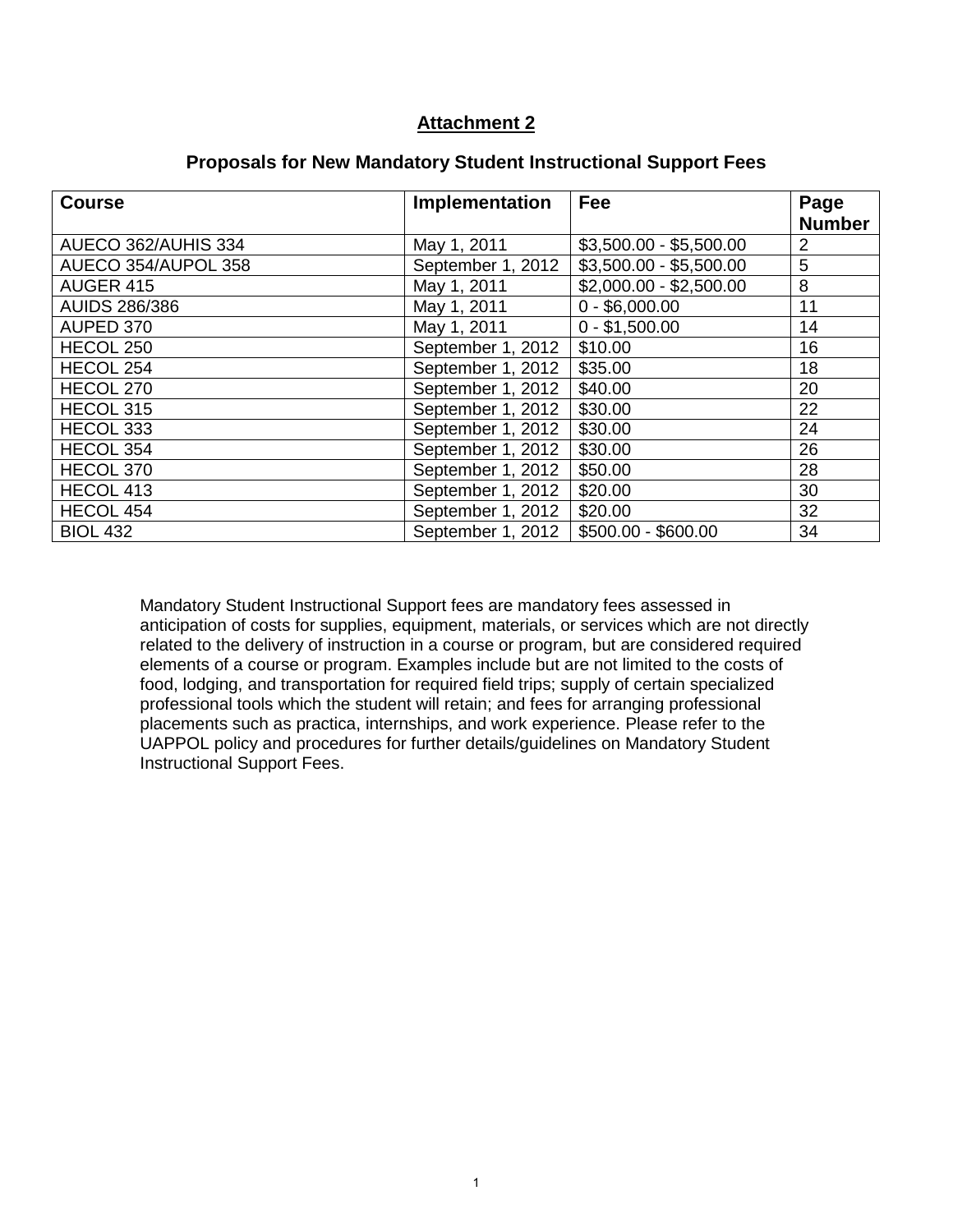### **Attachment 2**

| <b>Course</b>        | Implementation    | Fee                     | Page<br><b>Number</b> |
|----------------------|-------------------|-------------------------|-----------------------|
|                      |                   |                         |                       |
| AUECO 362/AUHIS 334  | May 1, 2011       | $$3,500.00 - $5,500.00$ | 2                     |
| AUECO 354/AUPOL 358  | September 1, 2012 | $$3,500.00 - $5,500.00$ | 5                     |
| AUGER 415            | May 1, 2011       | $$2,000.00 - $2,500.00$ | 8                     |
| <b>AUIDS 286/386</b> | May 1, 2011       | $0 - $6,000.00$         | 11                    |
| AUPED 370            | May 1, 2011       | $0 - $1,500.00$         | 14                    |
| HECOL 250            | September 1, 2012 | \$10.00                 | 16                    |
| HECOL 254            | September 1, 2012 | \$35.00                 | 18                    |
| HECOL 270            | September 1, 2012 | \$40.00                 | 20                    |
| HECOL 315            | September 1, 2012 | \$30.00                 | 22                    |
| HECOL 333            | September 1, 2012 | \$30.00                 | 24                    |
| HECOL 354            | September 1, 2012 | \$30.00                 | 26                    |
| HECOL 370            | September 1, 2012 | \$50.00                 | 28                    |
| HECOL 413            | September 1, 2012 | \$20.00                 | 30                    |
| HECOL 454            | September 1, 2012 | \$20.00                 | 32                    |
| <b>BIOL 432</b>      | September 1, 2012 | \$500.00 - \$600.00     | 34                    |

#### **Proposals for New Mandatory Student Instructional Support Fees**

Mandatory Student Instructional Support fees are mandatory fees assessed in anticipation of costs for supplies, equipment, materials, or services which are not directly related to the delivery of instruction in a course or program, but are considered required elements of a course or program. Examples include but are not limited to the costs of food, lodging, and transportation for required field trips; supply of certain specialized professional tools which the student will retain; and fees for arranging professional placements such as practica, internships, and work experience. Please refer to the UAPPOL policy and procedures for further details/guidelines on Mandatory Student Instructional Support Fees.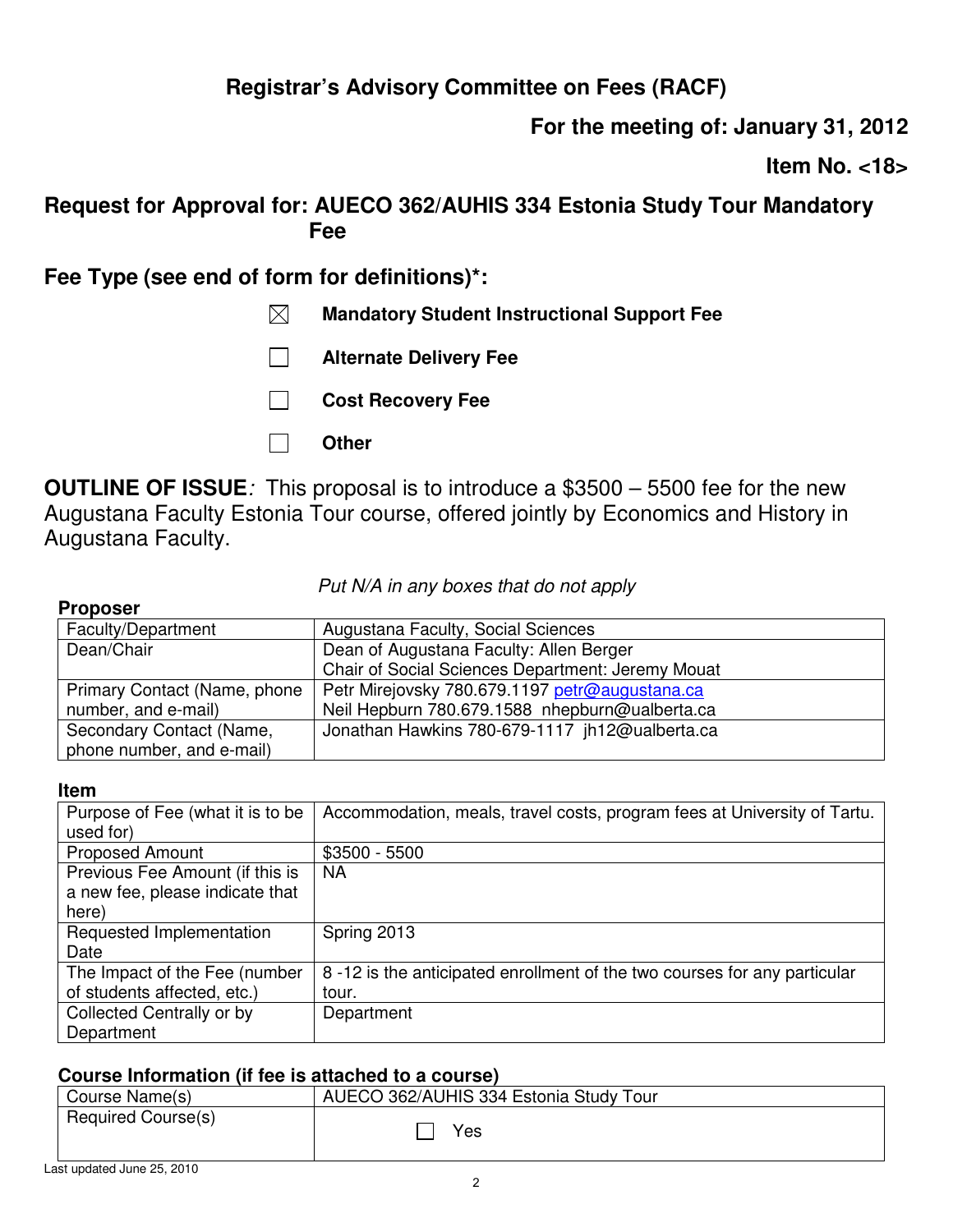# **For the meeting of: January 31, 2012**

**Item No. <18>** 

## **Request for Approval for: AUECO 362/AUHIS 334 Estonia Study Tour Mandatory Fee**

**Fee Type (see end of form for definitions)\*:** 

- **Mandatory Student Instructional Support Fee**
- **Alternate Delivery Fee**
- **Cost Recovery Fee**
- **Other**

**OUTLINE OF ISSUE***:* This proposal is to introduce a \$3500 – 5500 fee for the new Augustana Faculty Estonia Tour course, offered jointly by Economics and History in Augustana Faculty.

*Put N/A in any boxes that do not apply*

### **Proposer**

| Faculty/Department           | Augustana Faculty, Social Sciences                |
|------------------------------|---------------------------------------------------|
| Dean/Chair                   | Dean of Augustana Faculty: Allen Berger           |
|                              | Chair of Social Sciences Department: Jeremy Mouat |
| Primary Contact (Name, phone | Petr Mirejovsky 780.679.1197 petr@augustana.ca    |
| number, and e-mail)          | Neil Hepburn 780.679.1588 nhepburn@ualberta.ca    |
| Secondary Contact (Name,     | Jonathan Hawkins 780-679-1117 jh12@ualberta.ca    |
| phone number, and e-mail)    |                                                   |

### **Item**

| Purpose of Fee (what it is to be<br>used for) | Accommodation, meals, travel costs, program fees at University of Tartu. |
|-----------------------------------------------|--------------------------------------------------------------------------|
| <b>Proposed Amount</b>                        | $$3500 - 5500$                                                           |
| Previous Fee Amount (if this is               | NA                                                                       |
| a new fee, please indicate that<br>here)      |                                                                          |
|                                               |                                                                          |
| Requested Implementation                      | Spring 2013                                                              |
| Date                                          |                                                                          |
| The Impact of the Fee (number                 | 8-12 is the anticipated enrollment of the two courses for any particular |
| of students affected, etc.)                   | tour.                                                                    |
| Collected Centrally or by                     | Department                                                               |
| Department                                    |                                                                          |

| <u>000000 111101111011011 111 100 10 011001100 10 0 0001007</u> |                                        |
|-----------------------------------------------------------------|----------------------------------------|
| Course Name(s)                                                  | AUECO 362/AUHIS 334 Estonia Study Tour |
| Required Course(s)                                              | Yes                                    |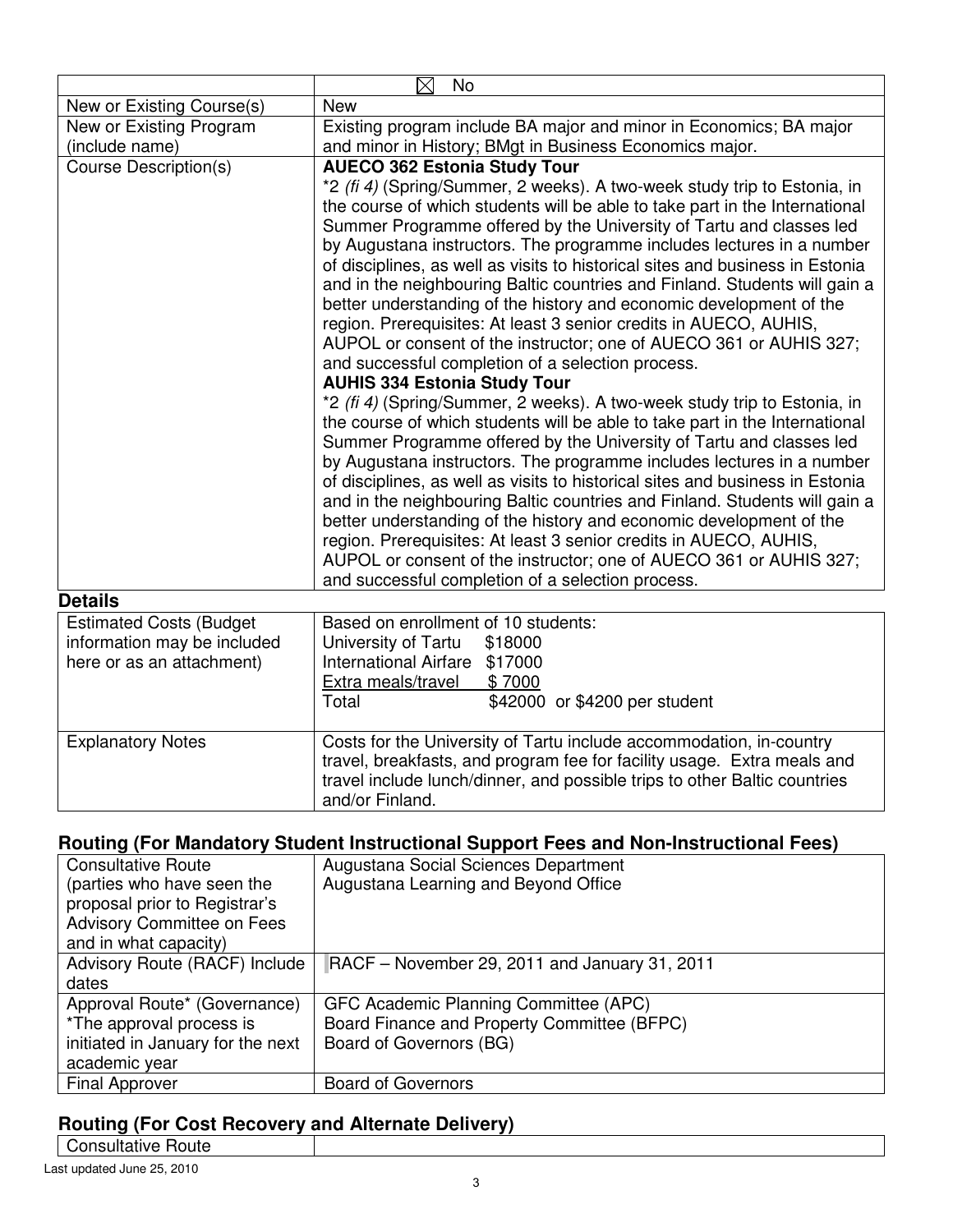|                                | $\boxtimes$<br>No                                                                                                                                                                                                                                                                                       |  |
|--------------------------------|---------------------------------------------------------------------------------------------------------------------------------------------------------------------------------------------------------------------------------------------------------------------------------------------------------|--|
| New or Existing Course(s)      | <b>New</b>                                                                                                                                                                                                                                                                                              |  |
| New or Existing Program        | Existing program include BA major and minor in Economics; BA major                                                                                                                                                                                                                                      |  |
| (include name)                 | and minor in History; BMgt in Business Economics major.                                                                                                                                                                                                                                                 |  |
| <b>Course Description(s)</b>   | <b>AUECO 362 Estonia Study Tour</b>                                                                                                                                                                                                                                                                     |  |
|                                | *2 (fi 4) (Spring/Summer, 2 weeks). A two-week study trip to Estonia, in<br>the course of which students will be able to take part in the International<br>Summer Programme offered by the University of Tartu and classes led<br>by Augustana instructors. The programme includes lectures in a number |  |
|                                | of disciplines, as well as visits to historical sites and business in Estonia<br>and in the neighbouring Baltic countries and Finland. Students will gain a<br>better understanding of the history and economic development of the<br>region. Prerequisites: At least 3 senior credits in AUECO, AUHIS, |  |
|                                | AUPOL or consent of the instructor; one of AUECO 361 or AUHIS 327;<br>and successful completion of a selection process.                                                                                                                                                                                 |  |
|                                | <b>AUHIS 334 Estonia Study Tour</b>                                                                                                                                                                                                                                                                     |  |
|                                | *2 (fi 4) (Spring/Summer, 2 weeks). A two-week study trip to Estonia, in                                                                                                                                                                                                                                |  |
|                                | the course of which students will be able to take part in the International                                                                                                                                                                                                                             |  |
|                                | Summer Programme offered by the University of Tartu and classes led<br>by Augustana instructors. The programme includes lectures in a number                                                                                                                                                            |  |
|                                | of disciplines, as well as visits to historical sites and business in Estonia                                                                                                                                                                                                                           |  |
|                                | and in the neighbouring Baltic countries and Finland. Students will gain a                                                                                                                                                                                                                              |  |
|                                | better understanding of the history and economic development of the                                                                                                                                                                                                                                     |  |
|                                | region. Prerequisites: At least 3 senior credits in AUECO, AUHIS,                                                                                                                                                                                                                                       |  |
|                                | AUPOL or consent of the instructor; one of AUECO 361 or AUHIS 327;<br>and successful completion of a selection process.                                                                                                                                                                                 |  |
| <b>Details</b>                 |                                                                                                                                                                                                                                                                                                         |  |
| <b>Estimated Costs (Budget</b> | Based on enrollment of 10 students:                                                                                                                                                                                                                                                                     |  |
| information may be included    | University of Tartu<br>\$18000                                                                                                                                                                                                                                                                          |  |
| here or as an attachment)      | <b>International Airfare</b><br>\$17000                                                                                                                                                                                                                                                                 |  |
|                                | \$7000<br>Extra meals/travel                                                                                                                                                                                                                                                                            |  |
|                                | \$42000 or \$4200 per student<br>Total                                                                                                                                                                                                                                                                  |  |
| <b>Explanatory Notes</b>       | Costs for the University of Tartu include accommodation, in-country<br>travel, breakfasts, and program fee for facility usage. Extra meals and<br>travel include lunch/dinner, and possible trips to other Baltic countries<br>and/or Finland.                                                          |  |

| <b>Consultative Route</b>         | Augustana Social Sciences Department          |
|-----------------------------------|-----------------------------------------------|
| (parties who have seen the        | Augustana Learning and Beyond Office          |
| proposal prior to Registrar's     |                                               |
| <b>Advisory Committee on Fees</b> |                                               |
| and in what capacity)             |                                               |
| Advisory Route (RACF) Include     | RACF – November 29, 2011 and January 31, 2011 |
| dates                             |                                               |
| Approval Route* (Governance)      | GFC Academic Planning Committee (APC)         |
| *The approval process is          | Board Finance and Property Committee (BFPC)   |
| initiated in January for the next | Board of Governors (BG)                       |
| academic year                     |                                               |
| <b>Final Approver</b>             | <b>Board of Governors</b>                     |

## **Routing (For Cost Recovery and Alternate Delivery)**

Consultative Route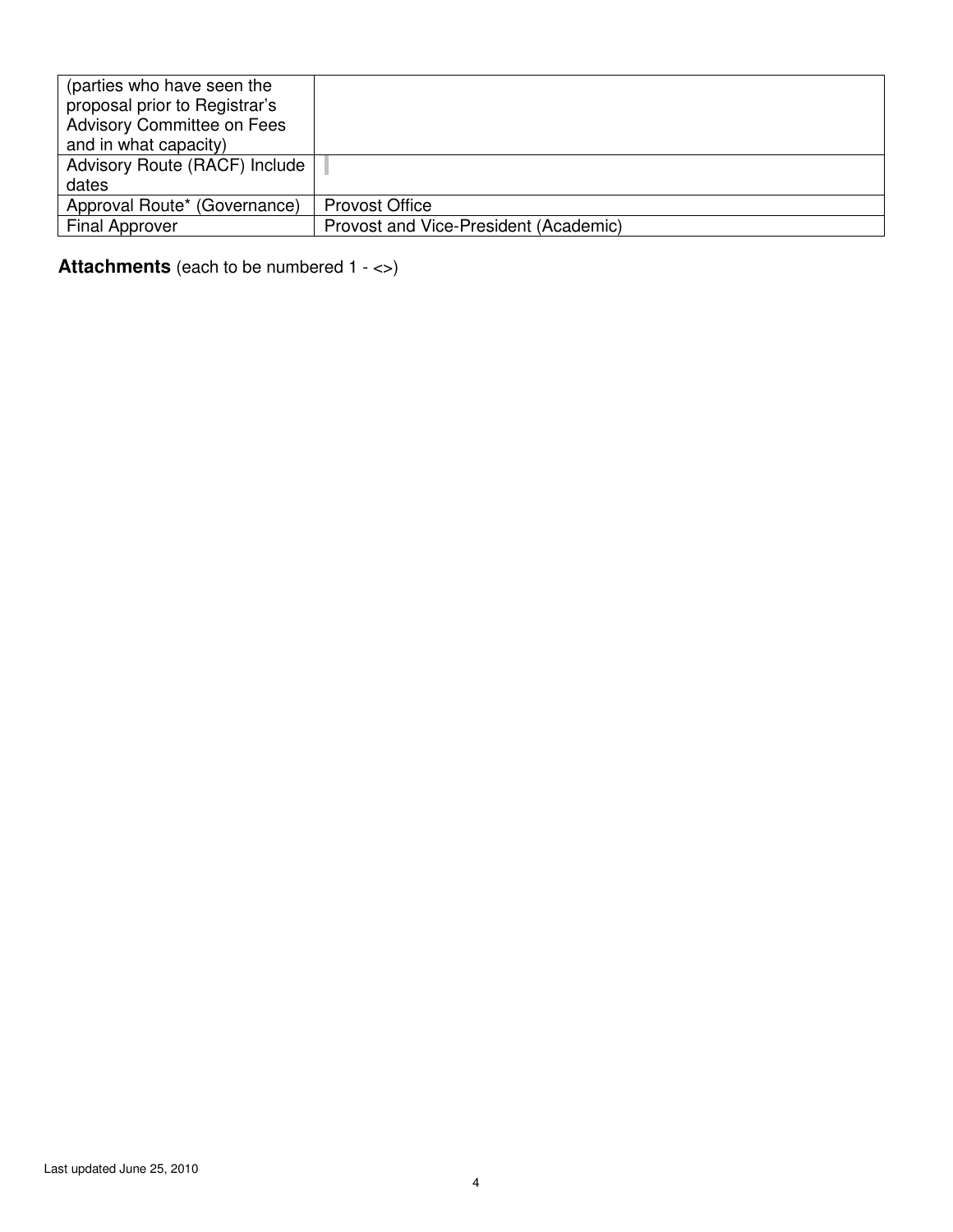| (parties who have seen the        |                                       |
|-----------------------------------|---------------------------------------|
| proposal prior to Registrar's     |                                       |
| <b>Advisory Committee on Fees</b> |                                       |
| and in what capacity)             |                                       |
| Advisory Route (RACF) Include     |                                       |
| dates                             |                                       |
| Approval Route* (Governance)      | <b>Provost Office</b>                 |
| <b>Final Approver</b>             | Provost and Vice-President (Academic) |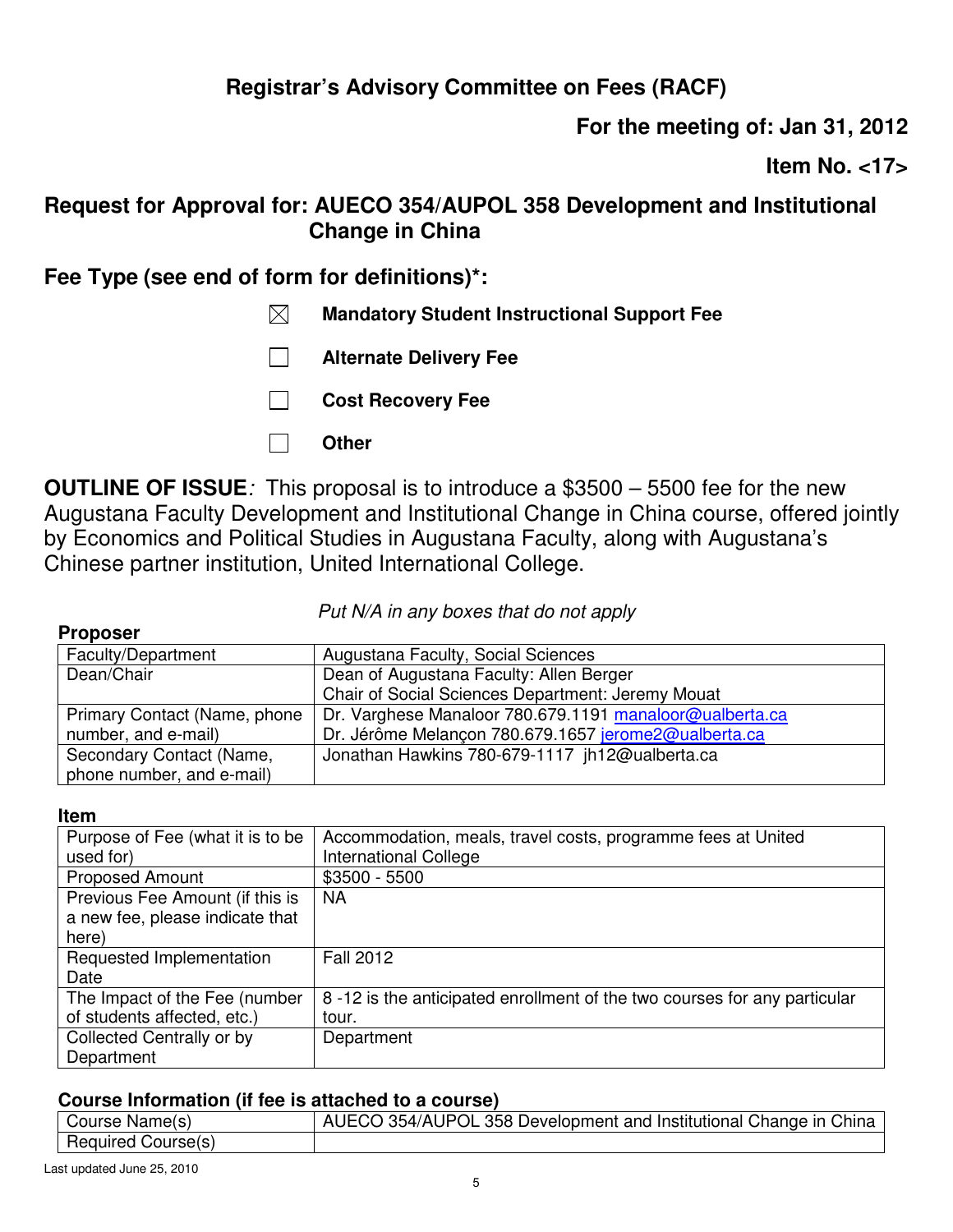**For the meeting of: Jan 31, 2012** 

**Item No. <17>** 

## **Request for Approval for: AUECO 354/AUPOL 358 Development and Institutional Change in China**

## **Fee Type (see end of form for definitions)\*:**

- **Mandatory Student Instructional Support Fee**
- **Alternate Delivery Fee**
- **Cost Recovery Fee**
- **Other**

**OUTLINE OF ISSUE***:* This proposal is to introduce a \$3500 – 5500 fee for the new Augustana Faculty Development and Institutional Change in China course, offered jointly by Economics and Political Studies in Augustana Faculty, along with Augustana's Chinese partner institution, United International College.

*Put N/A in any boxes that do not apply*

### **Proposer**

| .                            |                                                         |
|------------------------------|---------------------------------------------------------|
| Faculty/Department           | Augustana Faculty, Social Sciences                      |
| Dean/Chair                   | Dean of Augustana Faculty: Allen Berger                 |
|                              | Chair of Social Sciences Department: Jeremy Mouat       |
| Primary Contact (Name, phone | Dr. Varghese Manaloor 780.679.1191 manaloor@ualberta.ca |
| number, and e-mail)          | Dr. Jérôme Melançon 780.679.1657 jerome2@ualberta.ca    |
| Secondary Contact (Name,     | Jonathan Hawkins 780-679-1117 jh12@ualberta.ca          |
| phone number, and e-mail)    |                                                         |

### **Item**

| Purpose of Fee (what it is to be | Accommodation, meals, travel costs, programme fees at United             |
|----------------------------------|--------------------------------------------------------------------------|
| used for)                        | International College                                                    |
| <b>Proposed Amount</b>           | $$3500 - 5500$                                                           |
| Previous Fee Amount (if this is  | <b>NA</b>                                                                |
| a new fee, please indicate that  |                                                                          |
| here)                            |                                                                          |
| Requested Implementation         | <b>Fall 2012</b>                                                         |
| Date                             |                                                                          |
| The Impact of the Fee (number    | 8-12 is the anticipated enrollment of the two courses for any particular |
| of students affected, etc.)      | tour.                                                                    |
| Collected Centrally or by        | Department                                                               |
| Department                       |                                                                          |

| Course Name(s)     | AUECO 354/AUPOL 358 Development and Institutional Change in China |
|--------------------|-------------------------------------------------------------------|
| Required Course(s) |                                                                   |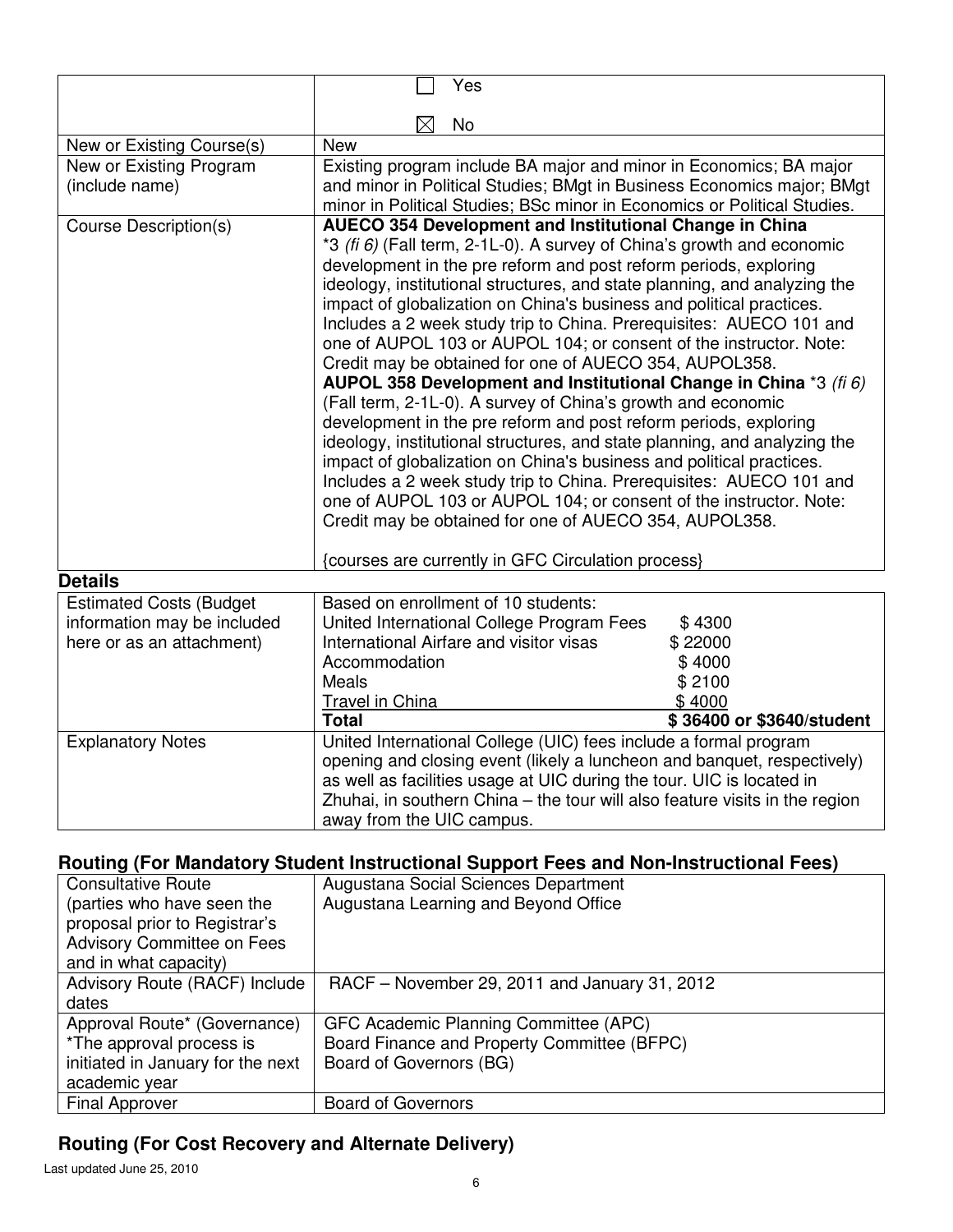|                                | Yes                                                                                                                         |  |
|--------------------------------|-----------------------------------------------------------------------------------------------------------------------------|--|
|                                |                                                                                                                             |  |
|                                | No                                                                                                                          |  |
| New or Existing Course(s)      | <b>New</b>                                                                                                                  |  |
| New or Existing Program        | Existing program include BA major and minor in Economics; BA major                                                          |  |
| (include name)                 | and minor in Political Studies; BMgt in Business Economics major; BMgt                                                      |  |
|                                | minor in Political Studies; BSc minor in Economics or Political Studies.                                                    |  |
| <b>Course Description(s)</b>   | <b>AUECO 354 Development and Institutional Change in China</b>                                                              |  |
|                                | *3 (fi 6) (Fall term, 2-1L-0). A survey of China's growth and economic                                                      |  |
|                                | development in the pre reform and post reform periods, exploring                                                            |  |
|                                | ideology, institutional structures, and state planning, and analyzing the                                                   |  |
|                                | impact of globalization on China's business and political practices.                                                        |  |
|                                | Includes a 2 week study trip to China. Prerequisites: AUECO 101 and                                                         |  |
|                                | one of AUPOL 103 or AUPOL 104; or consent of the instructor. Note:                                                          |  |
|                                | Credit may be obtained for one of AUECO 354, AUPOL358.<br>AUPOL 358 Development and Institutional Change in China *3 (fi 6) |  |
|                                | (Fall term, 2-1L-0). A survey of China's growth and economic                                                                |  |
|                                | development in the pre reform and post reform periods, exploring                                                            |  |
|                                | ideology, institutional structures, and state planning, and analyzing the                                                   |  |
|                                | impact of globalization on China's business and political practices.                                                        |  |
|                                | Includes a 2 week study trip to China. Prerequisites: AUECO 101 and                                                         |  |
|                                | one of AUPOL 103 or AUPOL 104; or consent of the instructor. Note:                                                          |  |
|                                | Credit may be obtained for one of AUECO 354, AUPOL358.                                                                      |  |
|                                |                                                                                                                             |  |
|                                | {courses are currently in GFC Circulation process}                                                                          |  |
| <b>Details</b>                 |                                                                                                                             |  |
| <b>Estimated Costs (Budget</b> | Based on enrollment of 10 students:                                                                                         |  |
| information may be included    | United International College Program Fees<br>\$4300                                                                         |  |
| here or as an attachment)      | International Airfare and visitor visas<br>\$22000                                                                          |  |
|                                | Accommodation<br>\$4000                                                                                                     |  |
|                                | Meals<br>\$2100                                                                                                             |  |
|                                | Travel in China<br>\$4000                                                                                                   |  |
|                                | <b>Total</b><br>\$36400 or \$3640/student                                                                                   |  |
| <b>Explanatory Notes</b>       | United International College (UIC) fees include a formal program                                                            |  |
|                                | opening and closing event (likely a luncheon and banquet, respectively)                                                     |  |
|                                | as well as facilities usage at UIC during the tour. UIC is located in                                                       |  |
|                                | Zhuhai, in southern China - the tour will also feature visits in the region                                                 |  |
|                                | away from the UIC campus.                                                                                                   |  |

| <b>Consultative Route</b>         | Augustana Social Sciences Department          |  |
|-----------------------------------|-----------------------------------------------|--|
| (parties who have seen the        | Augustana Learning and Beyond Office          |  |
| proposal prior to Registrar's     |                                               |  |
| <b>Advisory Committee on Fees</b> |                                               |  |
| and in what capacity)             |                                               |  |
| Advisory Route (RACF) Include     | RACF – November 29, 2011 and January 31, 2012 |  |
| dates                             |                                               |  |
| Approval Route* (Governance)      | GFC Academic Planning Committee (APC)         |  |
| *The approval process is          | Board Finance and Property Committee (BFPC)   |  |
| initiated in January for the next | Board of Governors (BG)                       |  |
| academic year                     |                                               |  |
| <b>Final Approver</b>             | <b>Board of Governors</b>                     |  |

# **Routing (For Cost Recovery and Alternate Delivery)**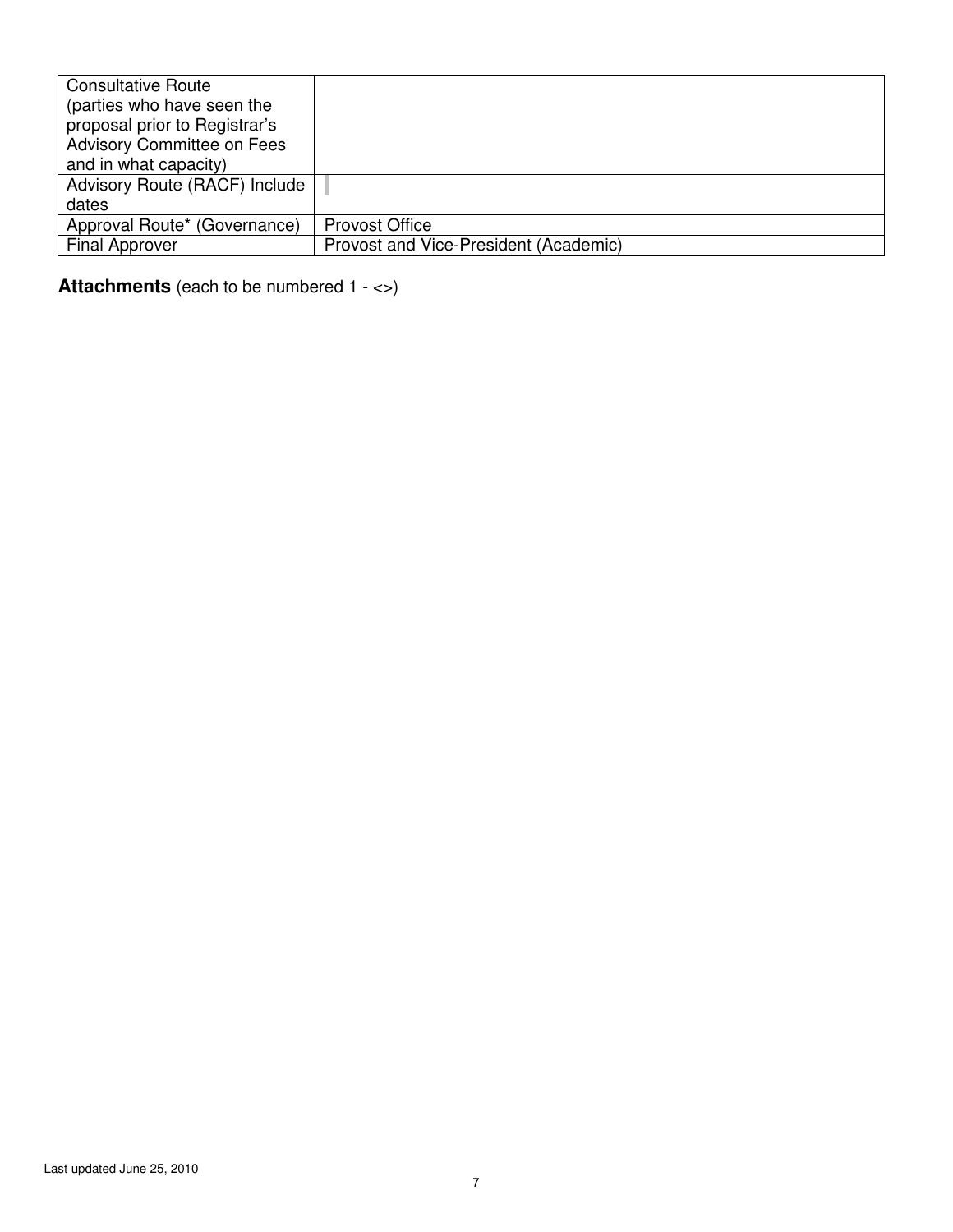| <b>Consultative Route</b>         |                                       |
|-----------------------------------|---------------------------------------|
| (parties who have seen the        |                                       |
| proposal prior to Registrar's     |                                       |
| <b>Advisory Committee on Fees</b> |                                       |
| and in what capacity)             |                                       |
| Advisory Route (RACF) Include     |                                       |
| dates                             |                                       |
| Approval Route* (Governance)      | <b>Provost Office</b>                 |
| <b>Final Approver</b>             | Provost and Vice-President (Academic) |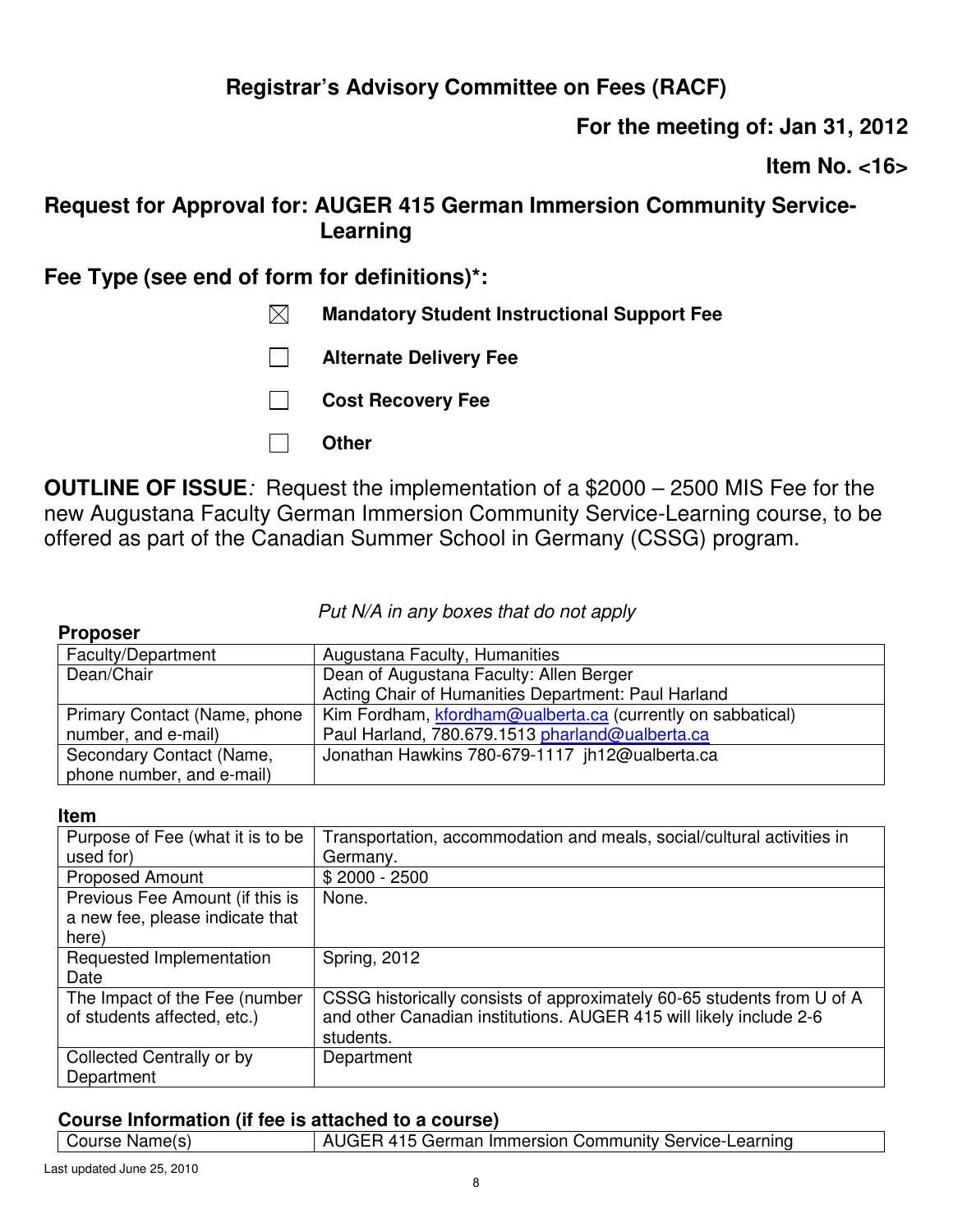**For the meeting of: Jan 31, 2012** 

**Item No. <16>** 

## **Request for Approval for: AUGER 415 German Immersion Community Service-Learning**

## **Fee Type (see end of form for definitions)\*:**

- **Mandatory Student Instructional Support Fee**
- **Alternate Delivery Fee**
- **Cost Recovery Fee**
- **Other**

**OUTLINE OF ISSUE***:* Request the implementation of a \$2000 – 2500 MIS Fee for the new Augustana Faculty German Immersion Community Service-Learning course, to be offered as part of the Canadian Summer School in Germany (CSSG) program.

*Put N/A in any boxes that do not apply*

### **Proposer**

| Faculty/Department           | Augustana Faculty, Humanities                               |
|------------------------------|-------------------------------------------------------------|
| Dean/Chair                   | Dean of Augustana Faculty: Allen Berger                     |
|                              | Acting Chair of Humanities Department: Paul Harland         |
| Primary Contact (Name, phone | Kim Fordham, kfordham@ualberta.ca (currently on sabbatical) |
| number, and e-mail)          | Paul Harland, 780.679.1513 pharland@ualberta.ca             |
| Secondary Contact (Name,     | Jonathan Hawkins 780-679-1117 jh12@ualberta.ca              |
| phone number, and e-mail)    |                                                             |

### **Item**

| Purpose of Fee (what it is to be | Transportation, accommodation and meals, social/cultural activities in |
|----------------------------------|------------------------------------------------------------------------|
| used for)                        | Germany.                                                               |
| <b>Proposed Amount</b>           | $$2000 - 2500$                                                         |
| Previous Fee Amount (if this is  | None.                                                                  |
| a new fee, please indicate that  |                                                                        |
| here)                            |                                                                        |
| Requested Implementation         | <b>Spring, 2012</b>                                                    |
| Date                             |                                                                        |
| The Impact of the Fee (number    | CSSG historically consists of approximately 60-65 students from U of A |
| of students affected, etc.)      | and other Canadian institutions. AUGER 415 will likely include 2-6     |
|                                  | students.                                                              |
| Collected Centrally or by        | Department                                                             |
| Department                       |                                                                        |

| Course Name(s) | AUGER 415 German Immersion Community Service-Learning |
|----------------|-------------------------------------------------------|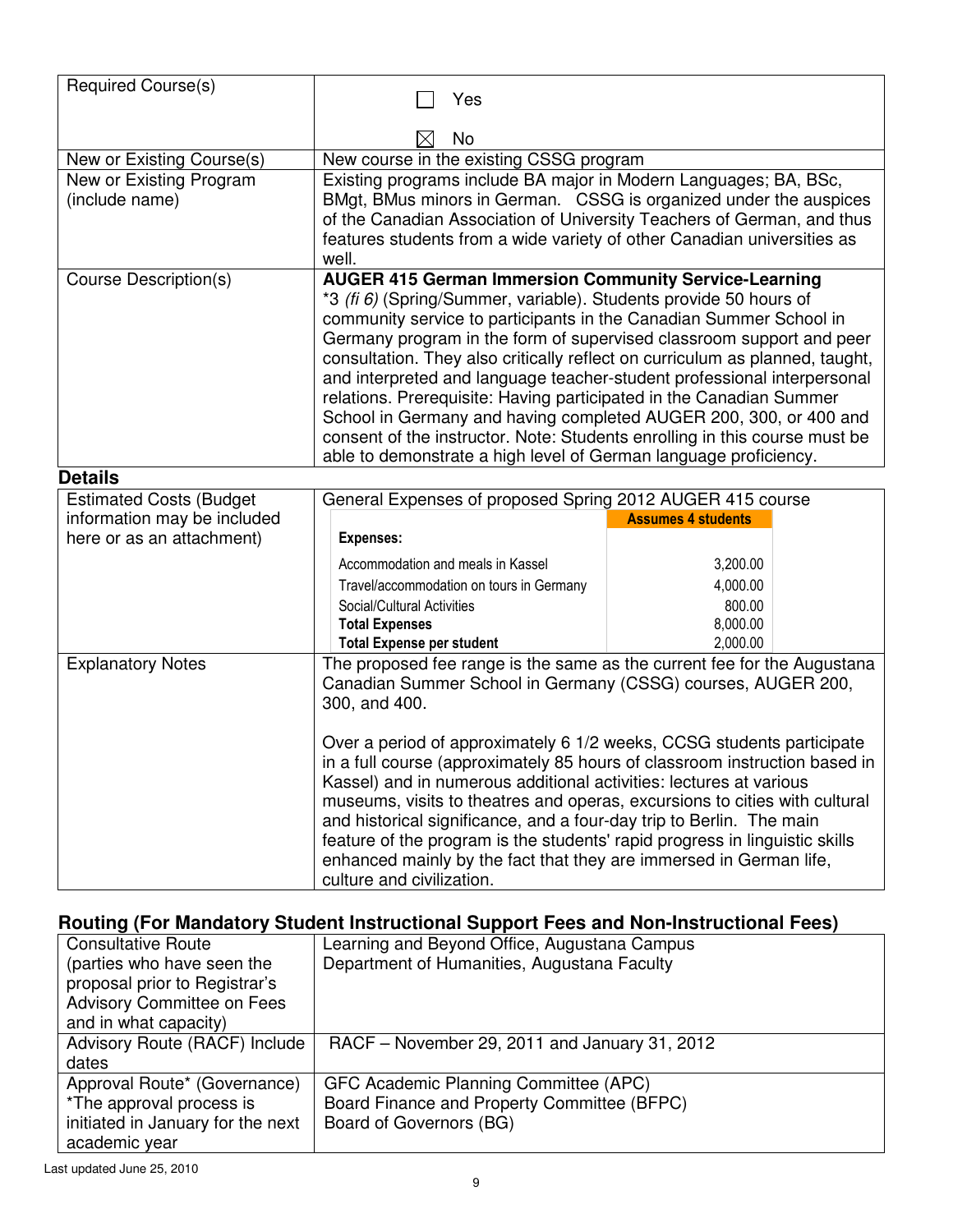| Required Course(s)                                       | Yes                                                                                                                                                                                                                                                                                                                                                                                                                                                                                                                                                                                                                                                                                                                                      |                           |
|----------------------------------------------------------|------------------------------------------------------------------------------------------------------------------------------------------------------------------------------------------------------------------------------------------------------------------------------------------------------------------------------------------------------------------------------------------------------------------------------------------------------------------------------------------------------------------------------------------------------------------------------------------------------------------------------------------------------------------------------------------------------------------------------------------|---------------------------|
|                                                          | No                                                                                                                                                                                                                                                                                                                                                                                                                                                                                                                                                                                                                                                                                                                                       |                           |
| New or Existing Course(s)                                | New course in the existing CSSG program                                                                                                                                                                                                                                                                                                                                                                                                                                                                                                                                                                                                                                                                                                  |                           |
| New or Existing Program<br>(include name)                | Existing programs include BA major in Modern Languages; BA, BSc,<br>BMgt, BMus minors in German. CSSG is organized under the auspices<br>of the Canadian Association of University Teachers of German, and thus<br>features students from a wide variety of other Canadian universities as<br>well.                                                                                                                                                                                                                                                                                                                                                                                                                                      |                           |
| <b>Course Description(s)</b>                             | <b>AUGER 415 German Immersion Community Service-Learning</b><br>*3 (fi 6) (Spring/Summer, variable). Students provide 50 hours of<br>community service to participants in the Canadian Summer School in<br>Germany program in the form of supervised classroom support and peer<br>consultation. They also critically reflect on curriculum as planned, taught,<br>and interpreted and language teacher-student professional interpersonal<br>relations. Prerequisite: Having participated in the Canadian Summer<br>School in Germany and having completed AUGER 200, 300, or 400 and<br>consent of the instructor. Note: Students enrolling in this course must be<br>able to demonstrate a high level of German language proficiency. |                           |
| <b>Details</b>                                           |                                                                                                                                                                                                                                                                                                                                                                                                                                                                                                                                                                                                                                                                                                                                          |                           |
| <b>Estimated Costs (Budget</b>                           | General Expenses of proposed Spring 2012 AUGER 415 course                                                                                                                                                                                                                                                                                                                                                                                                                                                                                                                                                                                                                                                                                |                           |
| information may be included<br>here or as an attachment) | <b>Expenses:</b>                                                                                                                                                                                                                                                                                                                                                                                                                                                                                                                                                                                                                                                                                                                         | <b>Assumes 4 students</b> |
|                                                          | Accommodation and meals in Kassel                                                                                                                                                                                                                                                                                                                                                                                                                                                                                                                                                                                                                                                                                                        | 3,200.00                  |
|                                                          | Travel/accommodation on tours in Germany                                                                                                                                                                                                                                                                                                                                                                                                                                                                                                                                                                                                                                                                                                 | 4,000.00                  |
|                                                          | Social/Cultural Activities                                                                                                                                                                                                                                                                                                                                                                                                                                                                                                                                                                                                                                                                                                               | 800.00                    |
|                                                          | <b>Total Expenses</b>                                                                                                                                                                                                                                                                                                                                                                                                                                                                                                                                                                                                                                                                                                                    | 8,000.00                  |
|                                                          | <b>Total Expense per student</b>                                                                                                                                                                                                                                                                                                                                                                                                                                                                                                                                                                                                                                                                                                         | 2,000.00                  |
| <b>Explanatory Notes</b>                                 | The proposed fee range is the same as the current fee for the Augustana<br>Canadian Summer School in Germany (CSSG) courses, AUGER 200,<br>300, and 400.<br>Over a period of approximately 6 1/2 weeks, CCSG students participate<br>in a full course (approximately 85 hours of classroom instruction based in<br>Kassel) and in numerous additional activities: lectures at various<br>museums, visits to theatres and operas, excursions to cities with cultural<br>and historical significance, and a four-day trip to Berlin. The main<br>feature of the program is the students' rapid progress in linguistic skills<br>enhanced mainly by the fact that they are immersed in German life,<br>culture and civilization.            |                           |

| <b>Consultative Route</b>         | Learning and Beyond Office, Augustana Campus  |
|-----------------------------------|-----------------------------------------------|
| (parties who have seen the        | Department of Humanities, Augustana Faculty   |
| proposal prior to Registrar's     |                                               |
| <b>Advisory Committee on Fees</b> |                                               |
| and in what capacity)             |                                               |
| Advisory Route (RACF) Include     | RACF – November 29, 2011 and January 31, 2012 |
| dates                             |                                               |
| Approval Route* (Governance)      | GFC Academic Planning Committee (APC)         |
| *The approval process is          | Board Finance and Property Committee (BFPC)   |
| initiated in January for the next | Board of Governors (BG)                       |
| academic year                     |                                               |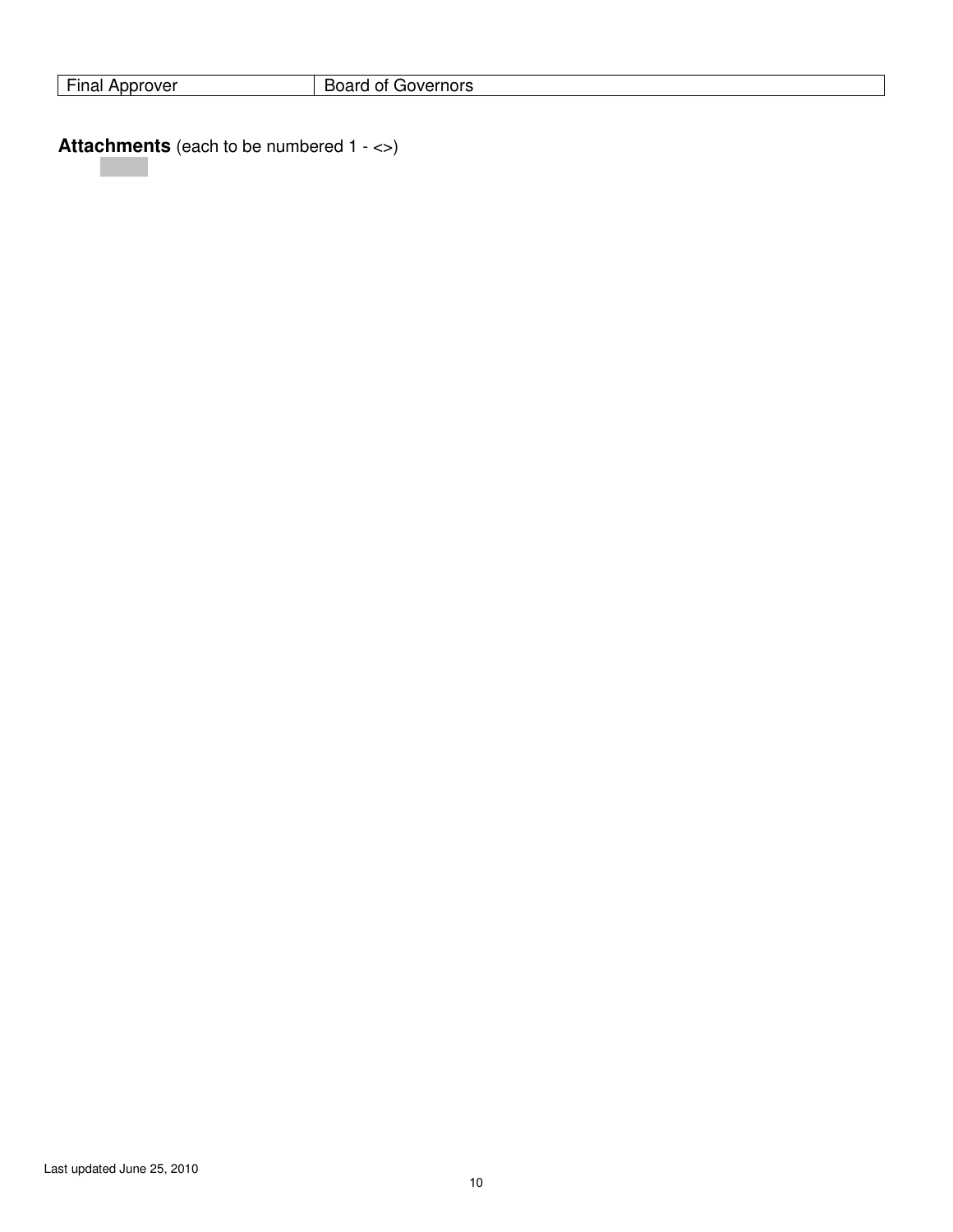| $- \cdot$<br><br>orover<br>.<br>. <i>.</i> . | - - -<br>---<br>- -<br>Ő<br>، د ۱<br>DUc<br>בוטו י |
|----------------------------------------------|----------------------------------------------------|
|                                              |                                                    |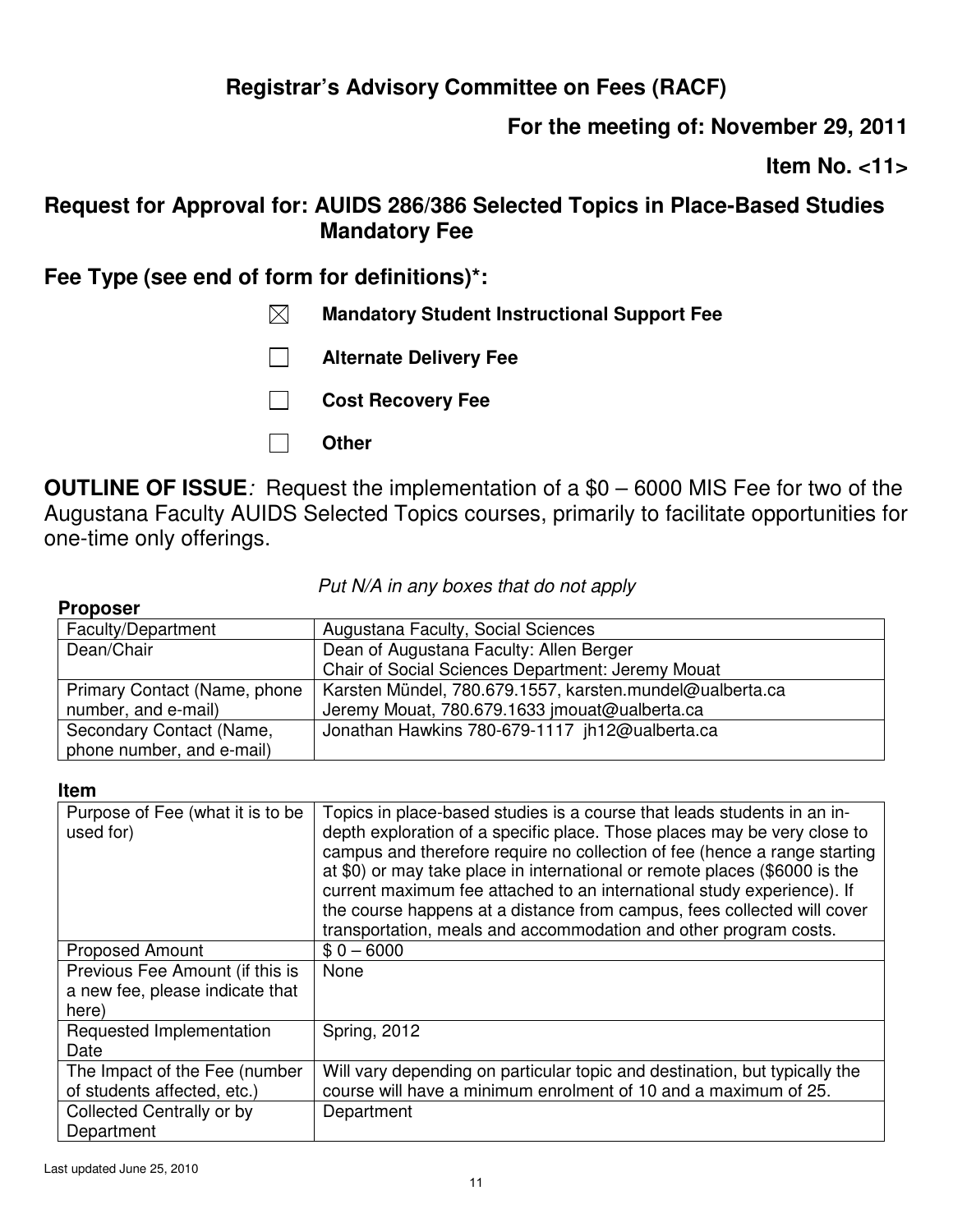## **For the meeting of: November 29, 2011**

**Item No. <11>** 

## **Request for Approval for: AUIDS 286/386 Selected Topics in Place-Based Studies Mandatory Fee**

## **Fee Type (see end of form for definitions)\*:**

- **Mandatory Student Instructional Support Fee**
- **Alternate Delivery Fee**
- **Cost Recovery Fee**
- **Other**

**OUTLINE OF ISSUE***:* Request the implementation of a \$0 – 6000 MIS Fee for two of the Augustana Faculty AUIDS Selected Topics courses, primarily to facilitate opportunities for one-time only offerings.

### *Put N/A in any boxes that do not apply*

#### **Proposer**  Faculty/Department | Augustana Faculty, Social Sciences Dean/Chair **Dean of Augustana Faculty: Allen Berger** Chair of Social Sciences Department: Jeremy Mouat Primary Contact (Name, phone number, and e-mail) Karsten Mündel, 780.679.1557, karsten.mundel@ualberta.ca Jeremy Mouat, 780.679.1633 jmouat@ualberta.ca Secondary Contact (Name, phone number, and e-mail) Jonathan Hawkins 780-679-1117 jh12@ualberta.ca

#### **Item**

| Purpose of Fee (what it is to be<br>used for)                               | Topics in place-based studies is a course that leads students in an in-<br>depth exploration of a specific place. Those places may be very close to<br>campus and therefore require no collection of fee (hence a range starting<br>at \$0) or may take place in international or remote places (\$6000 is the<br>current maximum fee attached to an international study experience). If<br>the course happens at a distance from campus, fees collected will cover<br>transportation, meals and accommodation and other program costs. |
|-----------------------------------------------------------------------------|-----------------------------------------------------------------------------------------------------------------------------------------------------------------------------------------------------------------------------------------------------------------------------------------------------------------------------------------------------------------------------------------------------------------------------------------------------------------------------------------------------------------------------------------|
| <b>Proposed Amount</b>                                                      | $$0 - 6000$                                                                                                                                                                                                                                                                                                                                                                                                                                                                                                                             |
| Previous Fee Amount (if this is<br>a new fee, please indicate that<br>here) | None                                                                                                                                                                                                                                                                                                                                                                                                                                                                                                                                    |
| Requested Implementation<br>Date                                            | <b>Spring, 2012</b>                                                                                                                                                                                                                                                                                                                                                                                                                                                                                                                     |
| The Impact of the Fee (number<br>of students affected, etc.)                | Will vary depending on particular topic and destination, but typically the<br>course will have a minimum enrolment of 10 and a maximum of 25.                                                                                                                                                                                                                                                                                                                                                                                           |
| Collected Centrally or by<br>Department                                     | Department                                                                                                                                                                                                                                                                                                                                                                                                                                                                                                                              |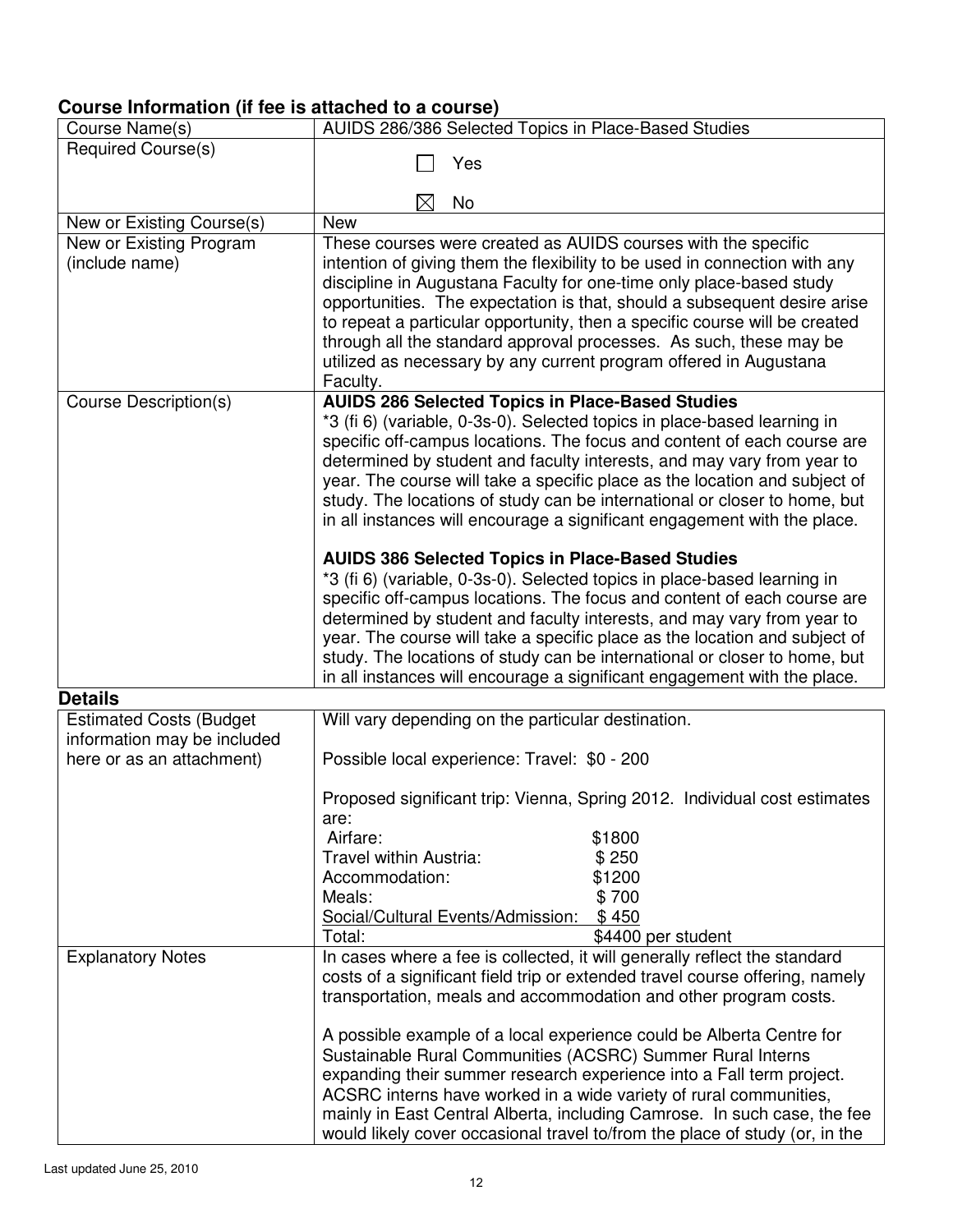| Course Name(s)                 | AUIDS 286/386 Selected Topics in Place-Based Studies                                                                                                |
|--------------------------------|-----------------------------------------------------------------------------------------------------------------------------------------------------|
| <b>Required Course(s)</b>      |                                                                                                                                                     |
|                                | Yes                                                                                                                                                 |
|                                | No<br>$\times$                                                                                                                                      |
| New or Existing Course(s)      | <b>New</b>                                                                                                                                          |
| New or Existing Program        | These courses were created as AUIDS courses with the specific                                                                                       |
| (include name)                 | intention of giving them the flexibility to be used in connection with any                                                                          |
|                                | discipline in Augustana Faculty for one-time only place-based study                                                                                 |
|                                | opportunities. The expectation is that, should a subsequent desire arise                                                                            |
|                                | to repeat a particular opportunity, then a specific course will be created                                                                          |
|                                | through all the standard approval processes. As such, these may be                                                                                  |
|                                | utilized as necessary by any current program offered in Augustana                                                                                   |
| Course Description(s)          | Faculty.<br><b>AUIDS 286 Selected Topics in Place-Based Studies</b>                                                                                 |
|                                | *3 (fi 6) (variable, 0-3s-0). Selected topics in place-based learning in                                                                            |
|                                | specific off-campus locations. The focus and content of each course are                                                                             |
|                                | determined by student and faculty interests, and may vary from year to                                                                              |
|                                | year. The course will take a specific place as the location and subject of                                                                          |
|                                | study. The locations of study can be international or closer to home, but                                                                           |
|                                | in all instances will encourage a significant engagement with the place.                                                                            |
|                                |                                                                                                                                                     |
|                                | <b>AUIDS 386 Selected Topics in Place-Based Studies</b>                                                                                             |
|                                | *3 (fi 6) (variable, 0-3s-0). Selected topics in place-based learning in<br>specific off-campus locations. The focus and content of each course are |
|                                | determined by student and faculty interests, and may vary from year to                                                                              |
|                                | year. The course will take a specific place as the location and subject of                                                                          |
|                                | study. The locations of study can be international or closer to home, but                                                                           |
|                                | in all instances will encourage a significant engagement with the place.                                                                            |
| <b>Details</b>                 |                                                                                                                                                     |
| <b>Estimated Costs (Budget</b> | Will vary depending on the particular destination.                                                                                                  |
| information may be included    |                                                                                                                                                     |
| here or as an attachment)      | Possible local experience: Travel: \$0 - 200                                                                                                        |
|                                | Proposed significant trip: Vienna, Spring 2012. Individual cost estimates                                                                           |
|                                | are:                                                                                                                                                |
|                                | \$1800<br>Airfare:                                                                                                                                  |
|                                | Travel within Austria:<br>\$250                                                                                                                     |
|                                | \$1200<br>Accommodation:                                                                                                                            |
|                                | \$700<br>Meals:                                                                                                                                     |
|                                | \$450<br>Social/Cultural Events/Admission:                                                                                                          |
|                                | Total:<br>\$4400 per student                                                                                                                        |
| <b>Explanatory Notes</b>       | In cases where a fee is collected, it will generally reflect the standard                                                                           |
|                                | costs of a significant field trip or extended travel course offering, namely<br>transportation, meals and accommodation and other program costs.    |
|                                |                                                                                                                                                     |
|                                | A possible example of a local experience could be Alberta Centre for                                                                                |
|                                | Sustainable Rural Communities (ACSRC) Summer Rural Interns                                                                                          |
|                                | expanding their summer research experience into a Fall term project.                                                                                |
|                                | ACSRC interns have worked in a wide variety of rural communities,                                                                                   |
|                                | mainly in East Central Alberta, including Camrose. In such case, the fee                                                                            |
|                                | would likely cover occasional travel to/from the place of study (or, in the                                                                         |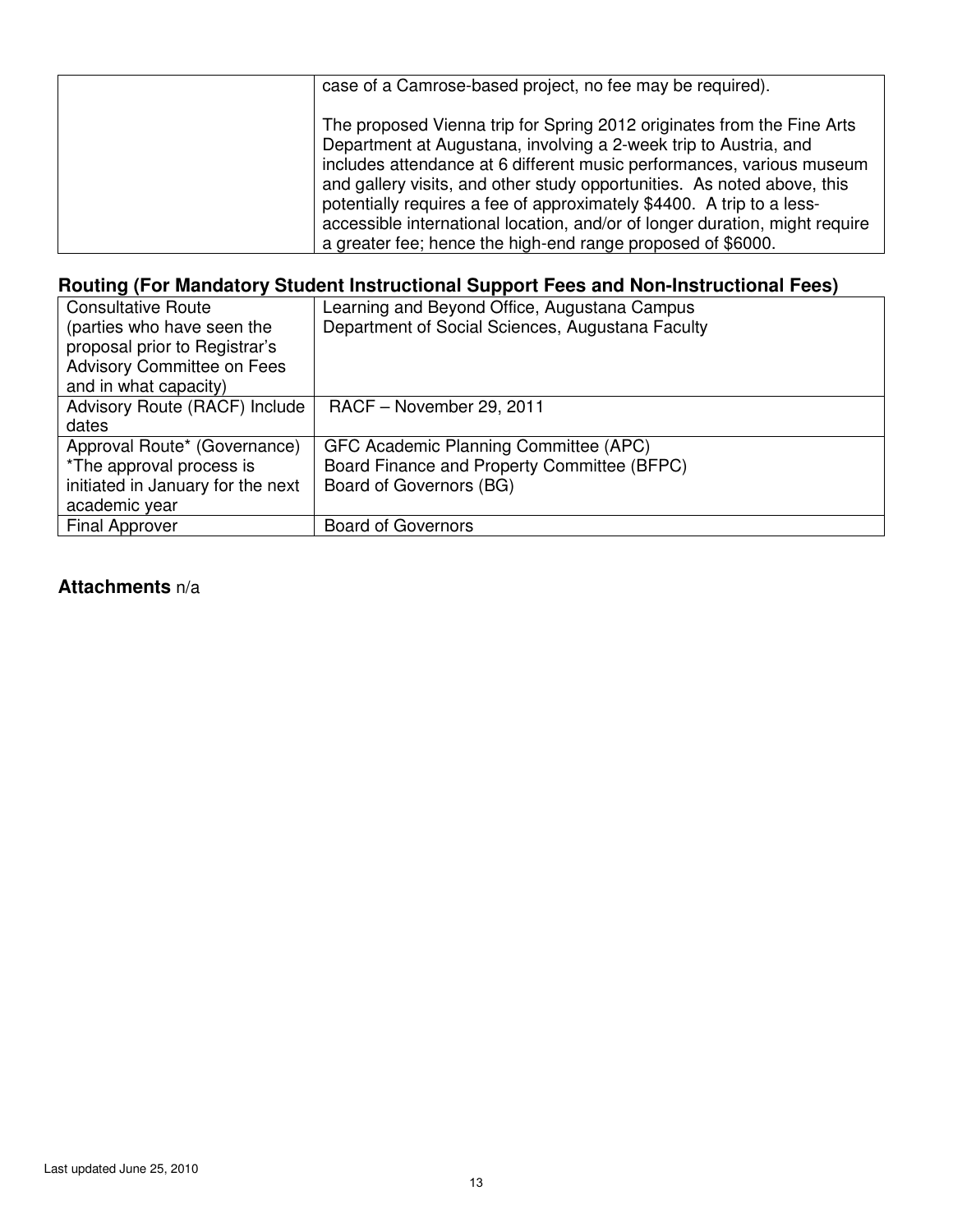| case of a Camrose-based project, no fee may be required).                                                                                                                                                                                                                                                                                                                                                                                                                                                             |
|-----------------------------------------------------------------------------------------------------------------------------------------------------------------------------------------------------------------------------------------------------------------------------------------------------------------------------------------------------------------------------------------------------------------------------------------------------------------------------------------------------------------------|
| The proposed Vienna trip for Spring 2012 originates from the Fine Arts<br>Department at Augustana, involving a 2-week trip to Austria, and<br>includes attendance at 6 different music performances, various museum<br>and gallery visits, and other study opportunities. As noted above, this<br>potentially requires a fee of approximately \$4400. A trip to a less-<br>accessible international location, and/or of longer duration, might require<br>a greater fee; hence the high-end range proposed of \$6000. |

| <b>Consultative Route</b>         | Learning and Beyond Office, Augustana Campus     |
|-----------------------------------|--------------------------------------------------|
| (parties who have seen the        | Department of Social Sciences, Augustana Faculty |
| proposal prior to Registrar's     |                                                  |
| <b>Advisory Committee on Fees</b> |                                                  |
| and in what capacity)             |                                                  |
| Advisory Route (RACF) Include     | RACF - November 29, 2011                         |
| dates                             |                                                  |
| Approval Route* (Governance)      | GFC Academic Planning Committee (APC)            |
| *The approval process is          | Board Finance and Property Committee (BFPC)      |
| initiated in January for the next | Board of Governors (BG)                          |
| academic year                     |                                                  |
| <b>Final Approver</b>             | <b>Board of Governors</b>                        |
|                                   |                                                  |

## **Attachments** n/a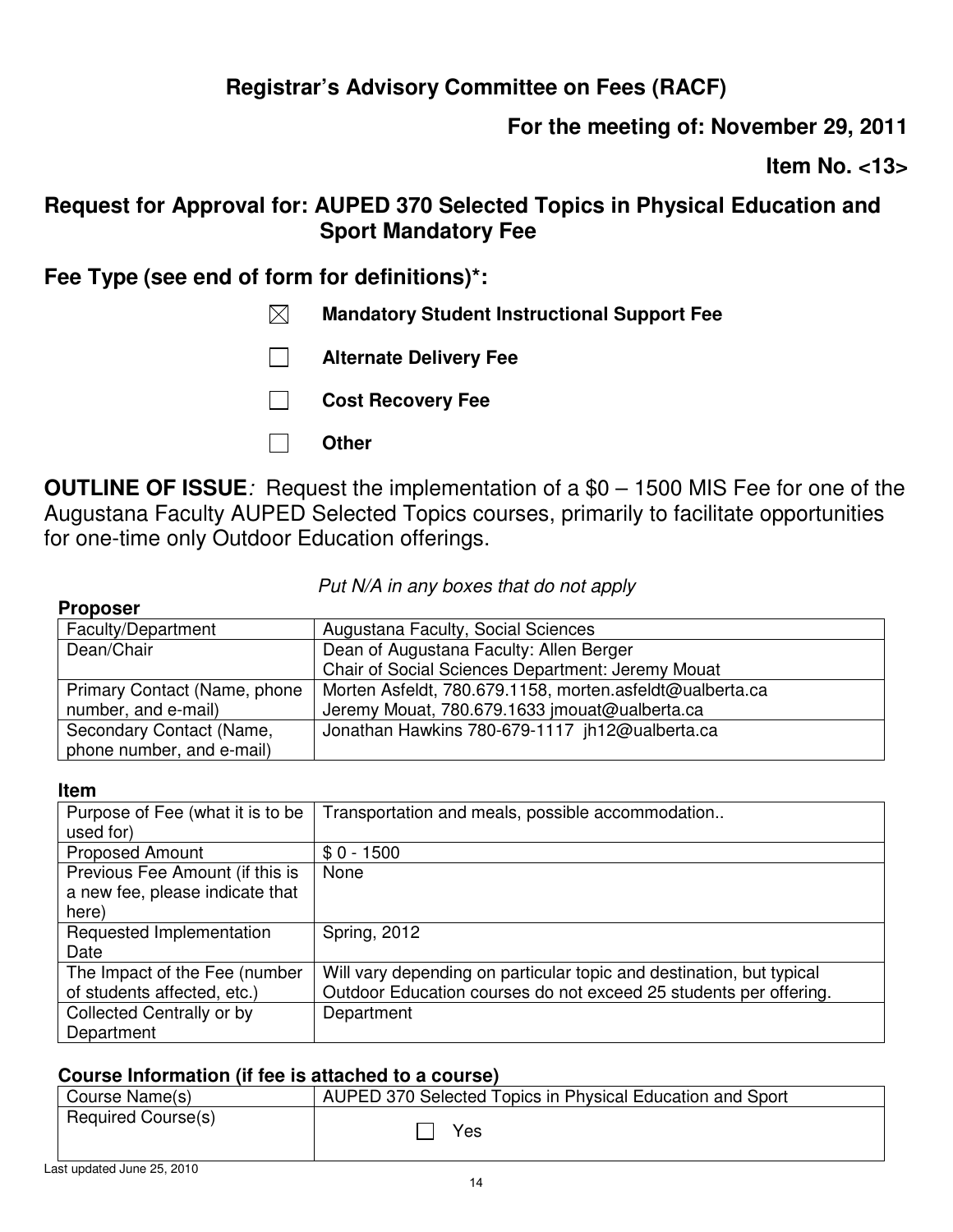# **For the meeting of: November 29, 2011**

**Item No. <13>** 

## **Request for Approval for: AUPED 370 Selected Topics in Physical Education and Sport Mandatory Fee**

## **Fee Type (see end of form for definitions)\*:**

- **Mandatory Student Instructional Support Fee**
- **Alternate Delivery Fee**
- **Cost Recovery Fee**
- **Other**

**OUTLINE OF ISSUE***:* Request the implementation of a \$0 – 1500 MIS Fee for one of the Augustana Faculty AUPED Selected Topics courses, primarily to facilitate opportunities for one-time only Outdoor Education offerings.

### *Put N/A in any boxes that do not apply*

### **Proposer**

| Faculty/Department           | Augustana Faculty, Social Sciences                       |
|------------------------------|----------------------------------------------------------|
| Dean/Chair                   | Dean of Augustana Faculty: Allen Berger                  |
|                              | Chair of Social Sciences Department: Jeremy Mouat        |
| Primary Contact (Name, phone | Morten Asfeldt, 780.679.1158, morten.asfeldt@ualberta.ca |
| number, and e-mail)          | Jeremy Mouat, 780.679.1633 jmouat@ualberta.ca            |
| Secondary Contact (Name,     | Jonathan Hawkins 780-679-1117 jh12@ualberta.ca           |
| phone number, and e-mail)    |                                                          |

### **Item**

| Purpose of Fee (what it is to be | Transportation and meals, possible accommodation                     |
|----------------------------------|----------------------------------------------------------------------|
| used for)                        |                                                                      |
| <b>Proposed Amount</b>           | $$0 - 1500$                                                          |
| Previous Fee Amount (if this is  | None                                                                 |
| a new fee, please indicate that  |                                                                      |
| here)                            |                                                                      |
| Requested Implementation         | <b>Spring, 2012</b>                                                  |
| Date                             |                                                                      |
| The Impact of the Fee (number    | Will vary depending on particular topic and destination, but typical |
| of students affected, etc.)      | Outdoor Education courses do not exceed 25 students per offering.    |
| Collected Centrally or by        | Department                                                           |
| Department                       |                                                                      |

| Course Name(s)     | AUPED 370 Selected Topics in Physical Education and Sport |
|--------------------|-----------------------------------------------------------|
| Required Course(s) | Yes                                                       |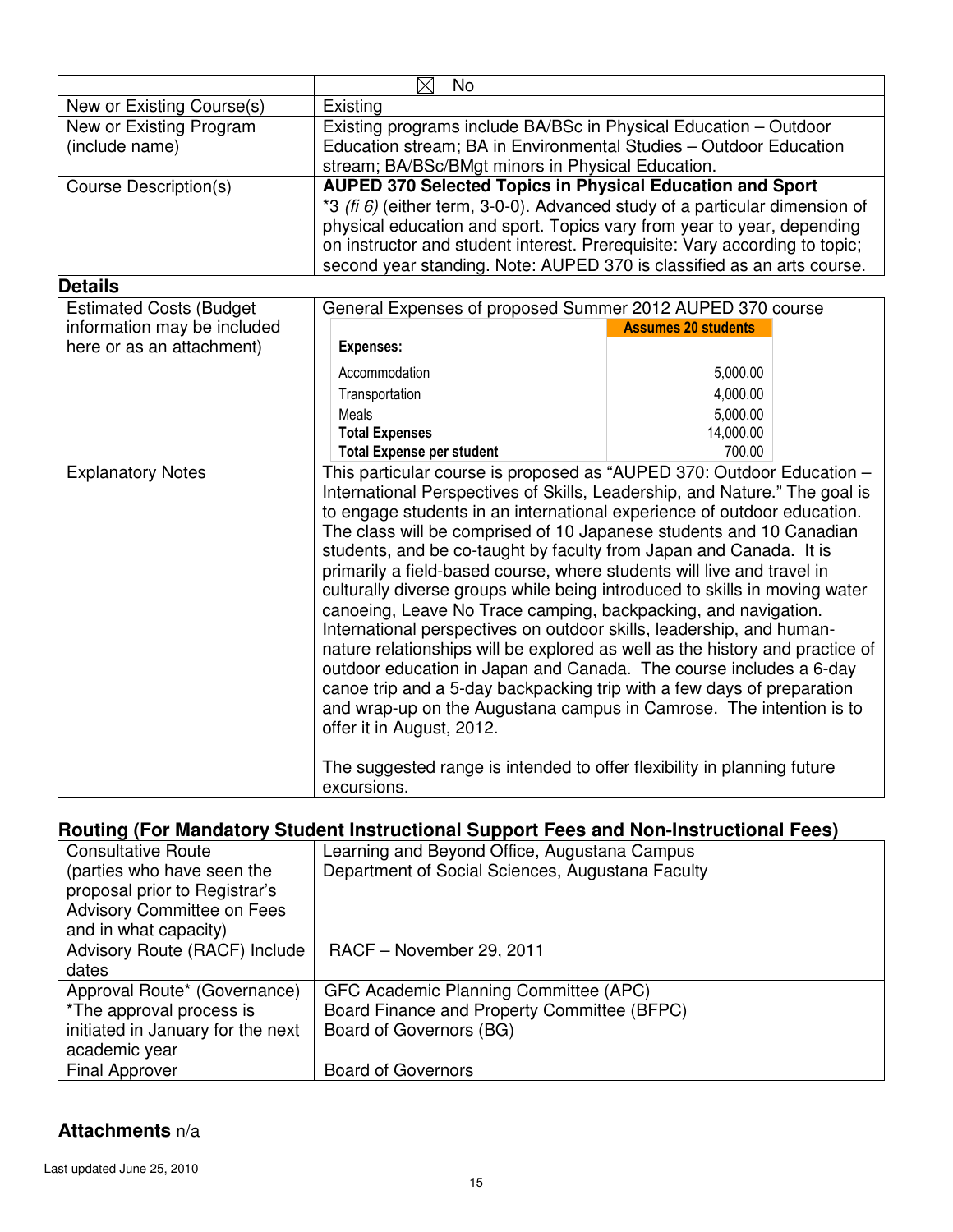|                                | $\boxtimes$<br><b>No</b>                                                       |                            |
|--------------------------------|--------------------------------------------------------------------------------|----------------------------|
| New or Existing Course(s)      | Existing                                                                       |                            |
| New or Existing Program        | Existing programs include BA/BSc in Physical Education – Outdoor               |                            |
| (include name)                 | Education stream; BA in Environmental Studies - Outdoor Education              |                            |
|                                | stream; BA/BSc/BMgt minors in Physical Education.                              |                            |
| <b>Course Description(s)</b>   | <b>AUPED 370 Selected Topics in Physical Education and Sport</b>               |                            |
|                                | *3 (fi $6$ ) (either term, 3-0-0). Advanced study of a particular dimension of |                            |
|                                | physical education and sport. Topics vary from year to year, depending         |                            |
|                                | on instructor and student interest. Prerequisite: Vary according to topic;     |                            |
|                                | second year standing. Note: AUPED 370 is classified as an arts course.         |                            |
| <b>Details</b>                 |                                                                                |                            |
| <b>Estimated Costs (Budget</b> | General Expenses of proposed Summer 2012 AUPED 370 course                      |                            |
| information may be included    |                                                                                | <b>Assumes 20 students</b> |
| here or as an attachment)      | <b>Expenses:</b>                                                               |                            |
|                                | Accommodation                                                                  | 5,000.00                   |
|                                | Transportation                                                                 | 4,000.00                   |
|                                | Meals                                                                          | 5,000.00                   |
|                                | <b>Total Expenses</b>                                                          | 14,000.00                  |
|                                | <b>Total Expense per student</b>                                               | 700.00                     |
| <b>Explanatory Notes</b>       | This particular course is proposed as "AUPED 370: Outdoor Education -          |                            |
|                                | International Perspectives of Skills, Leadership, and Nature." The goal is     |                            |
|                                | to engage students in an international experience of outdoor education.        |                            |
|                                | The class will be comprised of 10 Japanese students and 10 Canadian            |                            |
|                                | students, and be co-taught by faculty from Japan and Canada. It is             |                            |
|                                | primarily a field-based course, where students will live and travel in         |                            |
|                                | culturally diverse groups while being introduced to skills in moving water     |                            |
|                                | canoeing, Leave No Trace camping, backpacking, and navigation.                 |                            |
|                                | International perspectives on outdoor skills, leadership, and human-           |                            |
|                                | nature relationships will be explored as well as the history and practice of   |                            |
|                                | outdoor education in Japan and Canada. The course includes a 6-day             |                            |
|                                | canoe trip and a 5-day backpacking trip with a few days of preparation         |                            |
|                                | and wrap-up on the Augustana campus in Camrose. The intention is to            |                            |
|                                | offer it in August, 2012.                                                      |                            |
|                                | The suggested range is intended to offer flexibility in planning future        |                            |
|                                | excursions.                                                                    |                            |
|                                |                                                                                |                            |

| <b>Consultative Route</b>         | Learning and Beyond Office, Augustana Campus     |  |  |
|-----------------------------------|--------------------------------------------------|--|--|
| (parties who have seen the        | Department of Social Sciences, Augustana Faculty |  |  |
| proposal prior to Registrar's     |                                                  |  |  |
| <b>Advisory Committee on Fees</b> |                                                  |  |  |
| and in what capacity)             |                                                  |  |  |
| Advisory Route (RACF) Include     | RACF - November 29, 2011                         |  |  |
| dates                             |                                                  |  |  |
| Approval Route* (Governance)      | GFC Academic Planning Committee (APC)            |  |  |
| *The approval process is          | Board Finance and Property Committee (BFPC)      |  |  |
| initiated in January for the next | Board of Governors (BG)                          |  |  |
| academic year                     |                                                  |  |  |
| <b>Final Approver</b>             | <b>Board of Governors</b>                        |  |  |

### **Attachments** n/a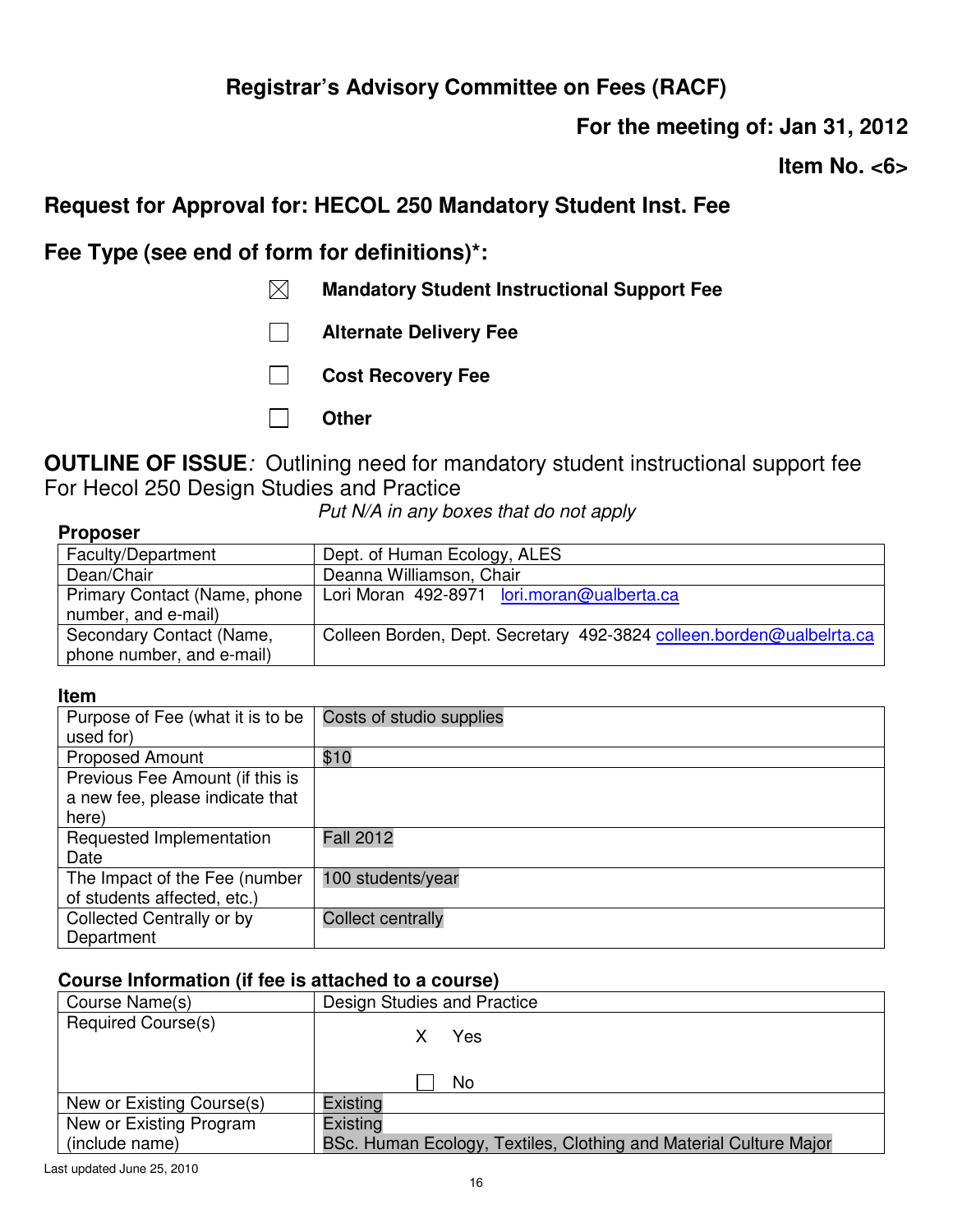**For the meeting of: Jan 31, 2012** 

**Item No. <6>** 

## **Request for Approval for: HECOL 250 Mandatory Student Inst. Fee**

**Fee Type (see end of form for definitions)\*:** 

- **Mandatory Student Instructional Support Fee**
- **Alternate Delivery Fee**
- **Cost Recovery Fee**
- **Other**

**OUTLINE OF ISSUE***:* Outlining need for mandatory student instructional support fee For Hecol 250 Design Studies and Practice

*Put N/A in any boxes that do not apply*

### **Proposer**

| Faculty/Department           | Dept. of Human Ecology, ALES                                         |
|------------------------------|----------------------------------------------------------------------|
| Dean/Chair                   | Deanna Williamson, Chair                                             |
| Primary Contact (Name, phone | Lori Moran 492-8971 lori.moran@ualberta.ca                           |
| number, and e-mail)          |                                                                      |
| Secondary Contact (Name,     | Colleen Borden, Dept. Secretary 492-3824 colleen.borden@ualbelrta.ca |
| phone number, and e-mail)    |                                                                      |

#### **Item**

| Purpose of Fee (what it is to be | Costs of studio supplies |
|----------------------------------|--------------------------|
| used for)                        |                          |
| <b>Proposed Amount</b>           | \$10                     |
| Previous Fee Amount (if this is  |                          |
| a new fee, please indicate that  |                          |
| here)                            |                          |
| Requested Implementation         | <b>Fall 2012</b>         |
| Date                             |                          |
| The Impact of the Fee (number    | 100 students/year        |
| of students affected, etc.)      |                          |
| Collected Centrally or by        | <b>Collect centrally</b> |
| Department                       |                          |

| Course Name(s)                            | Design Studies and Practice                                                   |
|-------------------------------------------|-------------------------------------------------------------------------------|
| <b>Required Course(s)</b>                 | Yes<br>No                                                                     |
| New or Existing Course(s)                 | Existing                                                                      |
| New or Existing Program<br>(include name) | Existing<br>BSc. Human Ecology, Textiles, Clothing and Material Culture Major |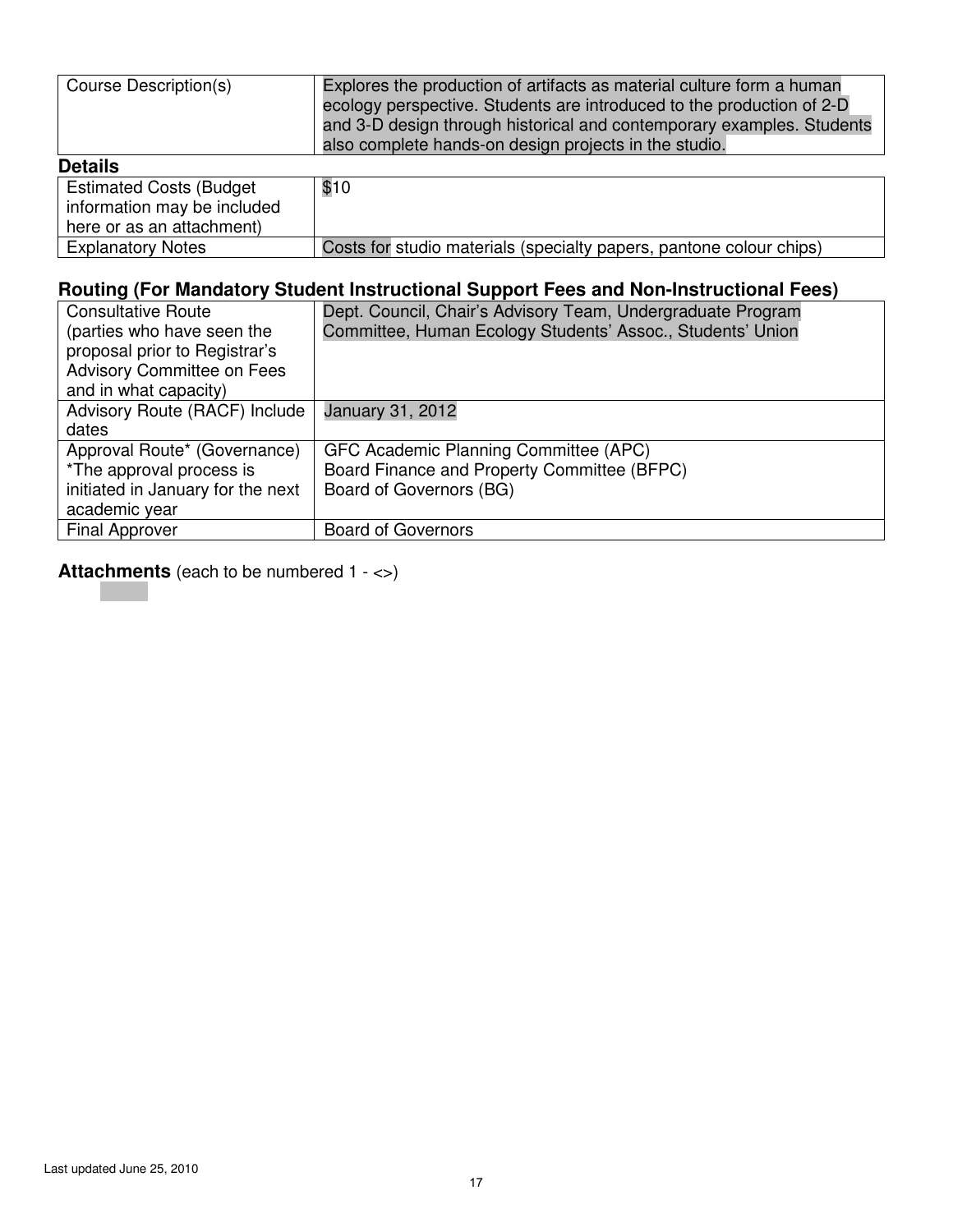| Course Description(s)                                          | Explores the production of artifacts as material culture form a human<br>ecology perspective. Students are introduced to the production of 2-D<br>and 3-D design through historical and contemporary examples. Students<br>also complete hands-on design projects in the studio. |
|----------------------------------------------------------------|----------------------------------------------------------------------------------------------------------------------------------------------------------------------------------------------------------------------------------------------------------------------------------|
| <b>Details</b>                                                 |                                                                                                                                                                                                                                                                                  |
| <b>Estimated Costs (Budget)</b><br>information may be included | \$10                                                                                                                                                                                                                                                                             |

| here or as an attachment) |                                                                     |
|---------------------------|---------------------------------------------------------------------|
| <b>Explanatory Notes</b>  | Costs for studio materials (specialty papers, pantone colour chips) |
|                           |                                                                     |

| <b>Consultative Route</b>         | Dept. Council, Chair's Advisory Team, Undergraduate Program |
|-----------------------------------|-------------------------------------------------------------|
| (parties who have seen the        | Committee, Human Ecology Students' Assoc., Students' Union  |
| proposal prior to Registrar's     |                                                             |
| <b>Advisory Committee on Fees</b> |                                                             |
| and in what capacity)             |                                                             |
| Advisory Route (RACF) Include     | <b>January 31, 2012</b>                                     |
| dates                             |                                                             |
| Approval Route* (Governance)      | GFC Academic Planning Committee (APC)                       |
| *The approval process is          | Board Finance and Property Committee (BFPC)                 |
| initiated in January for the next | Board of Governors (BG)                                     |
| academic year                     |                                                             |
| <b>Final Approver</b>             | <b>Board of Governors</b>                                   |
|                                   |                                                             |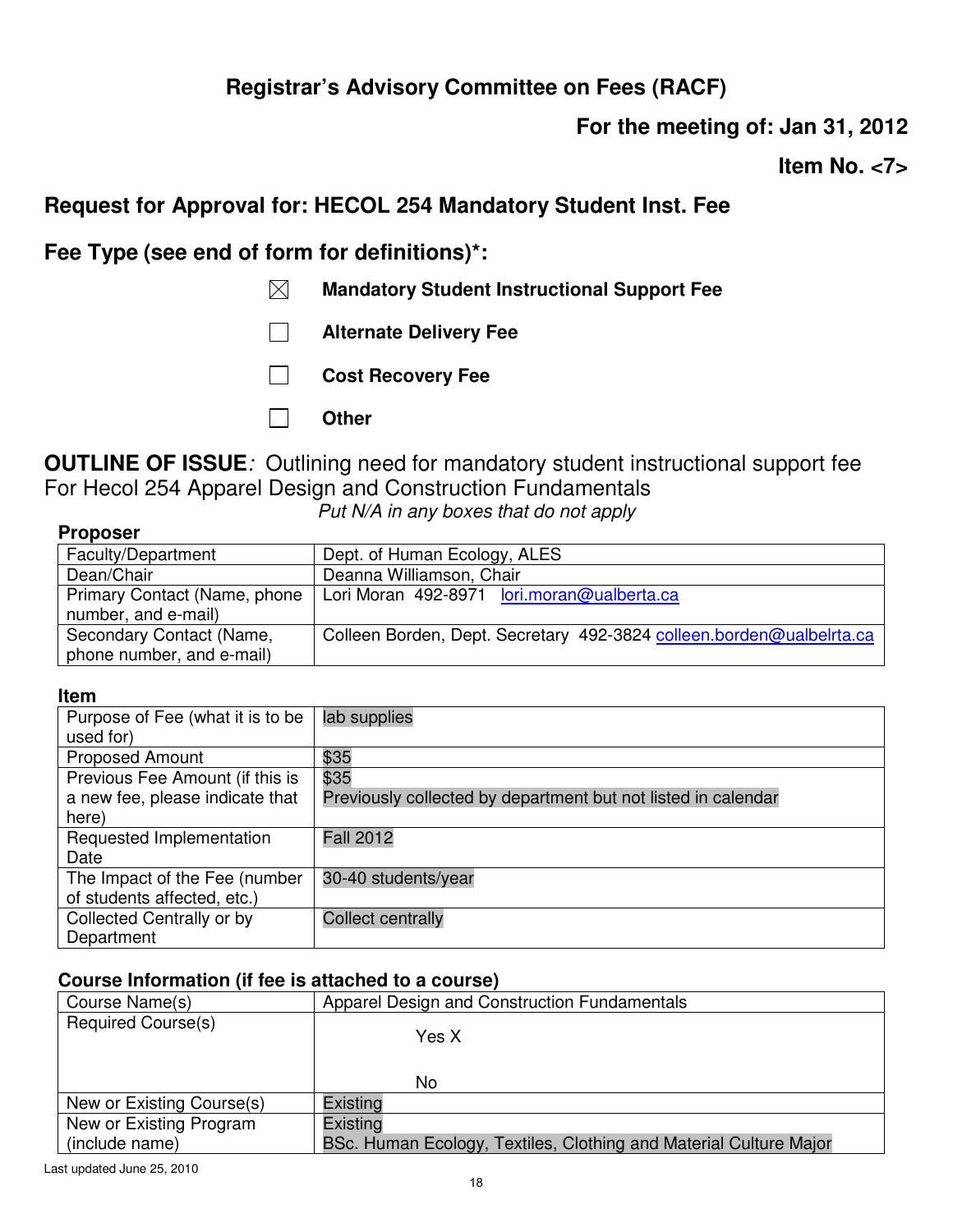**For the meeting of: Jan 31, 2012** 

**Item No. <7>** 

## **Request for Approval for: HECOL 254 Mandatory Student Inst. Fee**

**Fee Type (see end of form for definitions)\*:** 

- **Mandatory Student Instructional Support Fee**
- **Alternate Delivery Fee**
- **Cost Recovery Fee**
- **Other**

**OUTLINE OF ISSUE***:* Outlining need for mandatory student instructional support fee For Hecol 254 Apparel Design and Construction Fundamentals

*Put N/A in any boxes that do not apply*

| <b>Proposer</b> |  |
|-----------------|--|
|-----------------|--|

| Faculty/Department           | Dept. of Human Ecology, ALES                                         |
|------------------------------|----------------------------------------------------------------------|
| Dean/Chair                   | Deanna Williamson, Chair                                             |
| Primary Contact (Name, phone | Lori Moran 492-8971 lori.moran@ualberta.ca                           |
| number, and e-mail)          |                                                                      |
| Secondary Contact (Name,     | Colleen Borden, Dept. Secretary 492-3824 colleen.borden@ualbelrta.ca |
| phone number, and e-mail)    |                                                                      |

#### **Item**

| Purpose of Fee (what it is to be | lab supplies                                                  |
|----------------------------------|---------------------------------------------------------------|
| used for)                        |                                                               |
| <b>Proposed Amount</b>           | \$35                                                          |
| Previous Fee Amount (if this is  | \$35                                                          |
| a new fee, please indicate that  | Previously collected by department but not listed in calendar |
| here)                            |                                                               |
| Requested Implementation         | <b>Fall 2012</b>                                              |
| Date                             |                                                               |
| The Impact of the Fee (number    | 30-40 students/year                                           |
| of students affected, etc.)      |                                                               |
| Collected Centrally or by        | <b>Collect centrally</b>                                      |
| Department                       |                                                               |

| Course Name(s)            | Apparel Design and Construction Fundamentals                      |
|---------------------------|-------------------------------------------------------------------|
| <b>Required Course(s)</b> | Yes X<br>No.                                                      |
| New or Existing Course(s) | Existing                                                          |
| New or Existing Program   | Existing                                                          |
| (include name)            | BSc. Human Ecology, Textiles, Clothing and Material Culture Major |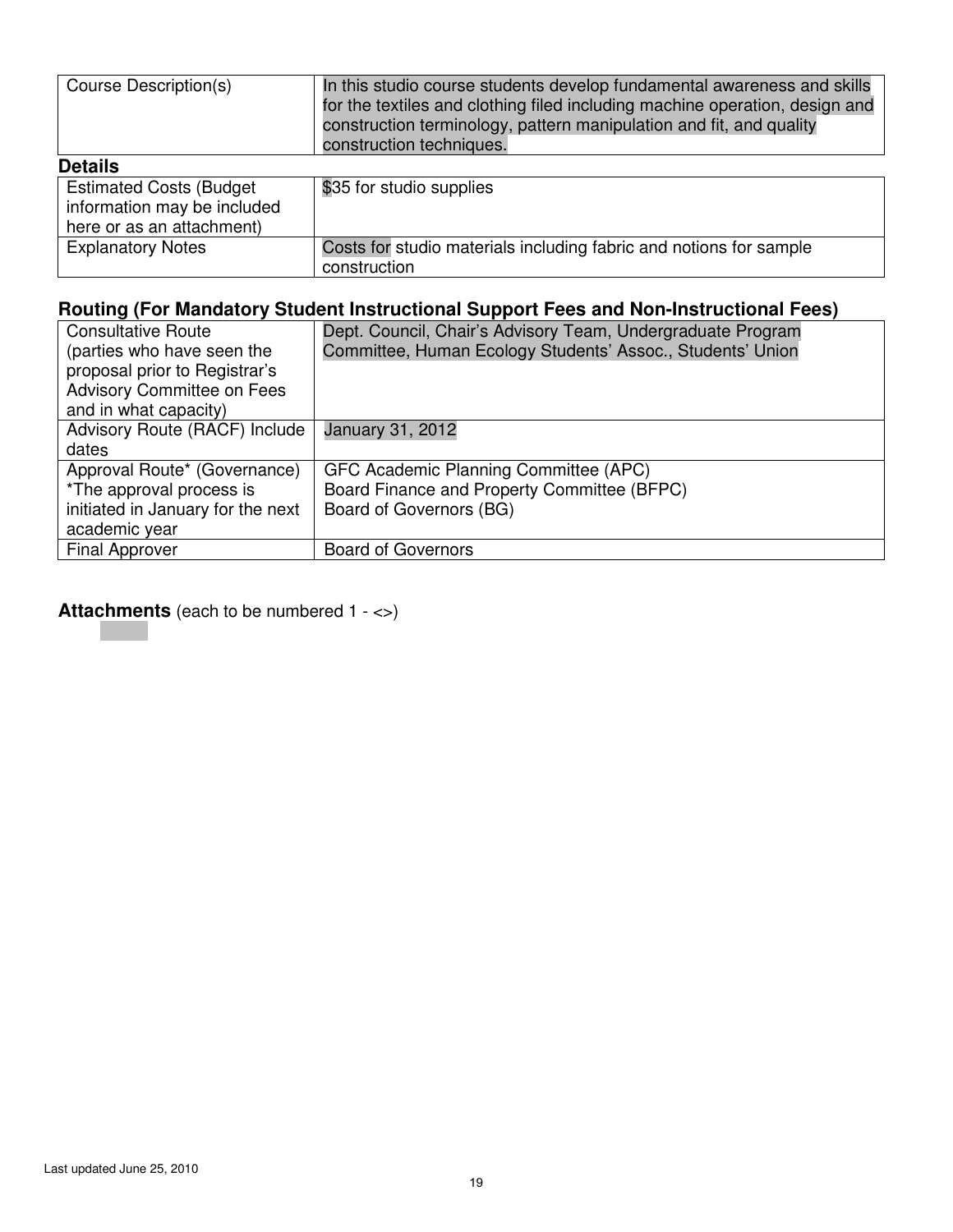| Course Description(s)                                                                       | In this studio course students develop fundamental awareness and skills<br>for the textiles and clothing filed including machine operation, design and<br>construction terminology, pattern manipulation and fit, and quality<br>construction techniques. |
|---------------------------------------------------------------------------------------------|-----------------------------------------------------------------------------------------------------------------------------------------------------------------------------------------------------------------------------------------------------------|
| <b>Details</b>                                                                              |                                                                                                                                                                                                                                                           |
| <b>Estimated Costs (Budget)</b><br>information may be included<br>here or as an attachment) | \$35 for studio supplies                                                                                                                                                                                                                                  |
| <b>Explanatory Notes</b>                                                                    | Costs for studio materials including fabric and notions for sample<br>construction                                                                                                                                                                        |

| <b>Consultative Route</b>         | Dept. Council, Chair's Advisory Team, Undergraduate Program |
|-----------------------------------|-------------------------------------------------------------|
| (parties who have seen the        | Committee, Human Ecology Students' Assoc., Students' Union  |
| proposal prior to Registrar's     |                                                             |
| <b>Advisory Committee on Fees</b> |                                                             |
| and in what capacity)             |                                                             |
| Advisory Route (RACF) Include     | January 31, 2012                                            |
| dates                             |                                                             |
| Approval Route* (Governance)      | GFC Academic Planning Committee (APC)                       |
| *The approval process is          | Board Finance and Property Committee (BFPC)                 |
| initiated in January for the next | Board of Governors (BG)                                     |
| academic year                     |                                                             |
| <b>Final Approver</b>             | <b>Board of Governors</b>                                   |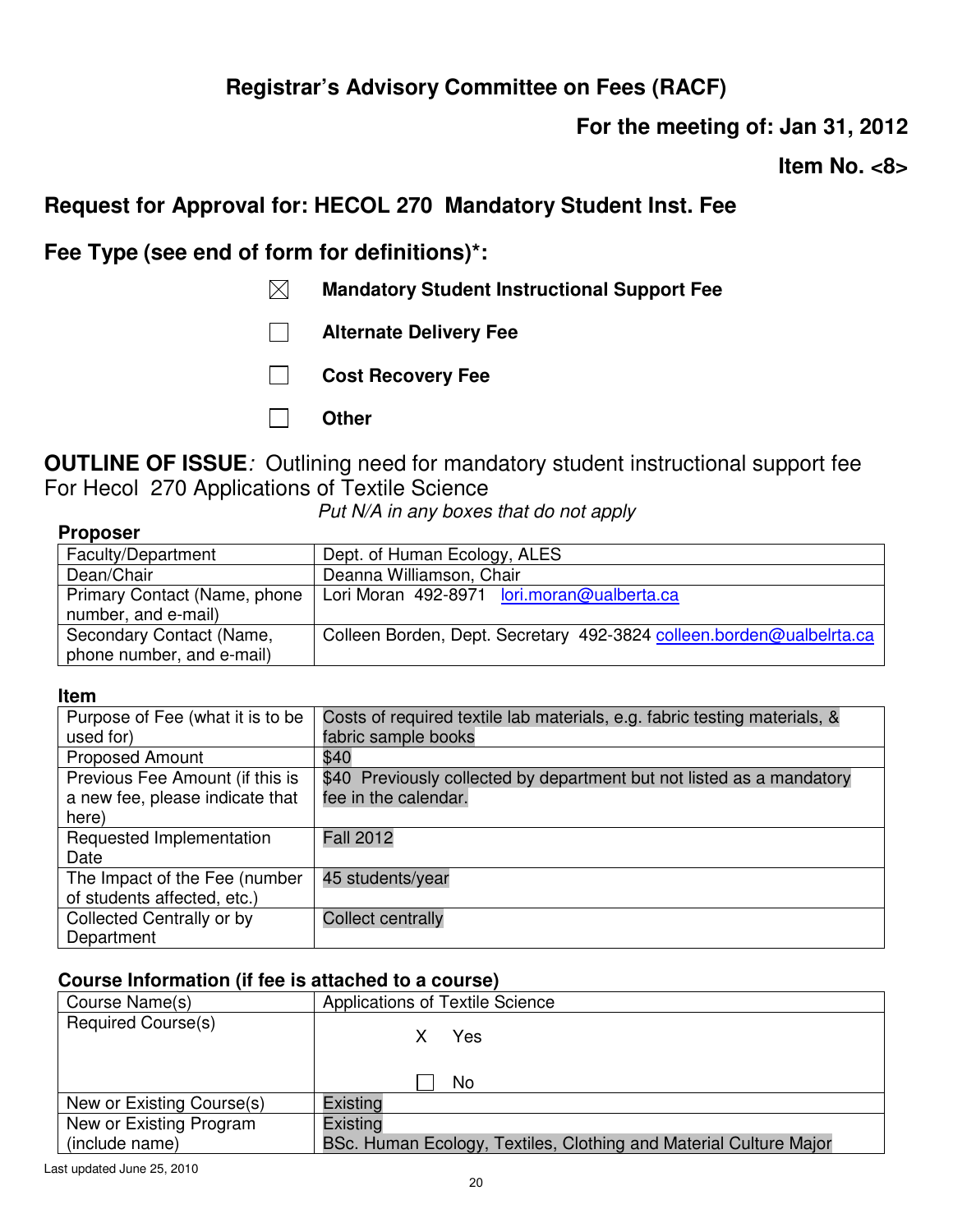**For the meeting of: Jan 31, 2012** 

**Item No. <8>** 

## **Request for Approval for: HECOL 270 Mandatory Student Inst. Fee**

**Fee Type (see end of form for definitions)\*:** 

- **Mandatory Student Instructional Support Fee**
- **Alternate Delivery Fee**
- **Cost Recovery Fee**
- **Other**

**OUTLINE OF ISSUE***:* Outlining need for mandatory student instructional support fee For Hecol 270 Applications of Textile Science

*Put N/A in any boxes that do not apply*

### **Proposer**

| Faculty/Department           | Dept. of Human Ecology, ALES                                         |
|------------------------------|----------------------------------------------------------------------|
| Dean/Chair                   | Deanna Williamson, Chair                                             |
| Primary Contact (Name, phone | Lori Moran 492-8971 lori.moran@ualberta.ca                           |
| number, and e-mail)          |                                                                      |
| Secondary Contact (Name,     | Colleen Borden, Dept. Secretary 492-3824 colleen.borden@ualbelrta.ca |
| phone number, and e-mail)    |                                                                      |

#### **Item**

| Purpose of Fee (what it is to be                             | Costs of required textile lab materials, e.g. fabric testing materials, & |
|--------------------------------------------------------------|---------------------------------------------------------------------------|
| used for)                                                    | fabric sample books                                                       |
| <b>Proposed Amount</b>                                       | \$40                                                                      |
| Previous Fee Amount (if this is                              | \$40 Previously collected by department but not listed as a mandatory     |
| a new fee, please indicate that<br>here)                     | fee in the calendar.                                                      |
| Requested Implementation<br>Date                             | <b>Fall 2012</b>                                                          |
| The Impact of the Fee (number<br>of students affected, etc.) | 45 students/year                                                          |
| Collected Centrally or by<br>Department                      | <b>Collect centrally</b>                                                  |

| Course Name(s)            | Applications of Textile Science                                   |
|---------------------------|-------------------------------------------------------------------|
| <b>Required Course(s)</b> | X Yes<br>No                                                       |
| New or Existing Course(s) | Existing                                                          |
| New or Existing Program   | Existing                                                          |
| (include name)            | BSc. Human Ecology, Textiles, Clothing and Material Culture Major |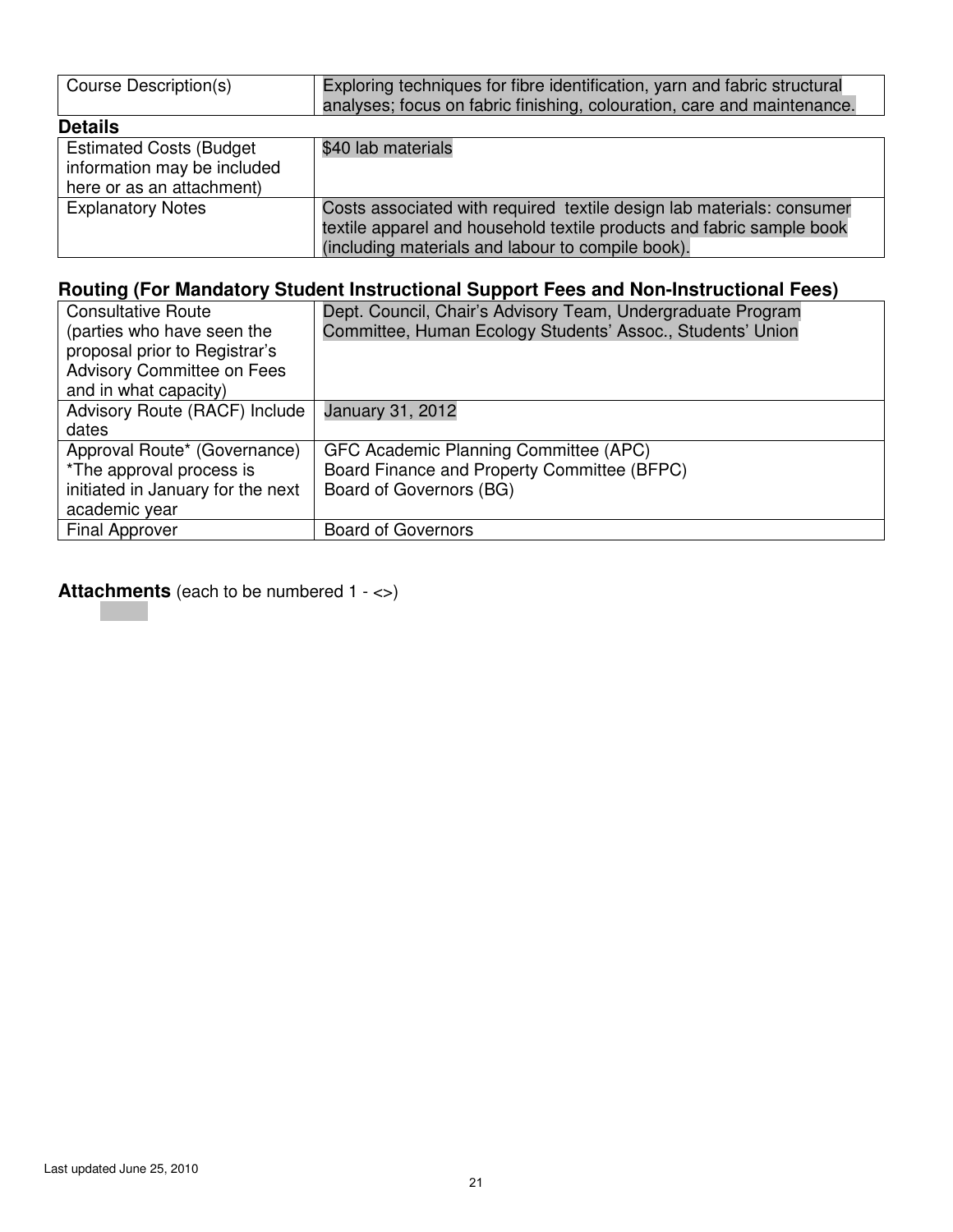| Course Description(s)                                                                      | Exploring techniques for fibre identification, yarn and fabric structural<br>analyses; focus on fabric finishing, colouration, care and maintenance.                                                |
|--------------------------------------------------------------------------------------------|-----------------------------------------------------------------------------------------------------------------------------------------------------------------------------------------------------|
| <b>Details</b>                                                                             |                                                                                                                                                                                                     |
| <b>Estimated Costs (Budget</b><br>information may be included<br>here or as an attachment) | \$40 lab materials                                                                                                                                                                                  |
| <b>Explanatory Notes</b>                                                                   | Costs associated with required textile design lab materials: consumer<br>textile apparel and household textile products and fabric sample book<br>(including materials and labour to compile book). |

| <b>Consultative Route</b>         | Dept. Council, Chair's Advisory Team, Undergraduate Program |
|-----------------------------------|-------------------------------------------------------------|
| (parties who have seen the        | Committee, Human Ecology Students' Assoc., Students' Union  |
| proposal prior to Registrar's     |                                                             |
| <b>Advisory Committee on Fees</b> |                                                             |
| and in what capacity)             |                                                             |
| Advisory Route (RACF) Include     | <b>January 31, 2012</b>                                     |
| dates                             |                                                             |
| Approval Route* (Governance)      | GFC Academic Planning Committee (APC)                       |
| *The approval process is          | Board Finance and Property Committee (BFPC)                 |
| initiated in January for the next | Board of Governors (BG)                                     |
| academic year                     |                                                             |
| <b>Final Approver</b>             | <b>Board of Governors</b>                                   |
|                                   |                                                             |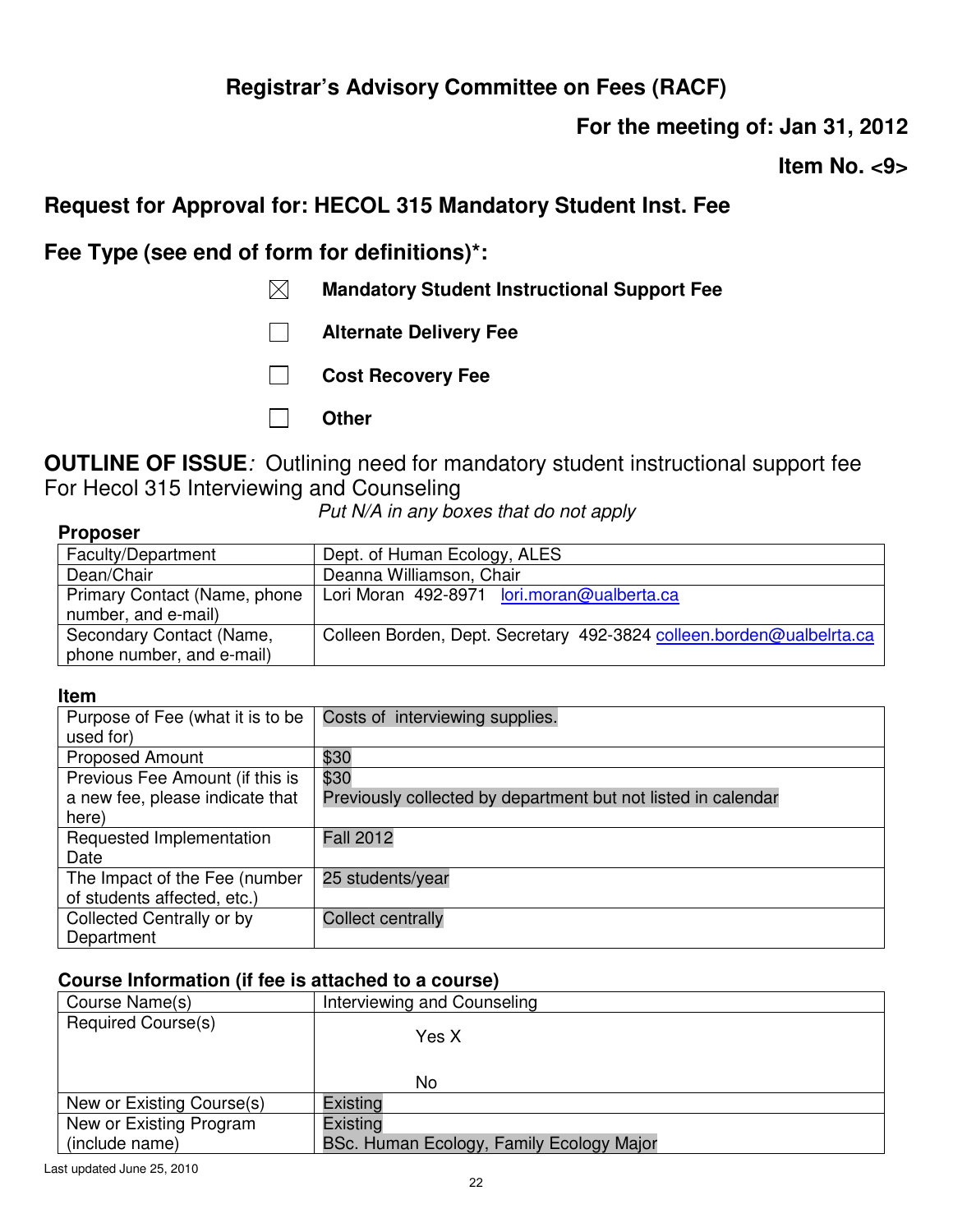**For the meeting of: Jan 31, 2012** 

**Item No. <9>** 

## **Request for Approval for: HECOL 315 Mandatory Student Inst. Fee**

**Fee Type (see end of form for definitions)\*:** 

- **Mandatory Student Instructional Support Fee**
- **Alternate Delivery Fee**
- **Cost Recovery Fee**
- **Other**

**OUTLINE OF ISSUE***:* Outlining need for mandatory student instructional support fee For Hecol 315 Interviewing and Counseling

*Put N/A in any boxes that do not apply*

| Proposer |  |
|----------|--|
|          |  |

| Faculty/Department           | Dept. of Human Ecology, ALES                                         |
|------------------------------|----------------------------------------------------------------------|
| Dean/Chair                   | Deanna Williamson, Chair                                             |
| Primary Contact (Name, phone | Lori Moran 492-8971 lori.moran@ualberta.ca                           |
| number, and e-mail)          |                                                                      |
| Secondary Contact (Name,     | Colleen Borden, Dept. Secretary 492-3824 colleen.borden@ualbelrta.ca |
| phone number, and e-mail)    |                                                                      |

#### **Item**

| Purpose of Fee (what it is to be | Costs of interviewing supplies.                               |
|----------------------------------|---------------------------------------------------------------|
| used for)                        |                                                               |
| <b>Proposed Amount</b>           | \$30                                                          |
| Previous Fee Amount (if this is  | \$30                                                          |
| a new fee, please indicate that  | Previously collected by department but not listed in calendar |
| here)                            |                                                               |
| Requested Implementation         | <b>Fall 2012</b>                                              |
| Date                             |                                                               |
| The Impact of the Fee (number    | 25 students/year                                              |
| of students affected, etc.)      |                                                               |
| Collected Centrally or by        | <b>Collect centrally</b>                                      |
| Department                       |                                                               |

| Course Name(s)            | Interviewing and Counseling              |
|---------------------------|------------------------------------------|
| <b>Required Course(s)</b> | Yes X<br>No                              |
| New or Existing Course(s) | Existing                                 |
| New or Existing Program   | Existing                                 |
| (include name)            | BSc. Human Ecology, Family Ecology Major |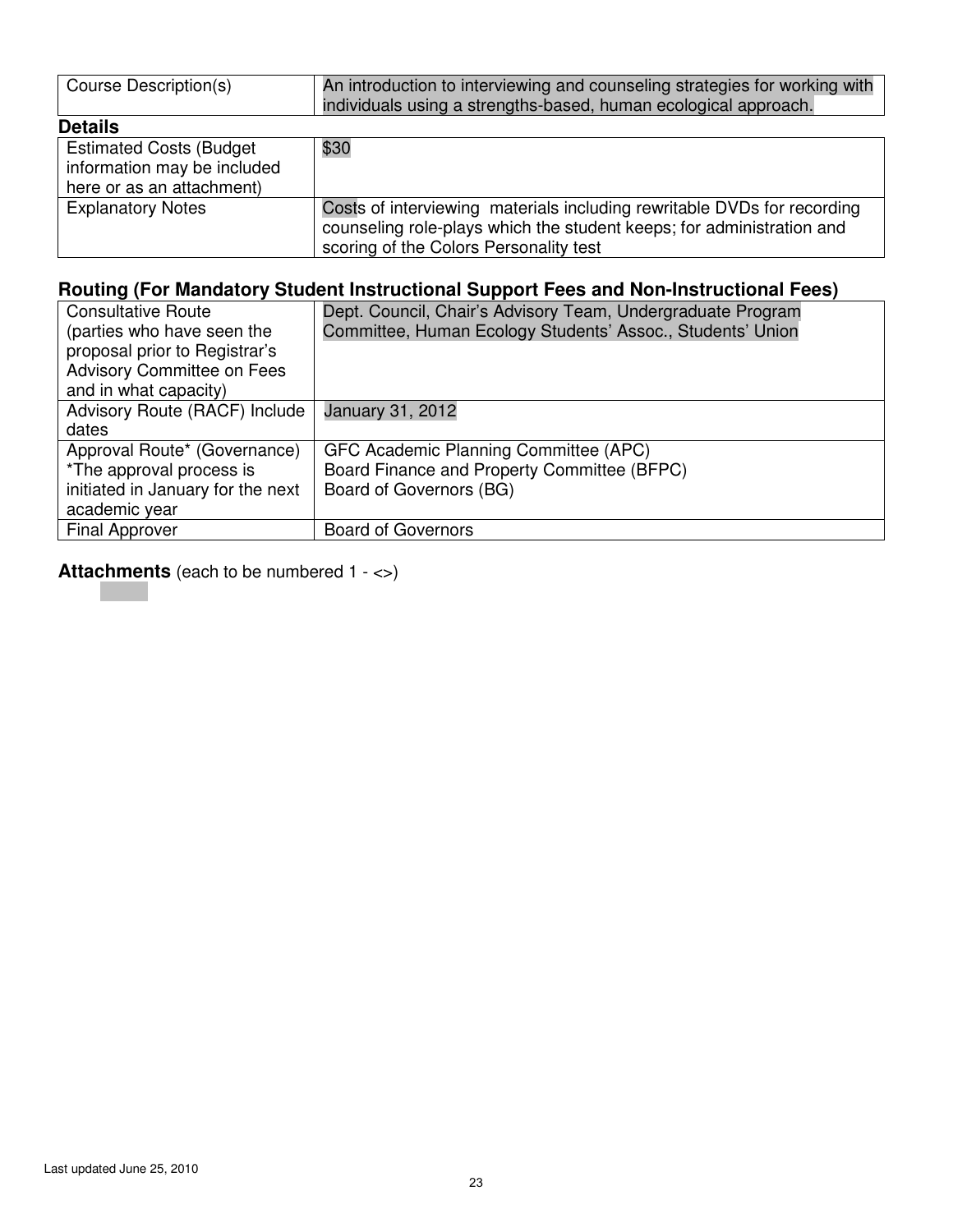| Course Description(s)                                                                       | An introduction to interviewing and counseling strategies for working with<br>individuals using a strengths-based, human ecological approach.                                              |
|---------------------------------------------------------------------------------------------|--------------------------------------------------------------------------------------------------------------------------------------------------------------------------------------------|
| <b>Details</b>                                                                              |                                                                                                                                                                                            |
| <b>Estimated Costs (Budget)</b><br>information may be included<br>here or as an attachment) | \$30                                                                                                                                                                                       |
| <b>Explanatory Notes</b>                                                                    | Costs of interviewing materials including rewritable DVDs for recording<br>counseling role-plays which the student keeps; for administration and<br>scoring of the Colors Personality test |

| <b>Consultative Route</b>         | Dept. Council, Chair's Advisory Team, Undergraduate Program |
|-----------------------------------|-------------------------------------------------------------|
| (parties who have seen the        | Committee, Human Ecology Students' Assoc., Students' Union  |
| proposal prior to Registrar's     |                                                             |
| <b>Advisory Committee on Fees</b> |                                                             |
| and in what capacity)             |                                                             |
| Advisory Route (RACF) Include     | January 31, 2012                                            |
| dates                             |                                                             |
| Approval Route* (Governance)      | GFC Academic Planning Committee (APC)                       |
| *The approval process is          | Board Finance and Property Committee (BFPC)                 |
| initiated in January for the next | Board of Governors (BG)                                     |
| academic year                     |                                                             |
| <b>Final Approver</b>             | <b>Board of Governors</b>                                   |
|                                   |                                                             |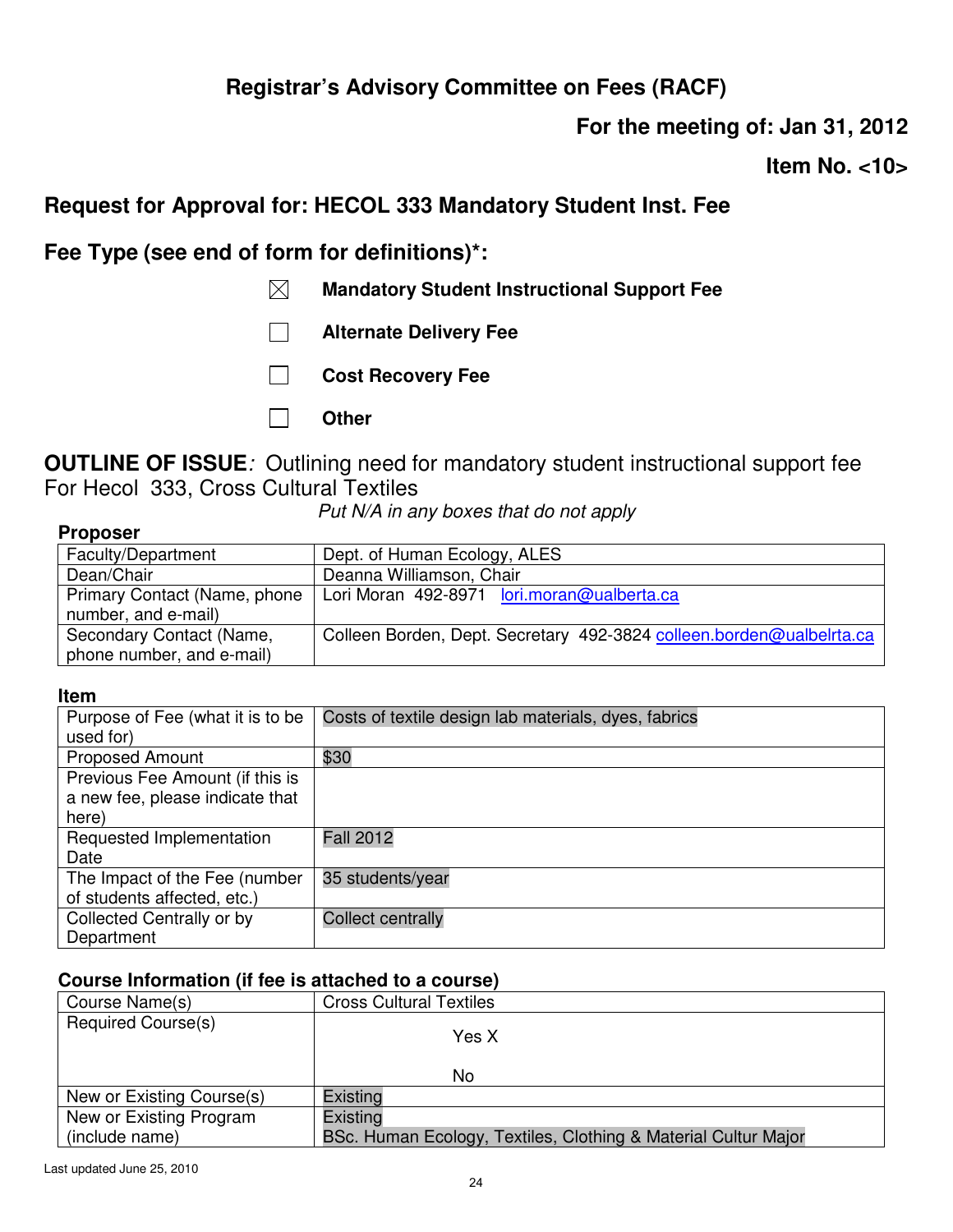**For the meeting of: Jan 31, 2012** 

**Item No. <10>** 

## **Request for Approval for: HECOL 333 Mandatory Student Inst. Fee**

**Fee Type (see end of form for definitions)\*:** 

- **Mandatory Student Instructional Support Fee**
- **Alternate Delivery Fee**
- **Cost Recovery Fee**
- **Other**

**OUTLINE OF ISSUE***:* Outlining need for mandatory student instructional support fee For Hecol 333, Cross Cultural Textiles

*Put N/A in any boxes that do not apply*

| .                            |                                                                      |
|------------------------------|----------------------------------------------------------------------|
| Faculty/Department           | Dept. of Human Ecology, ALES                                         |
| Dean/Chair                   | Deanna Williamson, Chair                                             |
| Primary Contact (Name, phone | Lori Moran 492-8971 lori.moran@ualberta.ca                           |
| number, and e-mail)          |                                                                      |
| Secondary Contact (Name,     | Colleen Borden, Dept. Secretary 492-3824 colleen.borden@ualbelrta.ca |
| phone number, and e-mail)    |                                                                      |

#### **Item**

| Purpose of Fee (what it is to be | Costs of textile design lab materials, dyes, fabrics |
|----------------------------------|------------------------------------------------------|
| used for)                        |                                                      |
| <b>Proposed Amount</b>           | \$30                                                 |
| Previous Fee Amount (if this is  |                                                      |
| a new fee, please indicate that  |                                                      |
| here)                            |                                                      |
| Requested Implementation         | <b>Fall 2012</b>                                     |
| Date                             |                                                      |
| The Impact of the Fee (number    | 35 students/year                                     |
| of students affected, etc.)      |                                                      |
| Collected Centrally or by        | <b>Collect centrally</b>                             |
| Department                       |                                                      |

| Course Name(s)            | <b>Cross Cultural Textiles</b>                                 |
|---------------------------|----------------------------------------------------------------|
| <b>Required Course(s)</b> | Yes X<br>No                                                    |
|                           |                                                                |
| New or Existing Course(s) | Existing                                                       |
| New or Existing Program   | Existing                                                       |
| (include name)            | BSc. Human Ecology, Textiles, Clothing & Material Cultur Major |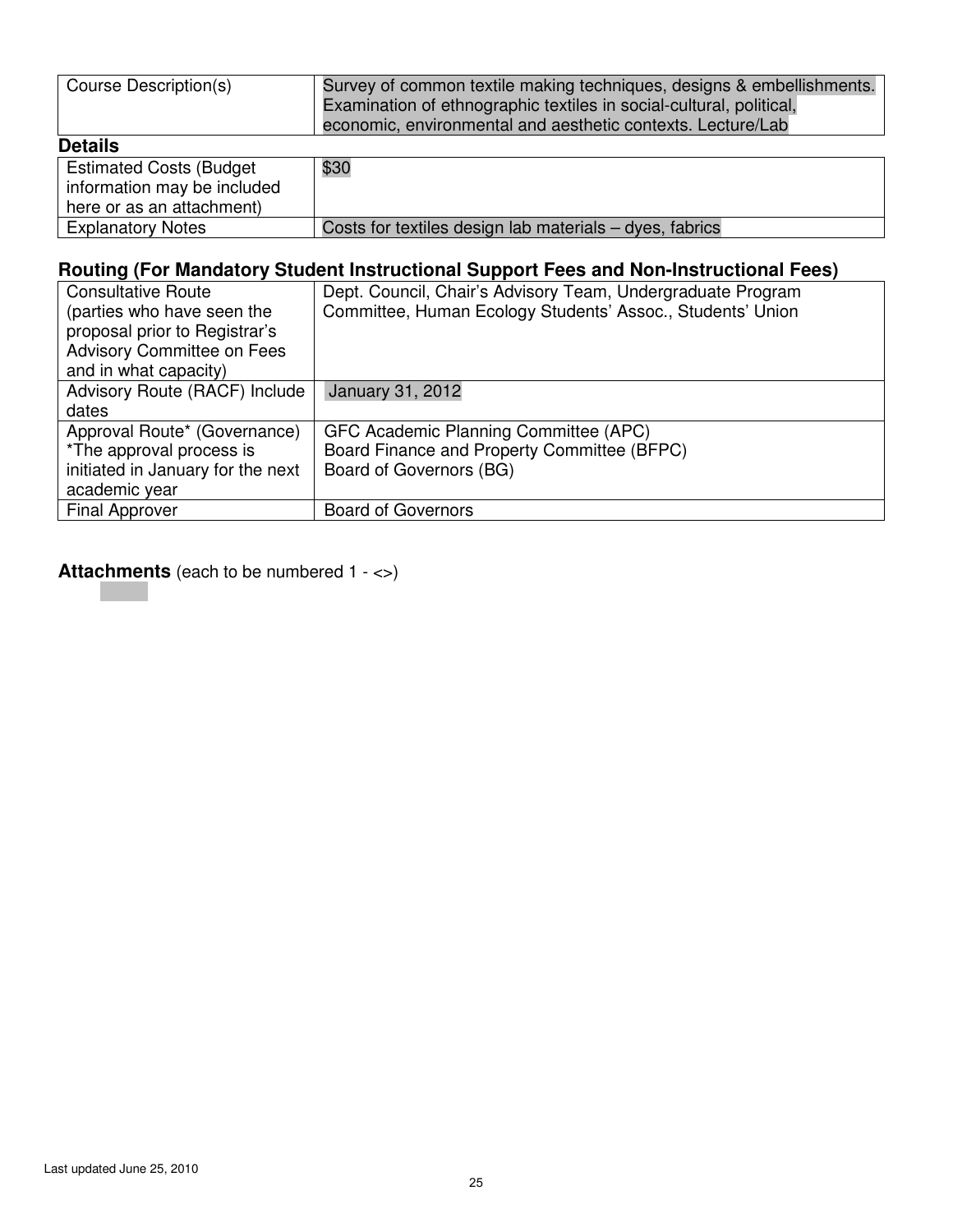| Course Description(s)             | Survey of common textile making techniques, designs & embellishments.<br>Examination of ethnographic textiles in social-cultural, political,<br>economic, environmental and aesthetic contexts. Lecture/Lab |
|-----------------------------------|-------------------------------------------------------------------------------------------------------------------------------------------------------------------------------------------------------------|
| <b>Details</b>                    |                                                                                                                                                                                                             |
| <b>Estimated Costs (Budget)</b>   | \$30                                                                                                                                                                                                        |
| information may be included       |                                                                                                                                                                                                             |
| here or as an attachment)         |                                                                                                                                                                                                             |
| <b>Explanatory Notes</b>          | Costs for textiles design lab materials – dyes, fabrics                                                                                                                                                     |
|                                   | Routing (For Mandatory Student Instructional Support Fees and Non-Instructional Fees)                                                                                                                       |
| <b>Consultative Route</b>         | Dept. Council, Chair's Advisory Team, Undergraduate Program                                                                                                                                                 |
| (parties who have seen the        | Committee, Human Ecology Students' Assoc., Students' Union                                                                                                                                                  |
| proposal prior to Registrar's     |                                                                                                                                                                                                             |
| <b>Advisory Committee on Fees</b> |                                                                                                                                                                                                             |
| and in what capacity)             |                                                                                                                                                                                                             |
| Advisory Route (RACF) Include     | January 31, 2012                                                                                                                                                                                            |
| dates                             |                                                                                                                                                                                                             |
| Approval Route* (Governance)      | GFC Academic Planning Committee (APC)                                                                                                                                                                       |
| *The approval process is          | Board Finance and Property Committee (BFPC)                                                                                                                                                                 |
| initiated in January for the next | Board of Governors (BG)                                                                                                                                                                                     |
| academic year                     |                                                                                                                                                                                                             |
| <b>Final Approver</b>             | <b>Board of Governors</b>                                                                                                                                                                                   |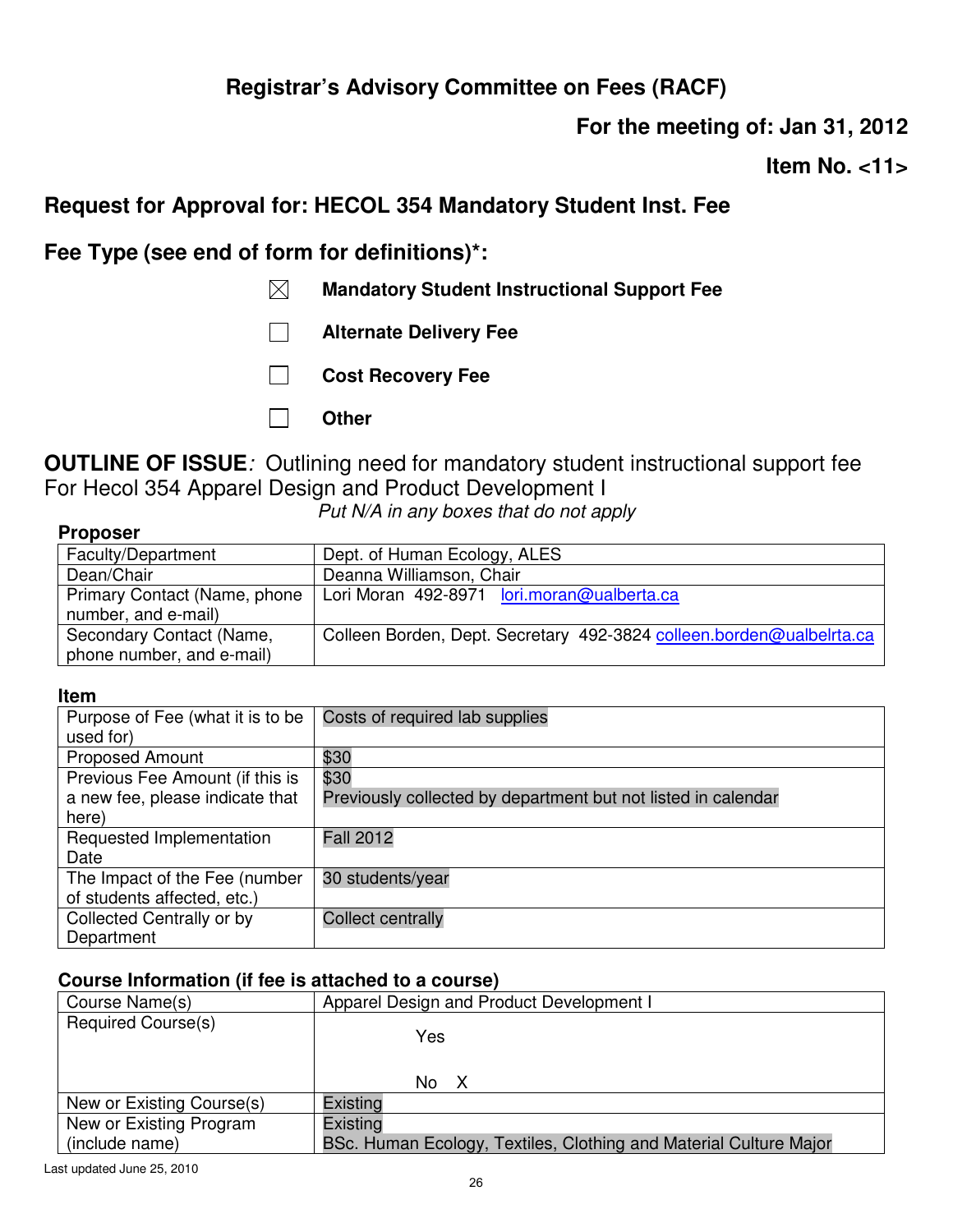**For the meeting of: Jan 31, 2012** 

**Item No. <11>** 

## **Request for Approval for: HECOL 354 Mandatory Student Inst. Fee**

**Fee Type (see end of form for definitions)\*:** 

- **Mandatory Student Instructional Support Fee**
- **Alternate Delivery Fee**
- **Cost Recovery Fee**
- **Other**

**OUTLINE OF ISSUE***:* Outlining need for mandatory student instructional support fee For Hecol 354 Apparel Design and Product Development I

*Put N/A in any boxes that do not apply*

| <b>Proposer</b> |  |
|-----------------|--|
|-----------------|--|

| Faculty/Department           | Dept. of Human Ecology, ALES                                         |
|------------------------------|----------------------------------------------------------------------|
| Dean/Chair                   | Deanna Williamson, Chair                                             |
| Primary Contact (Name, phone | Lori Moran 492-8971 lori.moran@ualberta.ca                           |
| number, and e-mail)          |                                                                      |
| Secondary Contact (Name,     | Colleen Borden, Dept. Secretary 492-3824 colleen.borden@ualbelrta.ca |
| phone number, and e-mail)    |                                                                      |

#### **Item**

| Purpose of Fee (what it is to be | Costs of required lab supplies                                |
|----------------------------------|---------------------------------------------------------------|
| used for)                        |                                                               |
| <b>Proposed Amount</b>           | \$30                                                          |
| Previous Fee Amount (if this is  | \$30                                                          |
| a new fee, please indicate that  | Previously collected by department but not listed in calendar |
| here)                            |                                                               |
| Requested Implementation         | <b>Fall 2012</b>                                              |
| Date                             |                                                               |
| The Impact of the Fee (number    | 30 students/year                                              |
| of students affected, etc.)      |                                                               |
| Collected Centrally or by        | <b>Collect centrally</b>                                      |
| Department                       |                                                               |

| Course Name(s)            | Apparel Design and Product Development I                          |
|---------------------------|-------------------------------------------------------------------|
| Required Course(s)        | Yes<br>No X                                                       |
| New or Existing Course(s) | Existing                                                          |
| New or Existing Program   | Existing                                                          |
| (include name)            | BSc. Human Ecology, Textiles, Clothing and Material Culture Major |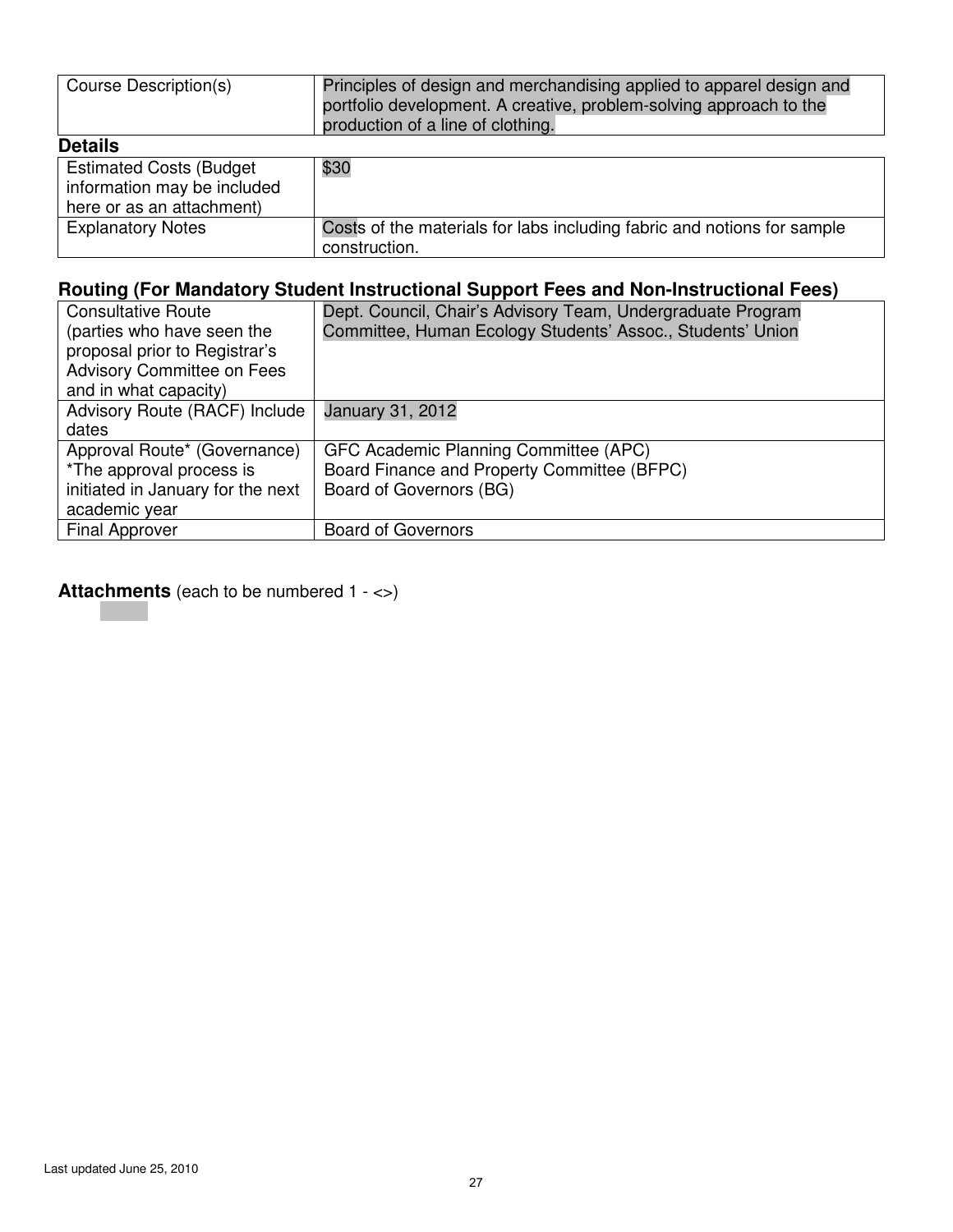| Course Description(s)                                                                      | Principles of design and merchandising applied to apparel design and<br>portfolio development. A creative, problem-solving approach to the<br>production of a line of clothing. |
|--------------------------------------------------------------------------------------------|---------------------------------------------------------------------------------------------------------------------------------------------------------------------------------|
| <b>Details</b>                                                                             |                                                                                                                                                                                 |
| <b>Estimated Costs (Budget</b><br>information may be included<br>here or as an attachment) | \$30                                                                                                                                                                            |
| <b>Explanatory Notes</b>                                                                   | Costs of the materials for labs including fabric and notions for sample<br>construction.                                                                                        |

| <b>Consultative Route</b>         | Dept. Council, Chair's Advisory Team, Undergraduate Program |
|-----------------------------------|-------------------------------------------------------------|
| (parties who have seen the        | Committee, Human Ecology Students' Assoc., Students' Union  |
| proposal prior to Registrar's     |                                                             |
| <b>Advisory Committee on Fees</b> |                                                             |
| and in what capacity)             |                                                             |
| Advisory Route (RACF) Include     | January 31, 2012                                            |
| dates                             |                                                             |
| Approval Route* (Governance)      | GFC Academic Planning Committee (APC)                       |
| *The approval process is          | Board Finance and Property Committee (BFPC)                 |
| initiated in January for the next | Board of Governors (BG)                                     |
| academic year                     |                                                             |
| <b>Final Approver</b>             | <b>Board of Governors</b>                                   |
|                                   |                                                             |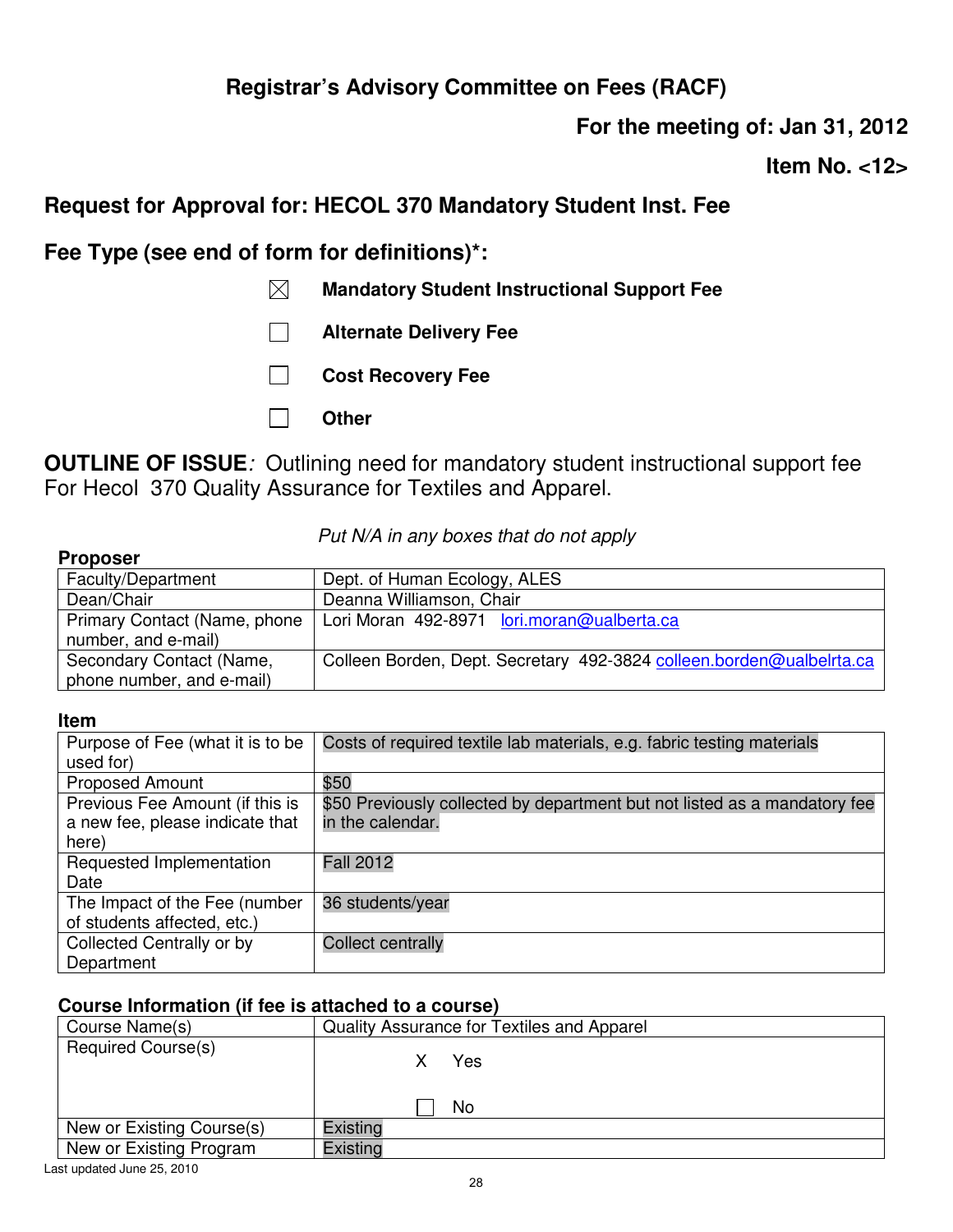**For the meeting of: Jan 31, 2012** 

**Item No. <12>** 

# **Request for Approval for: HECOL 370 Mandatory Student Inst. Fee**

**Fee Type (see end of form for definitions)\*:** 

- **Mandatory Student Instructional Support Fee**
- **Alternate Delivery Fee**
- **Cost Recovery Fee**
- **Other**

**OUTLINE OF ISSUE***:* Outlining need for mandatory student instructional support fee For Hecol 370 Quality Assurance for Textiles and Apparel.

| <b>Proposer</b>              |                                                                      |
|------------------------------|----------------------------------------------------------------------|
| Faculty/Department           | Dept. of Human Ecology, ALES                                         |
| Dean/Chair                   | Deanna Williamson, Chair                                             |
| Primary Contact (Name, phone | Lori Moran 492-8971 lori.moran@ualberta.ca                           |
| number, and e-mail)          |                                                                      |
| Secondary Contact (Name,     | Colleen Borden, Dept. Secretary 492-3824 colleen.borden@ualbelrta.ca |
| phone number, and e-mail)    |                                                                      |

### *Put N/A in any boxes that do not apply*

#### **Item**

**Proposer** 

| Purpose of Fee (what it is to be<br>used for)                               | Costs of required textile lab materials, e.g. fabric testing materials                        |
|-----------------------------------------------------------------------------|-----------------------------------------------------------------------------------------------|
| <b>Proposed Amount</b>                                                      | \$50                                                                                          |
| Previous Fee Amount (if this is<br>a new fee, please indicate that<br>here) | \$50 Previously collected by department but not listed as a mandatory fee<br>in the calendar. |
| Requested Implementation<br>Date                                            | <b>Fall 2012</b>                                                                              |
| The Impact of the Fee (number<br>of students affected, etc.)                | 36 students/year                                                                              |
| Collected Centrally or by<br>Department                                     | <b>Collect centrally</b>                                                                      |

| Course Name(s)            | Quality Assurance for Textiles and Apparel |
|---------------------------|--------------------------------------------|
| <b>Required Course(s)</b> | Yes                                        |
|                           | No                                         |
| New or Existing Course(s) | Existing                                   |
| New or Existing Program   | Existing                                   |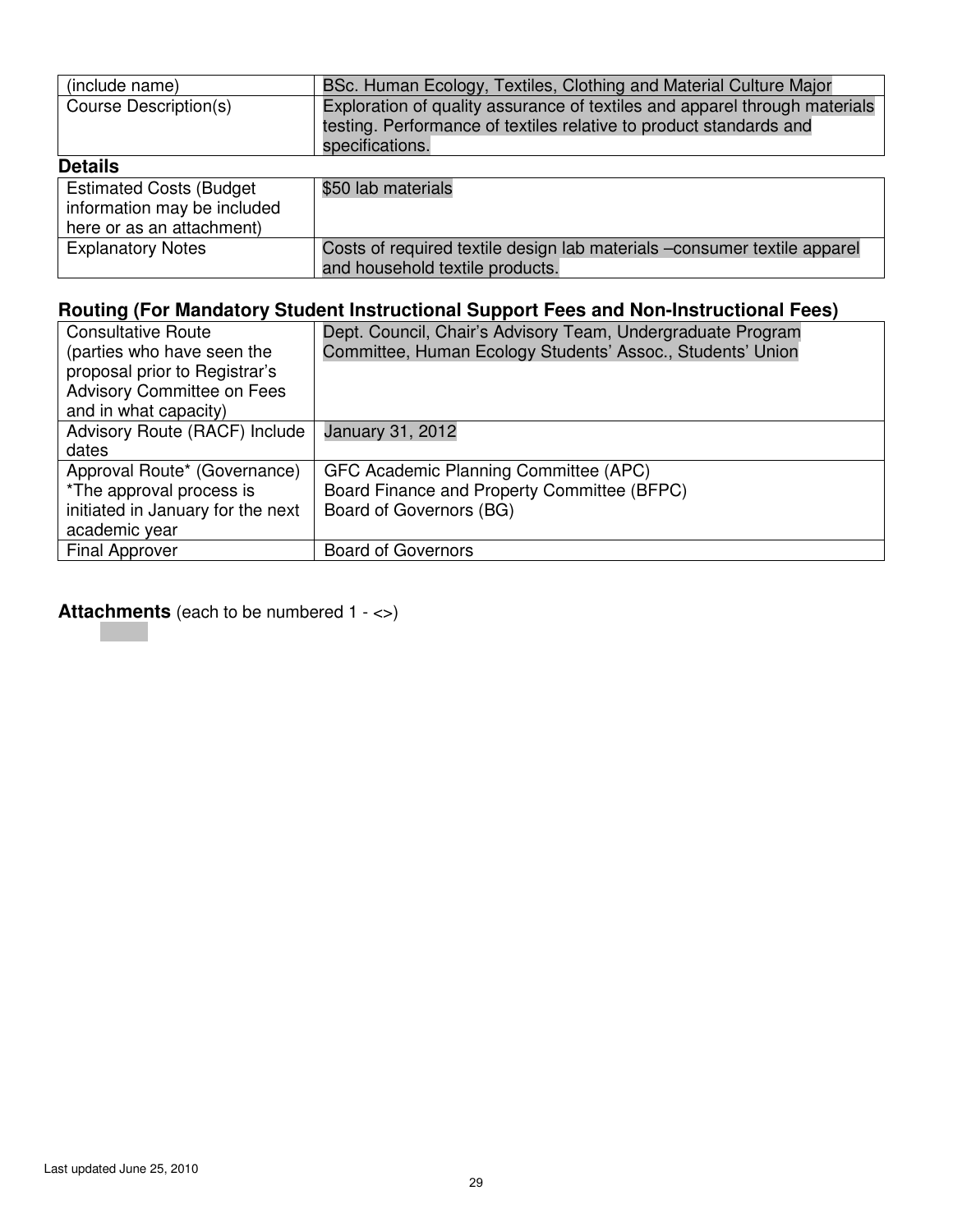| (include name)                 | BSc. Human Ecology, Textiles, Clothing and Material Culture Major          |
|--------------------------------|----------------------------------------------------------------------------|
| Course Description(s)          | Exploration of quality assurance of textiles and apparel through materials |
|                                | testing. Performance of textiles relative to product standards and         |
|                                | specifications.                                                            |
| <b>Details</b>                 |                                                                            |
| <b>Estimated Costs (Budget</b> | \$50 lab materials                                                         |
| information may be included    |                                                                            |
| here or as an attachment)      |                                                                            |
| <b>Explanatory Notes</b>       | Costs of required textile design lab materials -consumer textile apparel   |
|                                | and household textile products.                                            |

| <b>Consultative Route</b>         | Dept. Council, Chair's Advisory Team, Undergraduate Program |
|-----------------------------------|-------------------------------------------------------------|
| (parties who have seen the        | Committee, Human Ecology Students' Assoc., Students' Union  |
| proposal prior to Registrar's     |                                                             |
| <b>Advisory Committee on Fees</b> |                                                             |
| and in what capacity)             |                                                             |
| Advisory Route (RACF) Include     | January 31, 2012                                            |
| dates                             |                                                             |
| Approval Route* (Governance)      | GFC Academic Planning Committee (APC)                       |
| *The approval process is          | Board Finance and Property Committee (BFPC)                 |
| initiated in January for the next | Board of Governors (BG)                                     |
| academic year                     |                                                             |
| <b>Final Approver</b>             | <b>Board of Governors</b>                                   |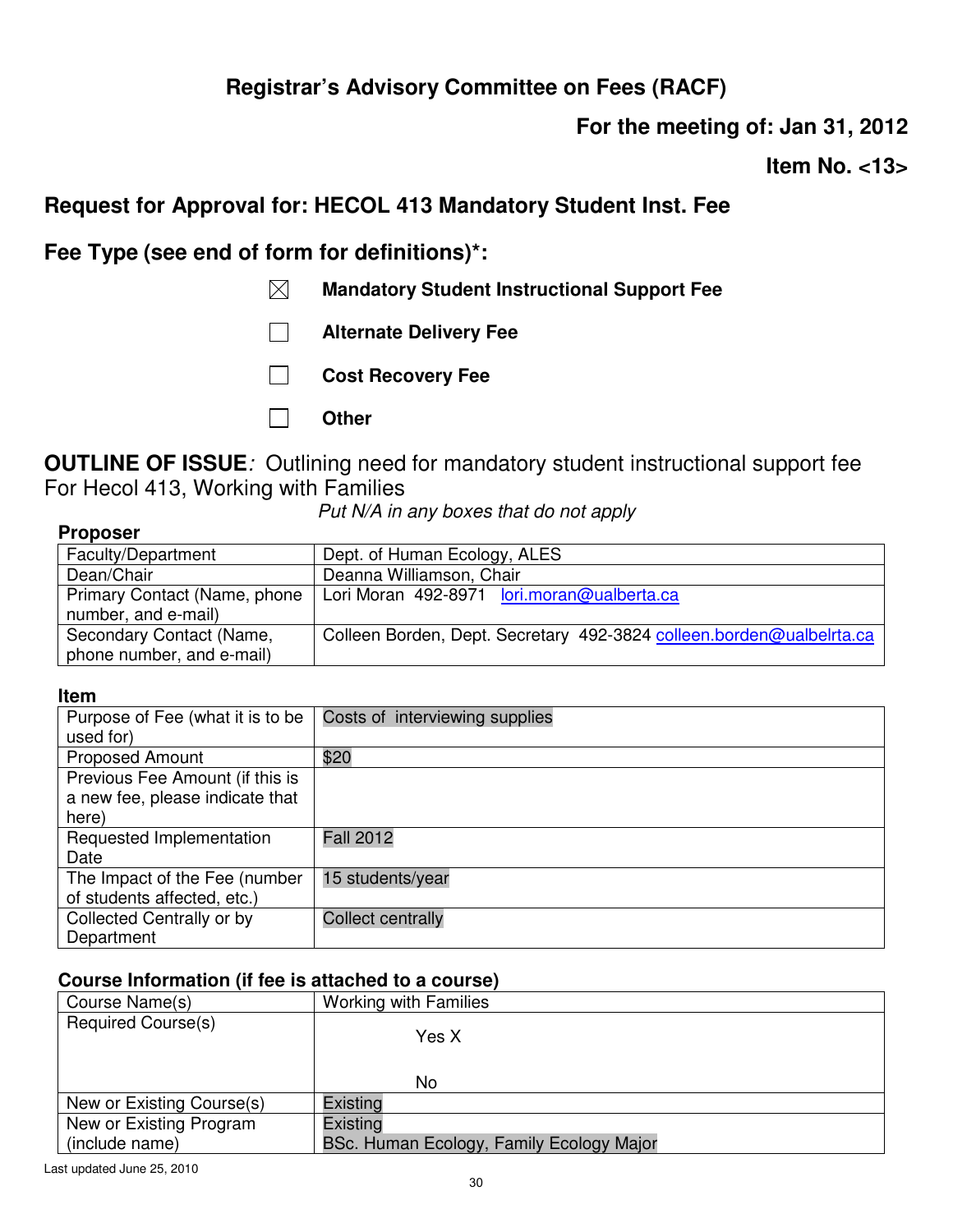**For the meeting of: Jan 31, 2012** 

**Item No. <13>** 

## **Request for Approval for: HECOL 413 Mandatory Student Inst. Fee**

**Fee Type (see end of form for definitions)\*:** 

- **Mandatory Student Instructional Support Fee**
- **Alternate Delivery Fee**
- **Cost Recovery Fee**
- **Other**

**OUTLINE OF ISSUE***:* Outlining need for mandatory student instructional support fee For Hecol 413, Working with Families

*Put N/A in any boxes that do not apply*

| <b>Proposer</b>              |                                                                      |
|------------------------------|----------------------------------------------------------------------|
| Faculty/Department           | Dept. of Human Ecology, ALES                                         |
| Dean/Chair                   | Deanna Williamson, Chair                                             |
| Primary Contact (Name, phone | Lori Moran 492-8971 lori.moran@ualberta.ca                           |
| number, and e-mail)          |                                                                      |
| Secondary Contact (Name,     | Colleen Borden, Dept. Secretary 492-3824 colleen.borden@ualbelrta.ca |
| phone number, and e-mail)    |                                                                      |

#### **Item**

| Purpose of Fee (what it is to be | Costs of interviewing supplies |
|----------------------------------|--------------------------------|
| used for)                        |                                |
| <b>Proposed Amount</b>           | \$20                           |
| Previous Fee Amount (if this is  |                                |
| a new fee, please indicate that  |                                |
| here)                            |                                |
| Requested Implementation         | <b>Fall 2012</b>               |
| Date                             |                                |
| The Impact of the Fee (number    | 15 students/year               |
| of students affected, etc.)      |                                |
| Collected Centrally or by        | <b>Collect centrally</b>       |
| Department                       |                                |

| Course Name(s)            | <b>Working with Families</b>             |
|---------------------------|------------------------------------------|
| Required Course(s)        | Yes X<br>No                              |
|                           |                                          |
| New or Existing Course(s) | Existing                                 |
| New or Existing Program   | Existing                                 |
| (include name)            | BSc. Human Ecology, Family Ecology Major |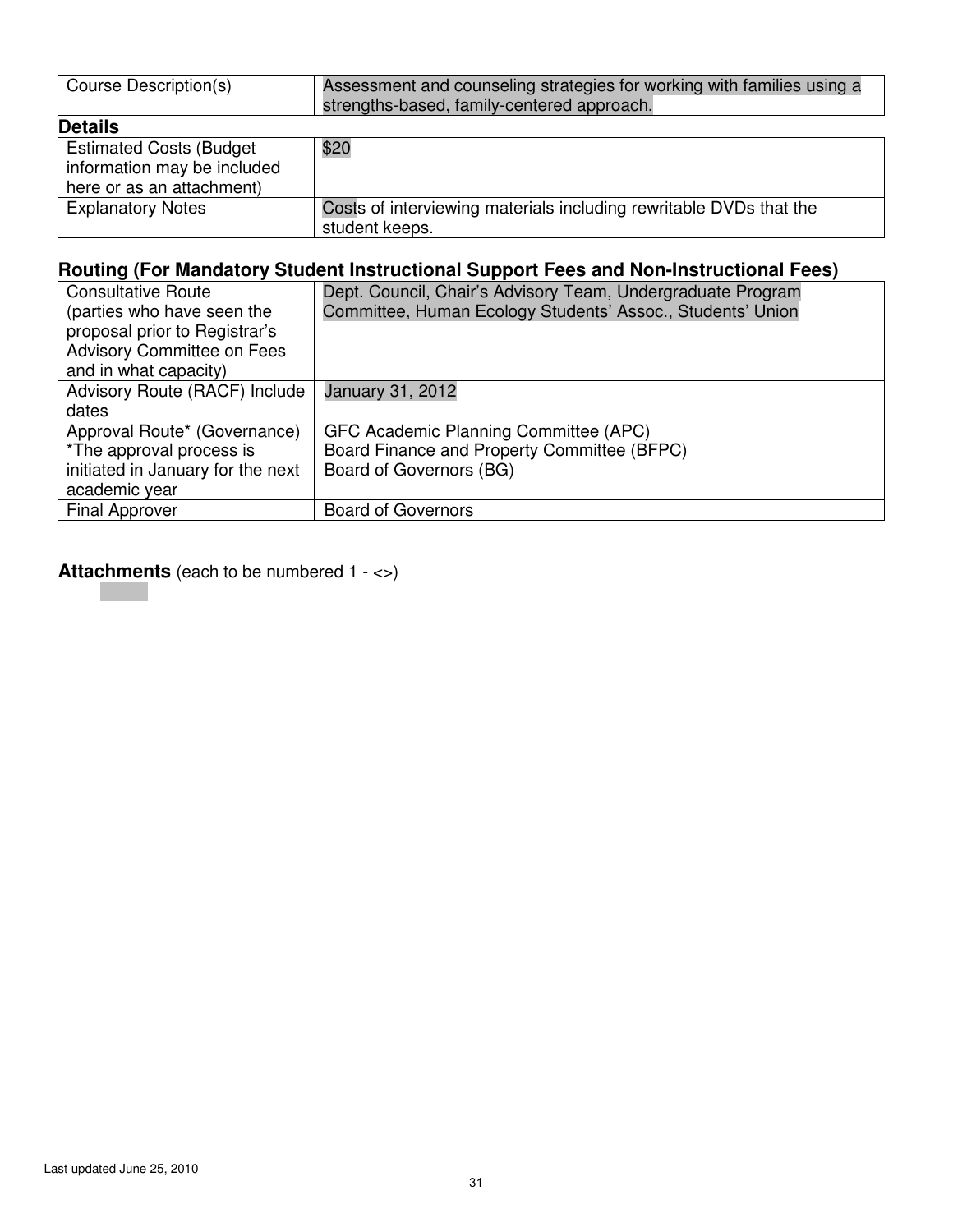| Course Description(s)                                                                      | Assessment and counseling strategies for working with families using a<br>strengths-based, family-centered approach. |
|--------------------------------------------------------------------------------------------|----------------------------------------------------------------------------------------------------------------------|
| <b>Details</b>                                                                             |                                                                                                                      |
| <b>Estimated Costs (Budget</b><br>information may be included<br>here or as an attachment) | \$20                                                                                                                 |
| <b>Explanatory Notes</b>                                                                   | Costs of interviewing materials including rewritable DVDs that the<br>student keeps.                                 |

| <b>Consultative Route</b>         | Dept. Council, Chair's Advisory Team, Undergraduate Program |
|-----------------------------------|-------------------------------------------------------------|
| (parties who have seen the        | Committee, Human Ecology Students' Assoc., Students' Union  |
| proposal prior to Registrar's     |                                                             |
| <b>Advisory Committee on Fees</b> |                                                             |
| and in what capacity)             |                                                             |
| Advisory Route (RACF) Include     | January 31, 2012                                            |
| dates                             |                                                             |
| Approval Route* (Governance)      | GFC Academic Planning Committee (APC)                       |
| *The approval process is          | Board Finance and Property Committee (BFPC)                 |
| initiated in January for the next | Board of Governors (BG)                                     |
| academic year                     |                                                             |
| <b>Final Approver</b>             | <b>Board of Governors</b>                                   |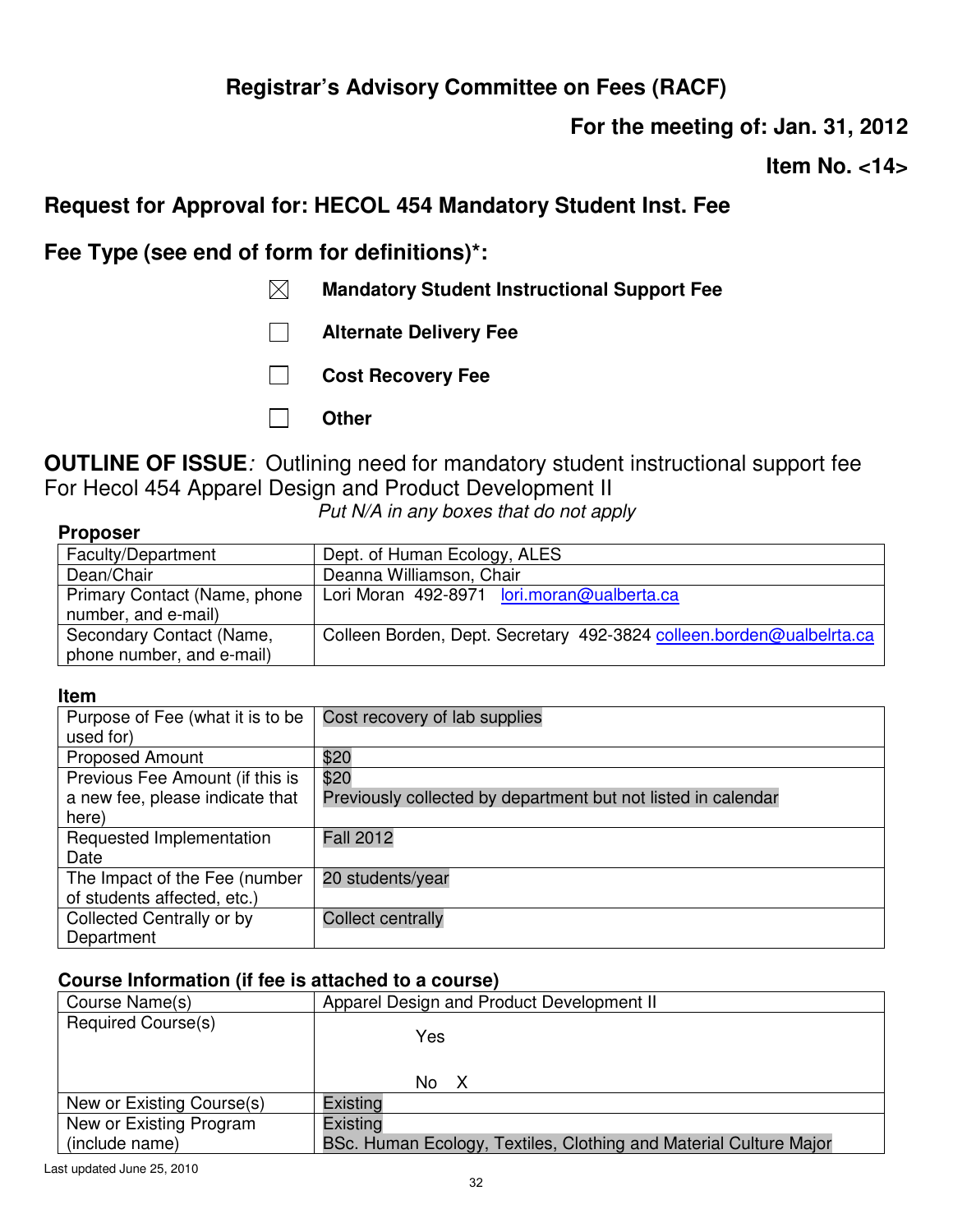**For the meeting of: Jan. 31, 2012** 

**Item No. <14>** 

## **Request for Approval for: HECOL 454 Mandatory Student Inst. Fee**

**Fee Type (see end of form for definitions)\*:** 

- **Mandatory Student Instructional Support Fee**
- **Alternate Delivery Fee**
- **Cost Recovery Fee**
- **Other**

**OUTLINE OF ISSUE***:* Outlining need for mandatory student instructional support fee For Hecol 454 Apparel Design and Product Development II

*Put N/A in any boxes that do not apply*

| <b>Proposer</b> |  |
|-----------------|--|
|-----------------|--|

| Faculty/Department           | Dept. of Human Ecology, ALES                                         |
|------------------------------|----------------------------------------------------------------------|
| Dean/Chair                   | Deanna Williamson, Chair                                             |
| Primary Contact (Name, phone | Lori Moran 492-8971 lori.moran@ualberta.ca                           |
| number, and e-mail)          |                                                                      |
| Secondary Contact (Name,     | Colleen Borden, Dept. Secretary 492-3824 colleen.borden@ualbelrta.ca |
| phone number, and e-mail)    |                                                                      |

#### **Item**

| Purpose of Fee (what it is to be | Cost recovery of lab supplies                                 |
|----------------------------------|---------------------------------------------------------------|
| used for)                        |                                                               |
| <b>Proposed Amount</b>           | \$20                                                          |
| Previous Fee Amount (if this is  | \$20                                                          |
| a new fee, please indicate that  | Previously collected by department but not listed in calendar |
| here)                            |                                                               |
| Requested Implementation         | <b>Fall 2012</b>                                              |
| Date                             |                                                               |
| The Impact of the Fee (number    | 20 students/year                                              |
| of students affected, etc.)      |                                                               |
| Collected Centrally or by        | <b>Collect centrally</b>                                      |
| Department                       |                                                               |

| Course Name(s)            | Apparel Design and Product Development II                         |
|---------------------------|-------------------------------------------------------------------|
| Required Course(s)        | Yes<br>No X                                                       |
| New or Existing Course(s) | Existing                                                          |
| New or Existing Program   | Existing                                                          |
| (include name)            | BSc. Human Ecology, Textiles, Clothing and Material Culture Major |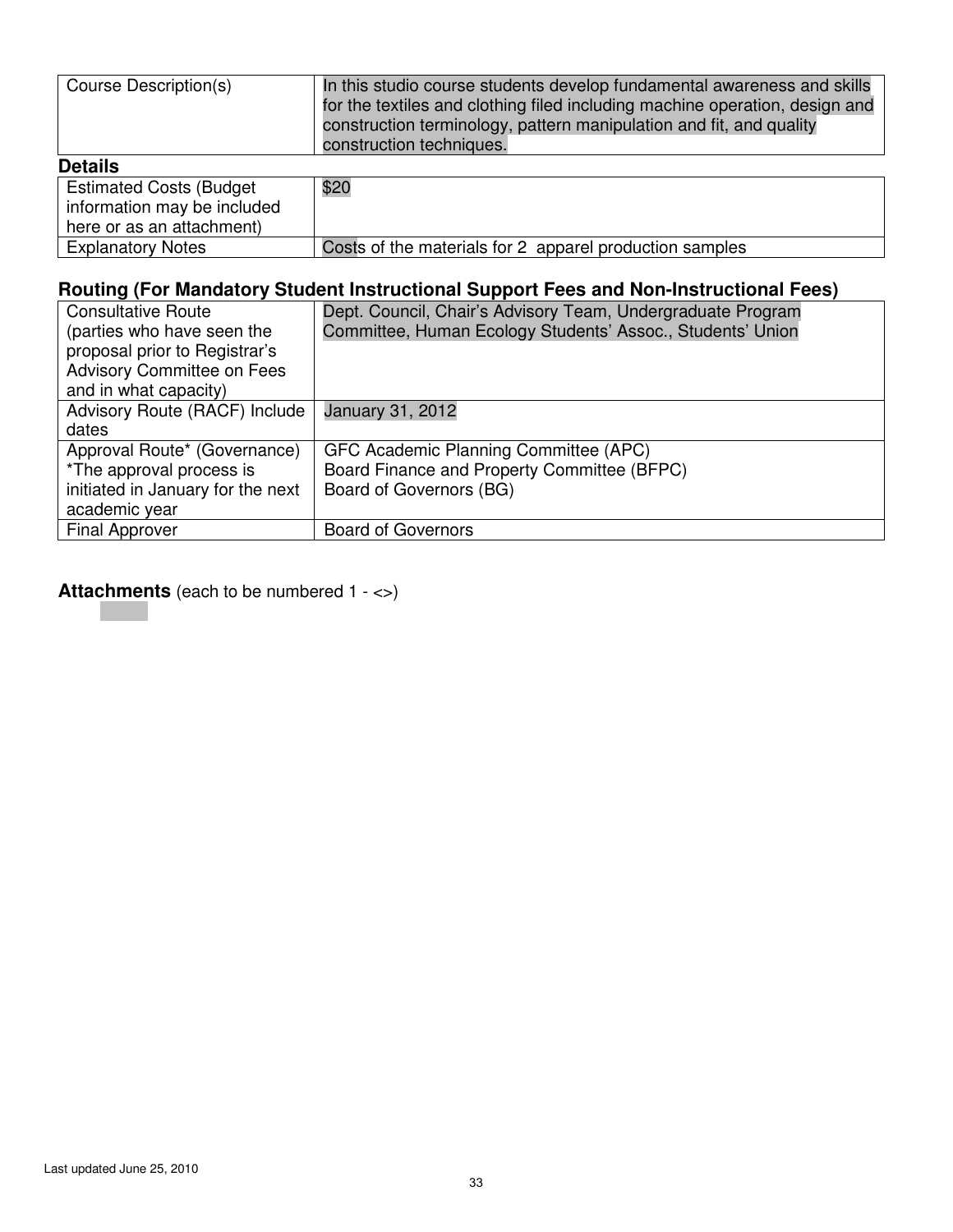| Course Description(s)                                                                      | In this studio course students develop fundamental awareness and skills<br>for the textiles and clothing filed including machine operation, design and<br>construction terminology, pattern manipulation and fit, and quality<br>construction techniques. |
|--------------------------------------------------------------------------------------------|-----------------------------------------------------------------------------------------------------------------------------------------------------------------------------------------------------------------------------------------------------------|
| <b>Details</b>                                                                             |                                                                                                                                                                                                                                                           |
| <b>Estimated Costs (Budget</b><br>information may be included<br>here or as an attachment) | \$20                                                                                                                                                                                                                                                      |

Explanatory Notes **Costs of the materials for 2** apparel production samples

| $\cdots$ , $\cdots$ , $\cdots$ , $\cdots$ , $\cdots$ , $\cdots$ , $\cdots$ , $\cdots$ , $\cdots$ , $\cdots$ , $\cdots$ , $\cdots$ , $\cdots$ , $\cdots$ , $\cdots$ , $\cdots$ , $\cdots$ , $\cdots$ , $\cdots$ , $\cdots$ , $\cdots$ , $\cdots$ , $\cdots$ , $\cdots$ , $\cdots$ , $\cdots$ , $\cdots$ , $\cdots$ , $\cdots$ , $\cdots$ , $\cdots$ , $\cdots$ |                                                             |
|---------------------------------------------------------------------------------------------------------------------------------------------------------------------------------------------------------------------------------------------------------------------------------------------------------------------------------------------------------------|-------------------------------------------------------------|
| <b>Consultative Route</b>                                                                                                                                                                                                                                                                                                                                     | Dept. Council, Chair's Advisory Team, Undergraduate Program |
| (parties who have seen the                                                                                                                                                                                                                                                                                                                                    | Committee, Human Ecology Students' Assoc., Students' Union  |
| proposal prior to Registrar's                                                                                                                                                                                                                                                                                                                                 |                                                             |
| <b>Advisory Committee on Fees</b>                                                                                                                                                                                                                                                                                                                             |                                                             |
| and in what capacity)                                                                                                                                                                                                                                                                                                                                         |                                                             |
| Advisory Route (RACF) Include                                                                                                                                                                                                                                                                                                                                 | January 31, 2012                                            |
| dates                                                                                                                                                                                                                                                                                                                                                         |                                                             |
| Approval Route* (Governance)                                                                                                                                                                                                                                                                                                                                  | GFC Academic Planning Committee (APC)                       |
| *The approval process is                                                                                                                                                                                                                                                                                                                                      | Board Finance and Property Committee (BFPC)                 |
| initiated in January for the next                                                                                                                                                                                                                                                                                                                             | Board of Governors (BG)                                     |
| academic year                                                                                                                                                                                                                                                                                                                                                 |                                                             |
| <b>Final Approver</b>                                                                                                                                                                                                                                                                                                                                         | <b>Board of Governors</b>                                   |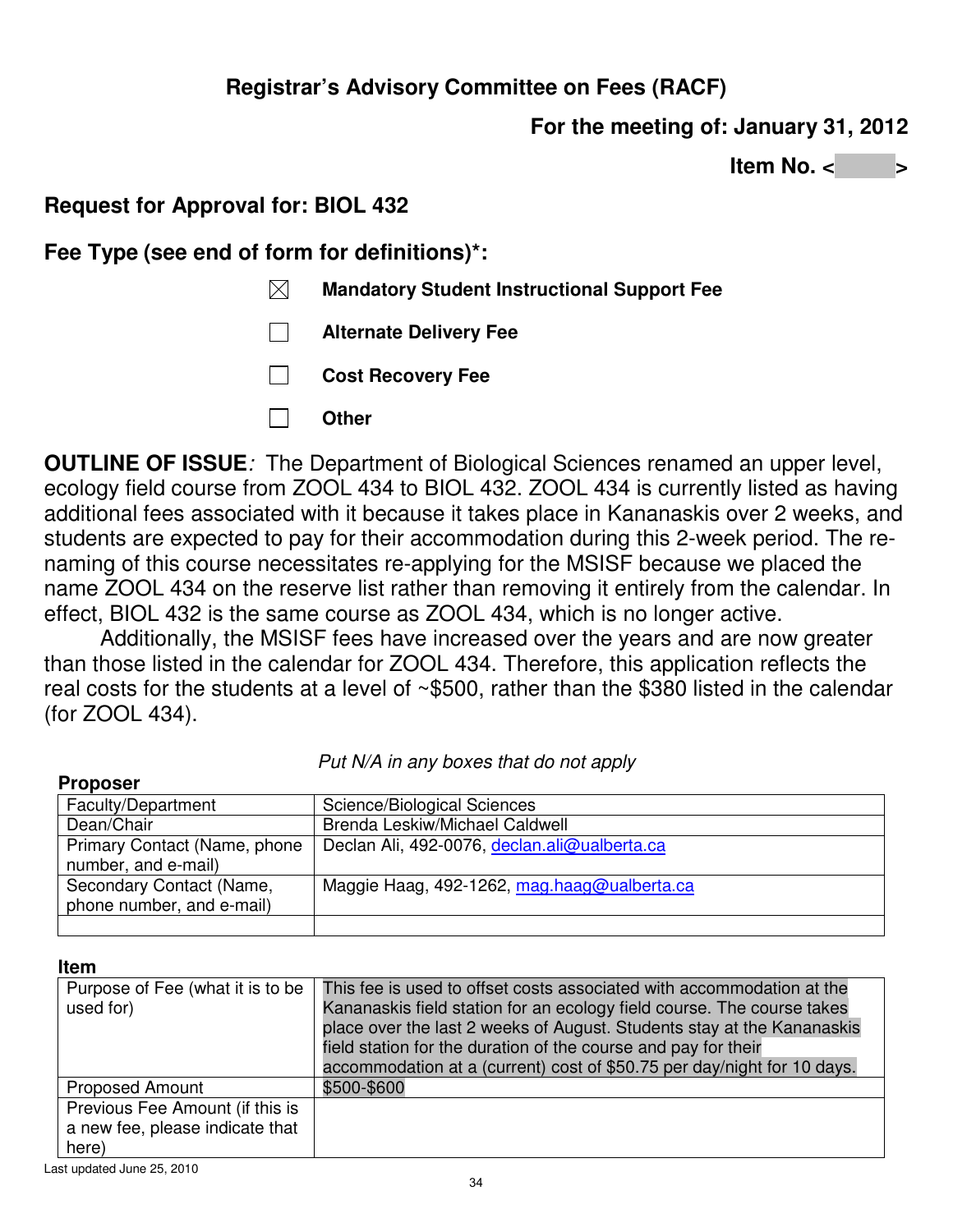## **For the meeting of: January 31, 2012**

**Item No. <** 

## **Request for Approval for: BIOL 432**

**Fee Type (see end of form for definitions)\*:** 

- **Mandatory Student Instructional Support Fee**
- **Alternate Delivery Fee**
- **Cost Recovery Fee**
- **Other**   $\Box$

**OUTLINE OF ISSUE***:* The Department of Biological Sciences renamed an upper level, ecology field course from ZOOL 434 to BIOL 432. ZOOL 434 is currently listed as having additional fees associated with it because it takes place in Kananaskis over 2 weeks, and students are expected to pay for their accommodation during this 2-week period. The renaming of this course necessitates re-applying for the MSISF because we placed the name ZOOL 434 on the reserve list rather than removing it entirely from the calendar. In effect, BIOL 432 is the same course as ZOOL 434, which is no longer active.

Additionally, the MSISF fees have increased over the years and are now greater than those listed in the calendar for ZOOL 434. Therefore, this application reflects the real costs for the students at a level of ~\$500, rather than the \$380 listed in the calendar (for ZOOL 434).

| <b>Proposer</b>                                       |                                              |
|-------------------------------------------------------|----------------------------------------------|
| Faculty/Department                                    | Science/Biological Sciences                  |
| Dean/Chair                                            | Brenda Leskiw/Michael Caldwell               |
| Primary Contact (Name, phone<br>number, and e-mail)   | Declan Ali, 492-0076, declan.ali@ualberta.ca |
| Secondary Contact (Name,<br>phone number, and e-mail) | Maggie Haag, 492-1262, mag.haag@ualberta.ca  |
|                                                       |                                              |

### *Put N/A in any boxes that do not apply*

#### **Item**

| Purpose of Fee (what it is to be<br>used for)                               | This fee is used to offset costs associated with accommodation at the<br>Kananaskis field station for an ecology field course. The course takes<br>place over the last 2 weeks of August. Students stay at the Kananaskis<br>field station for the duration of the course and pay for their<br>accommodation at a (current) cost of \$50.75 per day/night for 10 days. |
|-----------------------------------------------------------------------------|------------------------------------------------------------------------------------------------------------------------------------------------------------------------------------------------------------------------------------------------------------------------------------------------------------------------------------------------------------------------|
| <b>Proposed Amount</b>                                                      | \$500-\$600                                                                                                                                                                                                                                                                                                                                                            |
| Previous Fee Amount (if this is<br>a new fee, please indicate that<br>here) |                                                                                                                                                                                                                                                                                                                                                                        |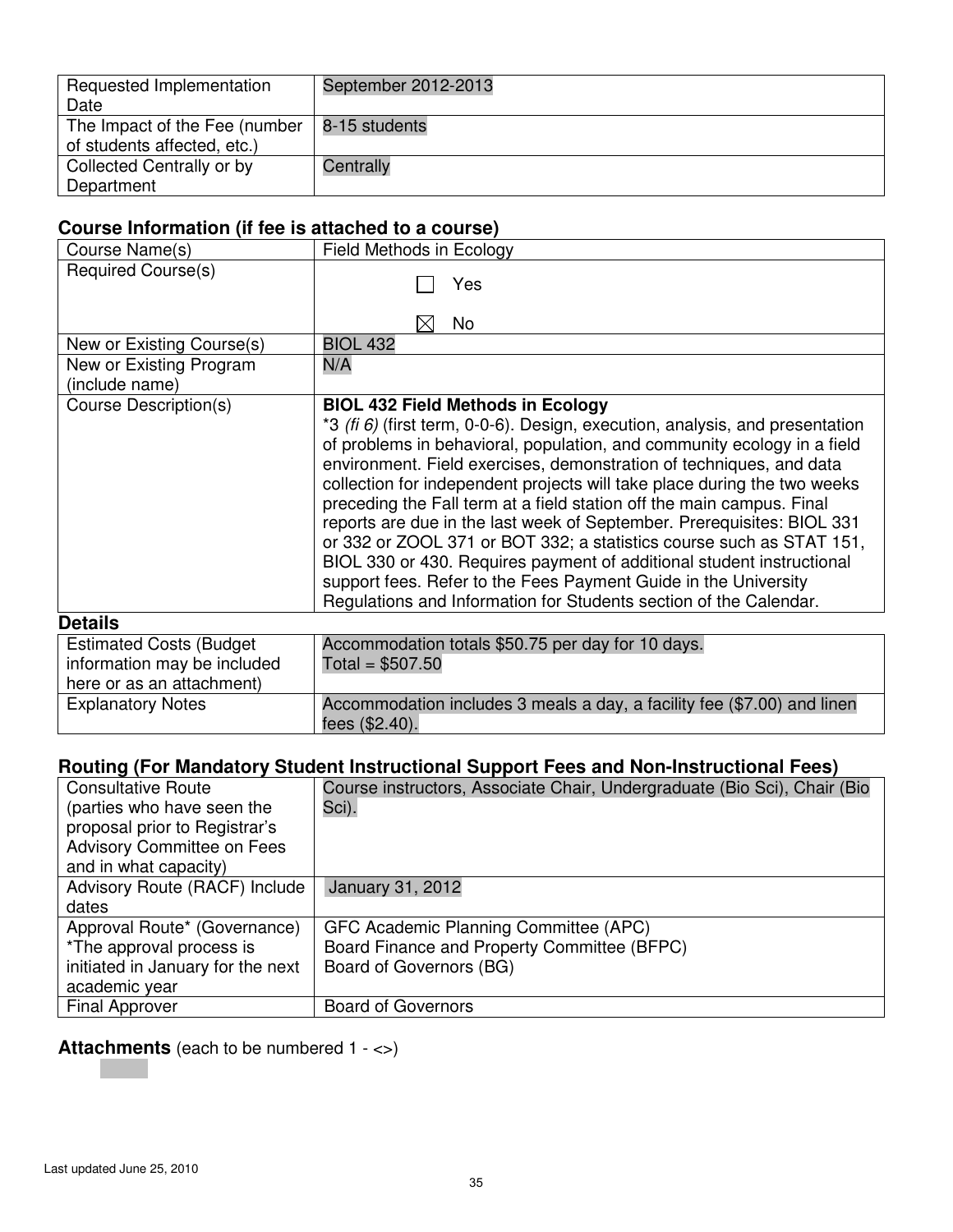| Requested Implementation                        | September 2012-2013 |
|-------------------------------------------------|---------------------|
| Date                                            |                     |
| The Impact of the Fee (number $  8-15$ students |                     |
| of students affected, etc.)                     |                     |
| Collected Centrally or by                       | Centrally           |
| Department                                      |                     |

## **Course Information (if fee is attached to a course)**

| Course Name(s)                                                                              | Field Methods in Ecology                                                                                                                                                                                                                                                                                                                                                                                                                                                                                                                                                                                                                                                                                                                                                                              |
|---------------------------------------------------------------------------------------------|-------------------------------------------------------------------------------------------------------------------------------------------------------------------------------------------------------------------------------------------------------------------------------------------------------------------------------------------------------------------------------------------------------------------------------------------------------------------------------------------------------------------------------------------------------------------------------------------------------------------------------------------------------------------------------------------------------------------------------------------------------------------------------------------------------|
| Required Course(s)                                                                          | Yes<br>No<br>IХI                                                                                                                                                                                                                                                                                                                                                                                                                                                                                                                                                                                                                                                                                                                                                                                      |
| New or Existing Course(s)                                                                   | <b>BIOL 432</b>                                                                                                                                                                                                                                                                                                                                                                                                                                                                                                                                                                                                                                                                                                                                                                                       |
| New or Existing Program<br>(include name)                                                   | N/A                                                                                                                                                                                                                                                                                                                                                                                                                                                                                                                                                                                                                                                                                                                                                                                                   |
| Course Description(s)                                                                       | <b>BIOL 432 Field Methods in Ecology</b><br>*3 (fi $6$ ) (first term, 0-0-6). Design, execution, analysis, and presentation<br>of problems in behavioral, population, and community ecology in a field<br>environment. Field exercises, demonstration of techniques, and data<br>collection for independent projects will take place during the two weeks<br>preceding the Fall term at a field station off the main campus. Final<br>reports are due in the last week of September. Prerequisites: BIOL 331<br>or 332 or ZOOL 371 or BOT 332; a statistics course such as STAT 151,<br>BIOL 330 or 430. Requires payment of additional student instructional<br>support fees. Refer to the Fees Payment Guide in the University<br>Regulations and Information for Students section of the Calendar. |
| <b>Details</b>                                                                              |                                                                                                                                                                                                                                                                                                                                                                                                                                                                                                                                                                                                                                                                                                                                                                                                       |
| <b>Estimated Costs (Budget)</b><br>information may be included<br>here or as an attachment) | Accommodation totals \$50.75 per day for 10 days.<br>Total = $$507.50$                                                                                                                                                                                                                                                                                                                                                                                                                                                                                                                                                                                                                                                                                                                                |
| <b>Explanatory Notes</b>                                                                    | Accommodation includes 3 meals a day, a facility fee (\$7.00) and linen<br>fees (\$2.40).                                                                                                                                                                                                                                                                                                                                                                                                                                                                                                                                                                                                                                                                                                             |

## **Routing (For Mandatory Student Instructional Support Fees and Non-Instructional Fees)**

| <b>Consultative Route</b>         | Course instructors, Associate Chair, Undergraduate (Bio Sci), Chair (Bio |
|-----------------------------------|--------------------------------------------------------------------------|
| (parties who have seen the        | Sci).                                                                    |
| proposal prior to Registrar's     |                                                                          |
| <b>Advisory Committee on Fees</b> |                                                                          |
| and in what capacity)             |                                                                          |
| Advisory Route (RACF) Include     | January 31, 2012                                                         |
| dates                             |                                                                          |
| Approval Route* (Governance)      | GFC Academic Planning Committee (APC)                                    |
| *The approval process is          | Board Finance and Property Committee (BFPC)                              |
| initiated in January for the next | Board of Governors (BG)                                                  |
| academic year                     |                                                                          |
| <b>Final Approver</b>             | <b>Board of Governors</b>                                                |

# **Attachments** (each to be numbered 1 - <>)

**Contract**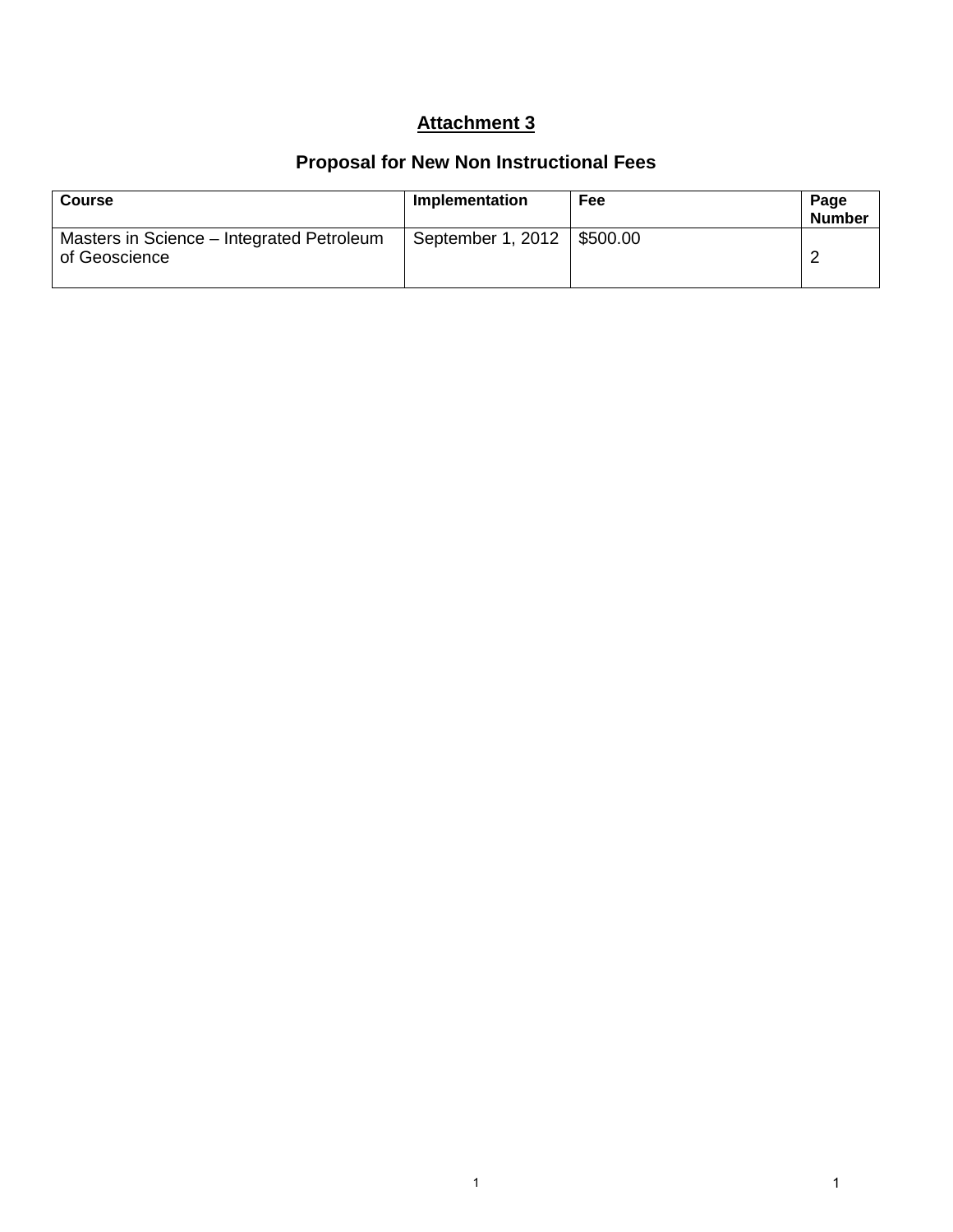## **Attachment 3**

# **Proposal for New Non Instructional Fees**

| <b>Course</b>                                              | Implementation    | <b>Fee</b> | Page<br><b>Number</b> |
|------------------------------------------------------------|-------------------|------------|-----------------------|
| Masters in Science – Integrated Petroleum<br>of Geoscience | September 1, 2012 | \$500.00   |                       |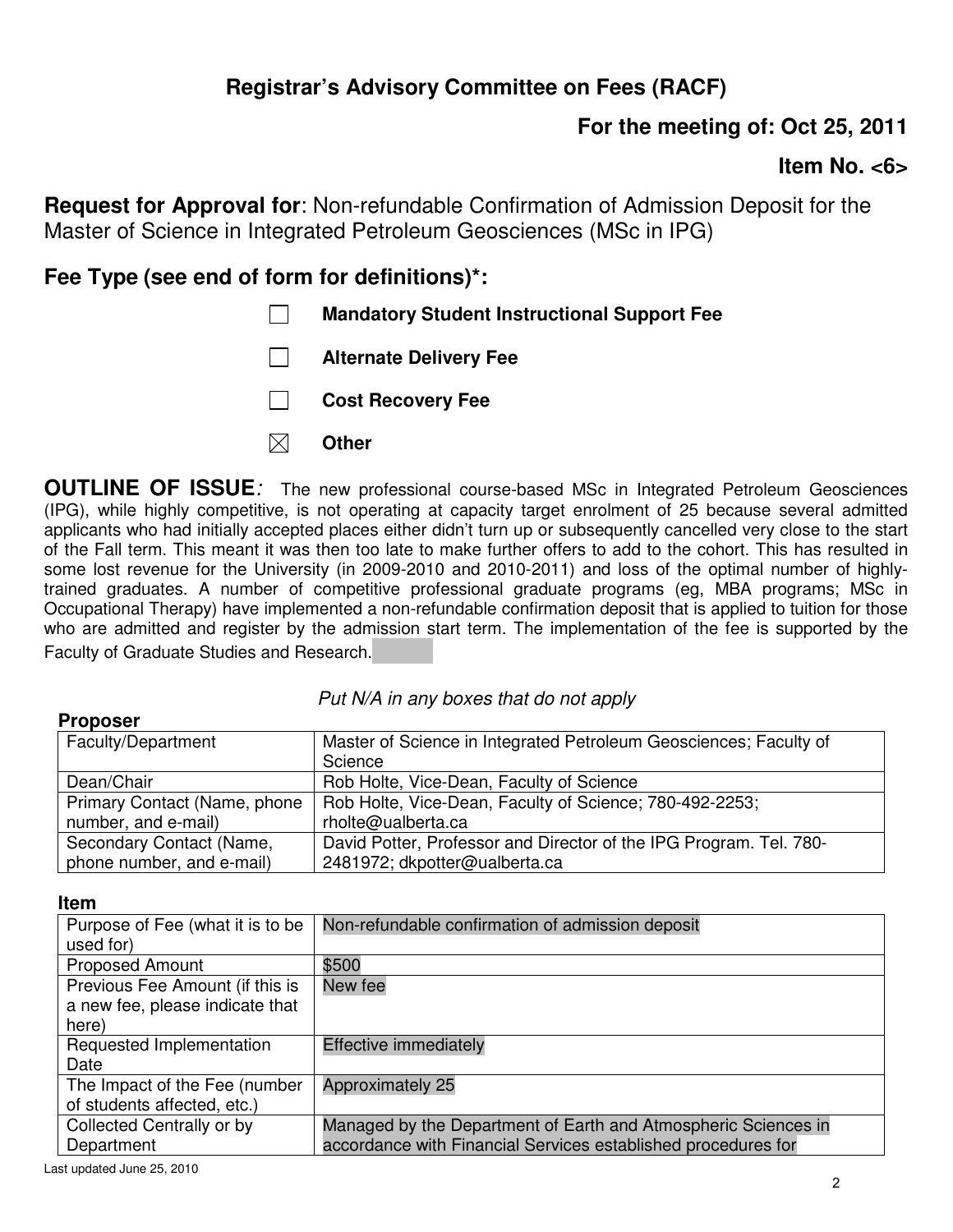# **For the meeting of: Oct 25, 2011**

## **Item No. <6>**

**Request for Approval for**: Non-refundable Confirmation of Admission Deposit for the Master of Science in Integrated Petroleum Geosciences (MSc in IPG)

## **Fee Type (see end of form for definitions)\*:**

| $\perp$      | <b>Mandatory Student Instructional Support Fee</b> |
|--------------|----------------------------------------------------|
| $\mathbf{1}$ | <b>Alternate Delivery Fee</b>                      |
| $\mathbf{1}$ | <b>Cost Recovery Fee</b>                           |
| $\boxtimes$  | <b>Other</b>                                       |
|              |                                                    |

**OUTLINE OF ISSUE***:* The new professional course-based MSc in Integrated Petroleum Geosciences (IPG), while highly competitive, is not operating at capacity target enrolment of 25 because several admitted applicants who had initially accepted places either didn't turn up or subsequently cancelled very close to the start of the Fall term. This meant it was then too late to make further offers to add to the cohort. This has resulted in some lost revenue for the University (in 2009-2010 and 2010-2011) and loss of the optimal number of highlytrained graduates. A number of competitive professional graduate programs (eg, MBA programs; MSc in Occupational Therapy) have implemented a non-refundable confirmation deposit that is applied to tuition for those who are admitted and register by the admission start term. The implementation of the fee is supported by the Faculty of Graduate Studies and Research.

| <b>Proposer</b>              |                                                                    |
|------------------------------|--------------------------------------------------------------------|
| Faculty/Department           | Master of Science in Integrated Petroleum Geosciences; Faculty of  |
|                              | Science                                                            |
| Dean/Chair                   | Rob Holte, Vice-Dean, Faculty of Science                           |
| Primary Contact (Name, phone | Rob Holte, Vice-Dean, Faculty of Science; 780-492-2253;            |
| number, and e-mail)          | rholte@ualberta.ca                                                 |
| Secondary Contact (Name,     | David Potter, Professor and Director of the IPG Program. Tel. 780- |
| phone number, and e-mail)    | 2481972; dkpotter@ualberta.ca                                      |

### *Put N/A in any boxes that do not apply*

#### **Item**

| Purpose of Fee (what it is to be | Non-refundable confirmation of admission deposit               |
|----------------------------------|----------------------------------------------------------------|
| used for)                        |                                                                |
| <b>Proposed Amount</b>           | \$500                                                          |
| Previous Fee Amount (if this is  | New fee                                                        |
| a new fee, please indicate that  |                                                                |
| here)                            |                                                                |
| Requested Implementation         | <b>Effective immediately</b>                                   |
| Date                             |                                                                |
| The Impact of the Fee (number    | Approximately 25                                               |
| of students affected, etc.)      |                                                                |
| Collected Centrally or by        | Managed by the Department of Earth and Atmospheric Sciences in |
| Department                       | accordance with Financial Services established procedures for  |
|                                  |                                                                |

Last updated June 25, 2010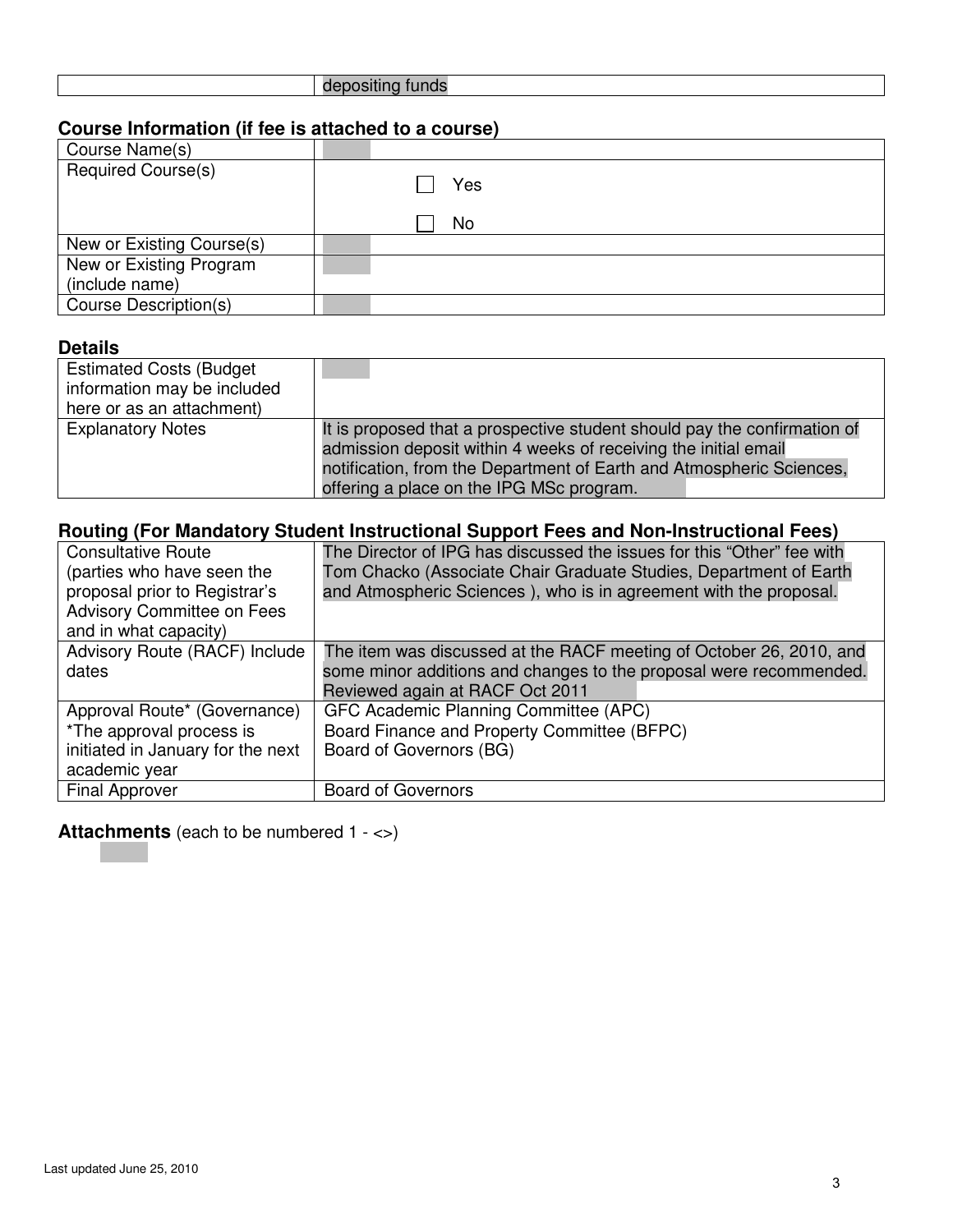|--|

### **Course Information (if fee is attached to a course)**

| Course Name(s)            |     |
|---------------------------|-----|
| <b>Required Course(s)</b> | Yes |
|                           | No  |
| New or Existing Course(s) |     |
| New or Existing Program   |     |
| (include name)            |     |
| Course Description(s)     |     |

### **Details**

| <b>Estimated Costs (Budget</b><br>information may be included<br>here or as an attachment) |                                                                                                                                                                                                                                                                 |
|--------------------------------------------------------------------------------------------|-----------------------------------------------------------------------------------------------------------------------------------------------------------------------------------------------------------------------------------------------------------------|
| <b>Explanatory Notes</b>                                                                   | It is proposed that a prospective student should pay the confirmation of<br>admission deposit within 4 weeks of receiving the initial email<br>notification, from the Department of Earth and Atmospheric Sciences,<br>offering a place on the IPG MSc program. |

## **Routing (For Mandatory Student Instructional Support Fees and Non-Instructional Fees)**

| Consultative Route                | The Director of IPG has discussed the issues for this "Other" fee with |
|-----------------------------------|------------------------------------------------------------------------|
| (parties who have seen the        | Tom Chacko (Associate Chair Graduate Studies, Department of Earth      |
| proposal prior to Registrar's     | and Atmospheric Sciences), who is in agreement with the proposal.      |
| <b>Advisory Committee on Fees</b> |                                                                        |
| and in what capacity)             |                                                                        |
| Advisory Route (RACF) Include     | The item was discussed at the RACF meeting of October 26, 2010, and    |
| dates                             | some minor additions and changes to the proposal were recommended.     |
|                                   | Reviewed again at RACF Oct 2011                                        |
| Approval Route* (Governance)      | GFC Academic Planning Committee (APC)                                  |
| *The approval process is          | Board Finance and Property Committee (BFPC)                            |
| initiated in January for the next | Board of Governors (BG)                                                |
| academic year                     |                                                                        |
| <b>Final Approver</b>             | <b>Board of Governors</b>                                              |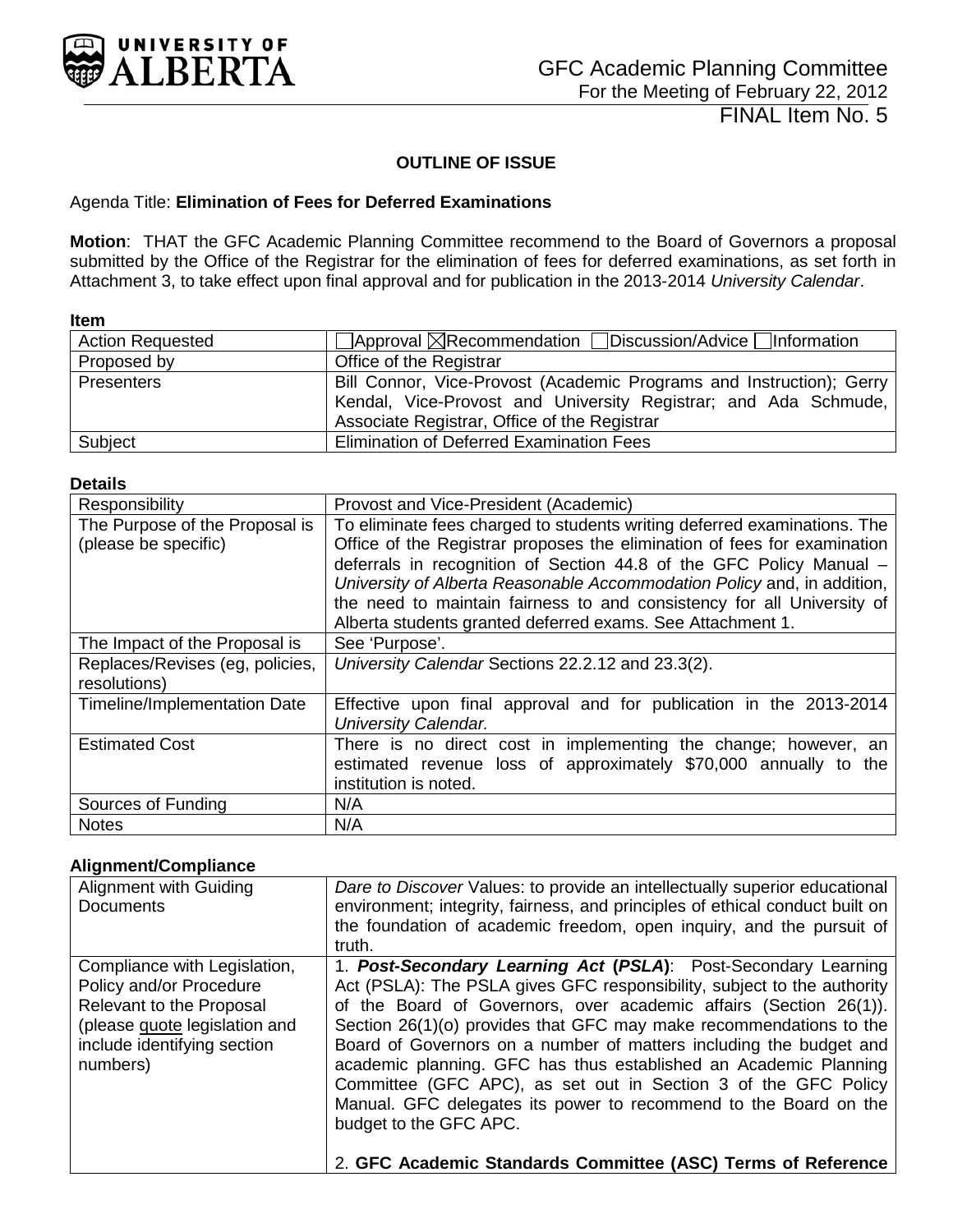<span id="page-48-0"></span>

## **OUTLINE OF ISSUE**

#### Agenda Title: **Elimination of Fees for Deferred Examinations**

**Motion**: THAT the GFC Academic Planning Committee recommend to the Board of Governors a proposal submitted by the Office of the Registrar for the elimination of fees for deferred examinations, as set forth in Attachment 3, to take effect upon final approval and for publication in the 2013-2014 *University Calendar*.

**Item** 

| <b>Action Requested</b> | $\Box$ Approval $\boxtimes$ Recommendation $\Box$ Discussion/Advice $\Box$ Information                                                  |
|-------------------------|-----------------------------------------------------------------------------------------------------------------------------------------|
| Proposed by             | Office of the Registrar                                                                                                                 |
| Presenters              | Bill Connor, Vice-Provost (Academic Programs and Instruction); Gerry<br>Kendal, Vice-Provost and University Registrar; and Ada Schmude, |
|                         | Associate Registrar, Office of the Registrar                                                                                            |
| Subject                 | Elimination of Deferred Examination Fees                                                                                                |

#### **Details**

| Responsibility                      | Provost and Vice-President (Academic)                                                                                                          |  |  |  |
|-------------------------------------|------------------------------------------------------------------------------------------------------------------------------------------------|--|--|--|
| The Purpose of the Proposal is      | To eliminate fees charged to students writing deferred examinations. The                                                                       |  |  |  |
| (please be specific)                | Office of the Registrar proposes the elimination of fees for examination                                                                       |  |  |  |
|                                     | deferrals in recognition of Section 44.8 of the GFC Policy Manual -<br>University of Alberta Reasonable Accommodation Policy and, in addition, |  |  |  |
|                                     | the need to maintain fairness to and consistency for all University of                                                                         |  |  |  |
|                                     | Alberta students granted deferred exams. See Attachment 1.                                                                                     |  |  |  |
| The Impact of the Proposal is       | See 'Purpose'.                                                                                                                                 |  |  |  |
| Replaces/Revises (eg, policies,     | University Calendar Sections 22.2.12 and 23.3(2).                                                                                              |  |  |  |
| resolutions)                        |                                                                                                                                                |  |  |  |
| <b>Timeline/Implementation Date</b> | Effective upon final approval and for publication in the 2013-2014                                                                             |  |  |  |
|                                     | University Calendar.                                                                                                                           |  |  |  |
| <b>Estimated Cost</b>               | There is no direct cost in implementing the change; however, an                                                                                |  |  |  |
|                                     | estimated revenue loss of approximately \$70,000 annually to the                                                                               |  |  |  |
|                                     | institution is noted.                                                                                                                          |  |  |  |
| Sources of Funding                  | N/A                                                                                                                                            |  |  |  |
| <b>Notes</b>                        | N/A                                                                                                                                            |  |  |  |

#### **Alignment/Compliance**

| Alignment with Guiding<br><b>Documents</b>                                                                                                                      | Dare to Discover Values: to provide an intellectually superior educational<br>environment; integrity, fairness, and principles of ethical conduct built on<br>the foundation of academic freedom, open inquiry, and the pursuit of<br>truth.                                                                                                                                                                                                                                                                                                                                                                                                                   |
|-----------------------------------------------------------------------------------------------------------------------------------------------------------------|----------------------------------------------------------------------------------------------------------------------------------------------------------------------------------------------------------------------------------------------------------------------------------------------------------------------------------------------------------------------------------------------------------------------------------------------------------------------------------------------------------------------------------------------------------------------------------------------------------------------------------------------------------------|
| Compliance with Legislation,<br>Policy and/or Procedure<br>Relevant to the Proposal<br>(please quote legislation and<br>include identifying section<br>numbers) | 1. Post-Secondary Learning Act (PSLA): Post-Secondary Learning<br>Act (PSLA): The PSLA gives GFC responsibility, subject to the authority<br>of the Board of Governors, over academic affairs (Section 26(1)).<br>Section 26(1)(o) provides that GFC may make recommendations to the<br>Board of Governors on a number of matters including the budget and<br>academic planning. GFC has thus established an Academic Planning<br>Committee (GFC APC), as set out in Section 3 of the GFC Policy<br>Manual. GFC delegates its power to recommend to the Board on the<br>budget to the GFC APC.<br>2. GFC Academic Standards Committee (ASC) Terms of Reference |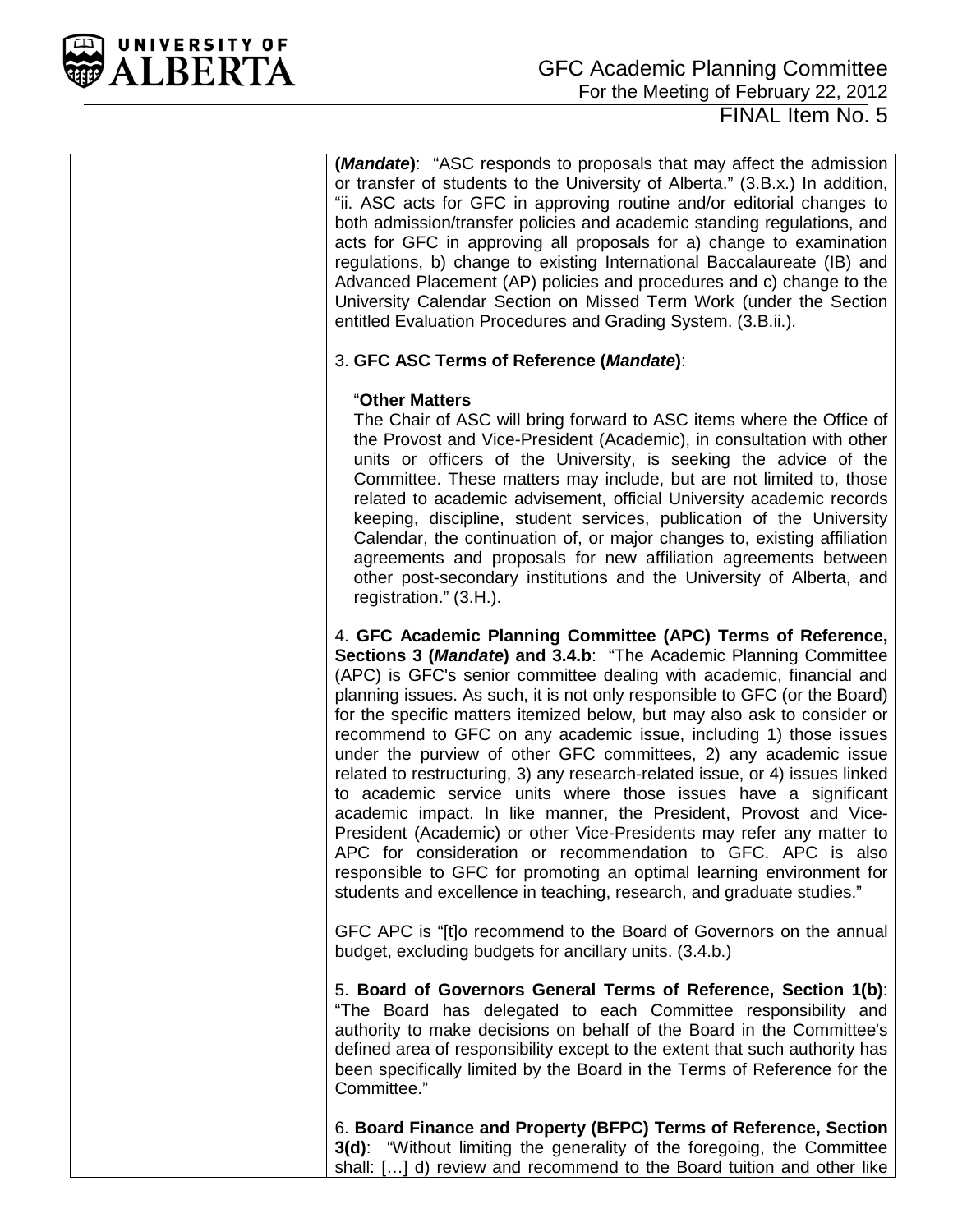

**(***Mandate***)**: "ASC responds to proposals that may affect the admission or transfer of students to the University of Alberta." (3.B.x.) In addition, "ii. ASC acts for GFC in approving routine and/or editorial changes to both admission/transfer policies and academic standing regulations, and acts for GFC in approving all proposals for a) change to examination regulations, b) change to existing International Baccalaureate (IB) and Advanced Placement (AP) policies and procedures and c) change to the University Calendar Section on Missed Term Work (under the Section entitled Evaluation Procedures and Grading System. (3.B.ii.).

### 3. **GFC ASC Terms of Reference (***Mandate***)**:

#### "**Other Matters**

The Chair of ASC will bring forward to ASC items where the Office of the Provost and Vice-President (Academic), in consultation with other units or officers of the University, is seeking the advice of the Committee. These matters may include, but are not limited to, those related to academic advisement, official University academic records keeping, discipline, student services, publication of the University Calendar, the continuation of, or major changes to, existing affiliation agreements and proposals for new affiliation agreements between other post-secondary institutions and the University of Alberta, and registration." (3.H.).

4. **GFC Academic Planning Committee (APC) Terms of Reference, Sections 3 (***Mandate***) and 3.4.b**: "The Academic Planning Committee (APC) is GFC's senior committee dealing with academic, financial and planning issues. As such, it is not only responsible to GFC (or the Board) for the specific matters itemized below, but may also ask to consider or recommend to GFC on any academic issue, including 1) those issues under the purview of other GFC committees, 2) any academic issue related to restructuring, 3) any research-related issue, or 4) issues linked to academic service units where those issues have a significant academic impact. In like manner, the President, Provost and Vice-President (Academic) or other Vice-Presidents may refer any matter to APC for consideration or recommendation to GFC. APC is also responsible to GFC for promoting an optimal learning environment for students and excellence in teaching, research, and graduate studies."

GFC APC is "[t]o recommend to the Board of Governors on the annual budget, excluding budgets for ancillary units. (3.4.b.)

5. **Board of Governors General Terms of Reference, Section 1(b)**: "The Board has delegated to each Committee responsibility and authority to make decisions on behalf of the Board in the Committee's defined area of responsibility except to the extent that such authority has been specifically limited by the Board in the Terms of Reference for the Committee."

6. **Board Finance and Property (BFPC) Terms of Reference, Section 3(d)**:"Without limiting the generality of the foregoing, the Committee shall: […] d) review and recommend to the Board tuition and other like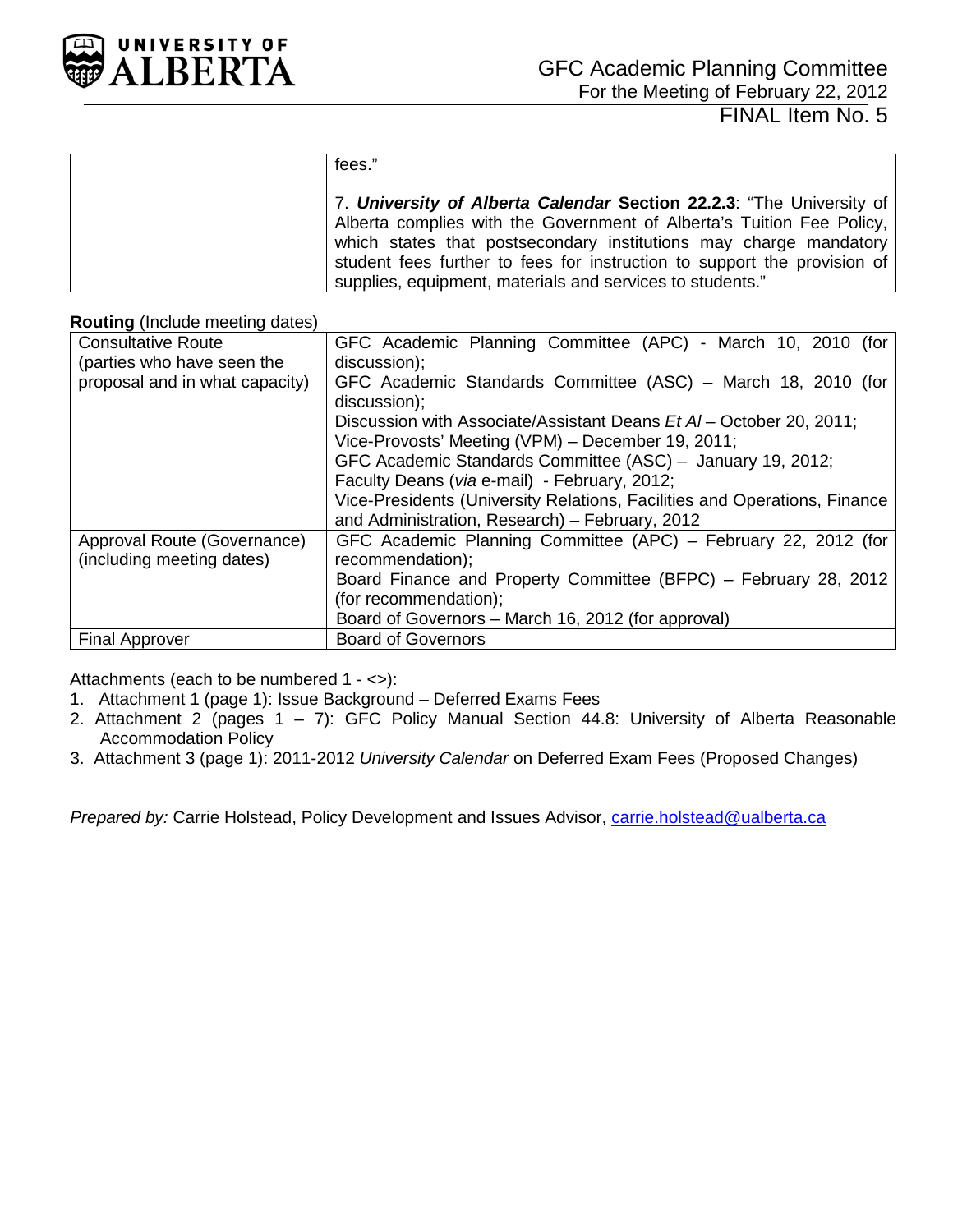

| fees."                                                                   |
|--------------------------------------------------------------------------|
| 7. University of Alberta Calendar Section 22.2.3: "The University of     |
| Alberta complies with the Government of Alberta's Tuition Fee Policy,    |
| which states that postsecondary institutions may charge mandatory        |
| student fees further to fees for instruction to support the provision of |
| supplies, equipment, materials and services to students."                |

#### **Routing** (Include meeting dates)

| <b>Consultative Route</b>      | GFC Academic Planning Committee (APC) - March 10, 2010 (for               |
|--------------------------------|---------------------------------------------------------------------------|
| (parties who have seen the     | discussion);                                                              |
| proposal and in what capacity) | GFC Academic Standards Committee (ASC) - March 18, 2010 (for              |
|                                | discussion);                                                              |
|                                | Discussion with Associate/Assistant Deans Et AI – October 20, 2011;       |
|                                | Vice-Provosts' Meeting (VPM) – December 19, 2011;                         |
|                                | GFC Academic Standards Committee (ASC) - January 19, 2012;                |
|                                | Faculty Deans (via e-mail) - February, 2012;                              |
|                                | Vice-Presidents (University Relations, Facilities and Operations, Finance |
|                                | and Administration, Research) - February, 2012                            |
| Approval Route (Governance)    | GFC Academic Planning Committee (APC) – February 22, 2012 (for            |
| (including meeting dates)      | recommendation);                                                          |
|                                | Board Finance and Property Committee (BFPC) – February 28, 2012           |
|                                | (for recommendation);                                                     |
|                                | Board of Governors - March 16, 2012 (for approval)                        |
| <b>Final Approver</b>          | <b>Board of Governors</b>                                                 |

Attachments (each to be numbered 1 - <>):

- 1. Attachment 1 (page 1): Issue Background Deferred Exams Fees
- 2. Attachment 2 (pages  $1 7$ ): GFC Policy Manual Section 44.8: University of Alberta Reasonable Accommodation Policy
- 3. Attachment 3 (page 1): 2011-2012 *University Calendar* on Deferred Exam Fees (Proposed Changes)

*Prepared by:* Carrie Holstead, Policy Development and Issues Advisor, *carrie.holstead@ualberta.ca*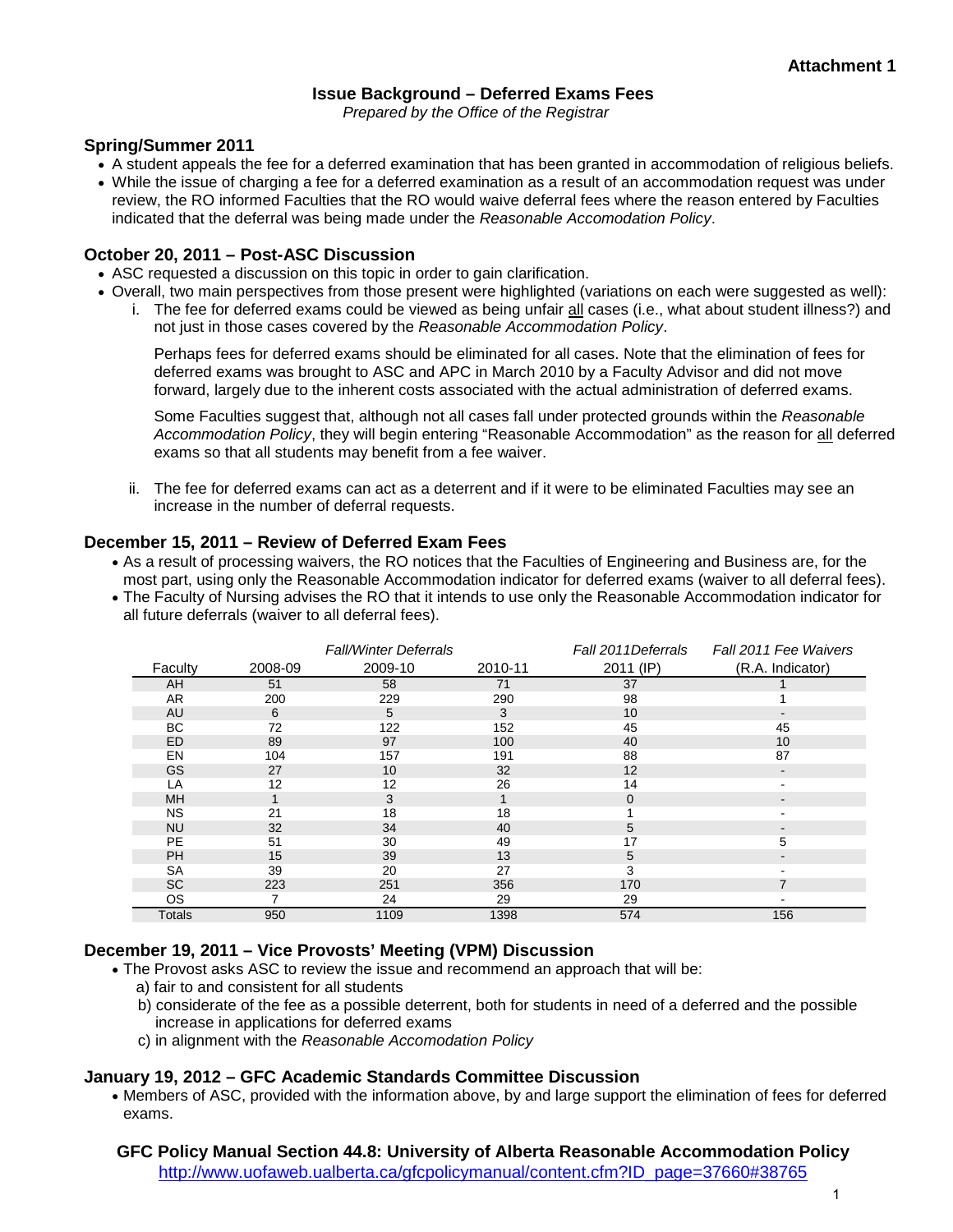#### **Issue Background – Deferred Exams Fees**

*Prepared by the Office of the Registrar*

#### **Spring/Summer 2011**

- A student appeals the fee for a deferred examination that has been granted in accommodation of religious beliefs.
- While the issue of charging a fee for a deferred examination as a result of an accommodation request was under review, the RO informed Faculties that the RO would waive deferral fees where the reason entered by Faculties indicated that the deferral was being made under the *Reasonable Accomodation Policy*.

#### **October 20, 2011 – Post-ASC Discussion**

- ASC requested a discussion on this topic in order to gain clarification.
- Overall, two main perspectives from those present were highlighted (variations on each were suggested as well):
	- i. The fee for deferred exams could be viewed as being unfair all cases (i.e., what about student illness?) and not just in those cases covered by the *Reasonable Accommodation Policy*.

Perhaps fees for deferred exams should be eliminated for all cases. Note that the elimination of fees for deferred exams was brought to ASC and APC in March 2010 by a Faculty Advisor and did not move forward, largely due to the inherent costs associated with the actual administration of deferred exams.

Some Faculties suggest that, although not all cases fall under protected grounds within the *Reasonable Accommodation Policy*, they will begin entering "Reasonable Accommodation" as the reason for all deferred exams so that all students may benefit from a fee waiver.

ii. The fee for deferred exams can act as a deterrent and if it were to be eliminated Faculties may see an increase in the number of deferral requests.

#### **December 15, 2011 – Review of Deferred Exam Fees**

- As a result of processing waivers, the RO notices that the Faculties of Engineering and Business are, for the most part, using only the Reasonable Accommodation indicator for deferred exams (waiver to all deferral fees).
- The Faculty of Nursing advises the RO that it intends to use only the Reasonable Accommodation indicator for all future deferrals (waiver to all deferral fees).

|               |         | <b>Fall/Winter Deferrals</b> |         | Fall 2011 Deferrals | Fall 2011 Fee Waivers    |
|---------------|---------|------------------------------|---------|---------------------|--------------------------|
| Faculty       | 2008-09 | 2009-10                      | 2010-11 | 2011 (IP)           | (R.A. Indicator)         |
| AH            | 51      | 58                           | 71      | 37                  |                          |
| AR            | 200     | 229                          | 290     | 98                  |                          |
| AU            | 6       | 5                            | 3       | 10                  | $\blacksquare$           |
| <b>BC</b>     | 72      | 122                          | 152     | 45                  | 45                       |
| ED            | 89      | 97                           | 100     | 40                  | 10                       |
| EN            | 104     | 157                          | 191     | 88                  | 87                       |
| <b>GS</b>     | 27      | 10                           | 32      | 12                  | $\overline{\phantom{a}}$ |
| LA            | 12      | 12                           | 26      | 14                  | $\blacksquare$           |
| <b>MH</b>     | 1       | 3                            |         | $\Omega$            | $\blacksquare$           |
| <b>NS</b>     | 21      | 18                           | 18      |                     | $\blacksquare$           |
| <b>NU</b>     | 32      | 34                           | 40      | 5                   |                          |
| <b>PE</b>     | 51      | 30                           | 49      | 17                  | 5                        |
| <b>PH</b>     | 15      | 39                           | 13      | 5                   | $\blacksquare$           |
| SA            | 39      | 20                           | 27      | 3                   |                          |
| <b>SC</b>     | 223     | 251                          | 356     | 170                 | 7                        |
| OS.           | 7       | 24                           | 29      | 29                  | $\blacksquare$           |
| <b>Totals</b> | 950     | 1109                         | 1398    | 574                 | 156                      |

#### **December 19, 2011 – Vice Provosts' Meeting (VPM) Discussion**

- The Provost asks ASC to review the issue and recommend an approach that will be:
	- a) fair to and consistent for all students
	- b) considerate of the fee as a possible deterrent, both for students in need of a deferred and the possible increase in applications for deferred exams
	- c) in alignment with the *Reasonable Accomodation Policy*

#### **January 19, 2012 – GFC Academic Standards Committee Discussion**

• Members of ASC, provided with the information above, by and large support the elimination of fees for deferred exams.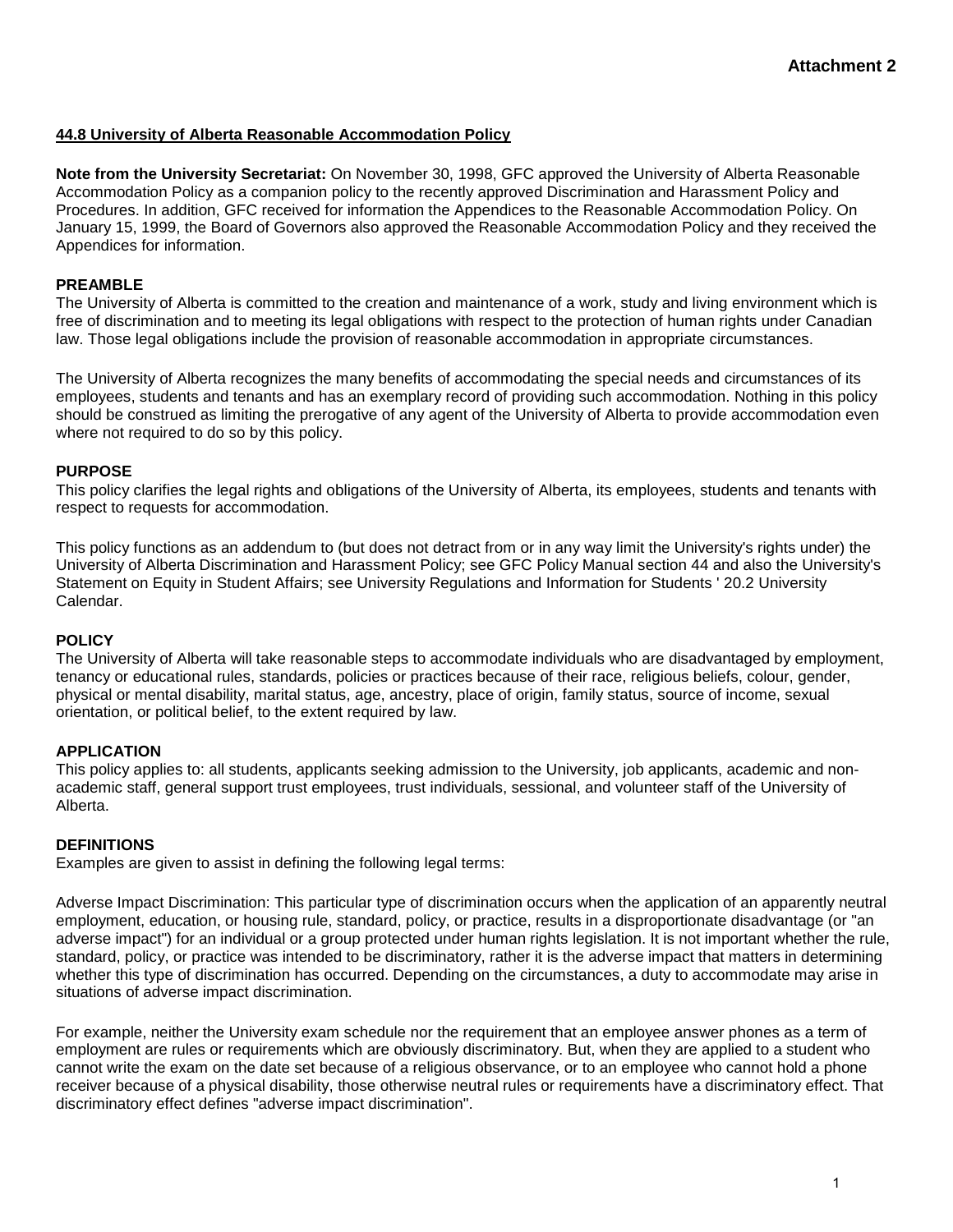#### **44.8 University of Alberta Reasonable Accommodation Policy**

**Note from the University Secretariat:** On November 30, 1998, GFC approved the University of Alberta Reasonable Accommodation Policy as a companion policy to the recently approved Discrimination and Harassment Policy and Procedures. In addition, GFC received for information the Appendices to the Reasonable Accommodation Policy. On January 15, 1999, the Board of Governors also approved the Reasonable Accommodation Policy and they received the Appendices for information.

#### **PREAMBLE**

The University of Alberta is committed to the creation and maintenance of a work, study and living environment which is free of discrimination and to meeting its legal obligations with respect to the protection of human rights under Canadian law. Those legal obligations include the provision of reasonable accommodation in appropriate circumstances.

The University of Alberta recognizes the many benefits of accommodating the special needs and circumstances of its employees, students and tenants and has an exemplary record of providing such accommodation. Nothing in this policy should be construed as limiting the prerogative of any agent of the University of Alberta to provide accommodation even where not required to do so by this policy.

#### **PURPOSE**

This policy clarifies the legal rights and obligations of the University of Alberta, its employees, students and tenants with respect to requests for accommodation.

This policy functions as an addendum to (but does not detract from or in any way limit the University's rights under) the University of Alberta Discrimination and Harassment Policy; see GFC Policy Manual section 44 and also the University's Statement on Equity in Student Affairs; see University Regulations and Information for Students ' 20.2 University Calendar.

#### **POLICY**

The University of Alberta will take reasonable steps to accommodate individuals who are disadvantaged by employment, tenancy or educational rules, standards, policies or practices because of their race, religious beliefs, colour, gender, physical or mental disability, marital status, age, ancestry, place of origin, family status, source of income, sexual orientation, or political belief, to the extent required by law.

#### **APPLICATION**

This policy applies to: all students, applicants seeking admission to the University, job applicants, academic and nonacademic staff, general support trust employees, trust individuals, sessional, and volunteer staff of the University of Alberta.

#### **DEFINITIONS**

Examples are given to assist in defining the following legal terms:

Adverse Impact Discrimination: This particular type of discrimination occurs when the application of an apparently neutral employment, education, or housing rule, standard, policy, or practice, results in a disproportionate disadvantage (or "an adverse impact") for an individual or a group protected under human rights legislation. It is not important whether the rule, standard, policy, or practice was intended to be discriminatory, rather it is the adverse impact that matters in determining whether this type of discrimination has occurred. Depending on the circumstances, a duty to accommodate may arise in situations of adverse impact discrimination.

For example, neither the University exam schedule nor the requirement that an employee answer phones as a term of employment are rules or requirements which are obviously discriminatory. But, when they are applied to a student who cannot write the exam on the date set because of a religious observance, or to an employee who cannot hold a phone receiver because of a physical disability, those otherwise neutral rules or requirements have a discriminatory effect. That discriminatory effect defines "adverse impact discrimination".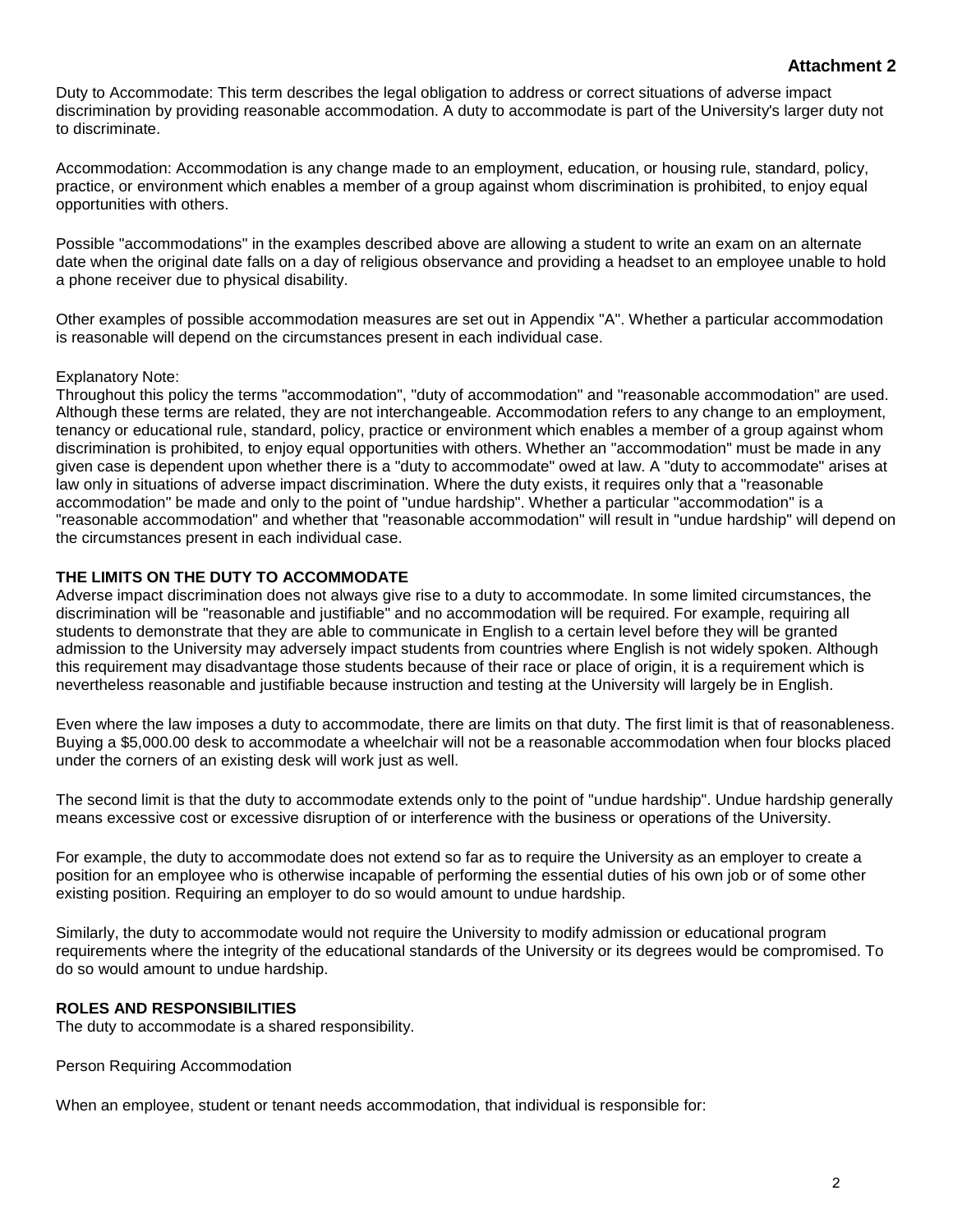#### **Attachment 2**

Duty to Accommodate: This term describes the legal obligation to address or correct situations of adverse impact discrimination by providing reasonable accommodation. A duty to accommodate is part of the University's larger duty not to discriminate.

Accommodation: Accommodation is any change made to an employment, education, or housing rule, standard, policy, practice, or environment which enables a member of a group against whom discrimination is prohibited, to enjoy equal opportunities with others.

Possible "accommodations" in the examples described above are allowing a student to write an exam on an alternate date when the original date falls on a day of religious observance and providing a headset to an employee unable to hold a phone receiver due to physical disability.

Other examples of possible accommodation measures are set out in Appendix "A". Whether a particular accommodation is reasonable will depend on the circumstances present in each individual case.

#### Explanatory Note:

Throughout this policy the terms "accommodation", "duty of accommodation" and "reasonable accommodation" are used. Although these terms are related, they are not interchangeable. Accommodation refers to any change to an employment, tenancy or educational rule, standard, policy, practice or environment which enables a member of a group against whom discrimination is prohibited, to enjoy equal opportunities with others. Whether an "accommodation" must be made in any given case is dependent upon whether there is a "duty to accommodate" owed at law. A "duty to accommodate" arises at law only in situations of adverse impact discrimination. Where the duty exists, it requires only that a "reasonable accommodation" be made and only to the point of "undue hardship". Whether a particular "accommodation" is a "reasonable accommodation" and whether that "reasonable accommodation" will result in "undue hardship" will depend on the circumstances present in each individual case.

#### **THE LIMITS ON THE DUTY TO ACCOMMODATE**

Adverse impact discrimination does not always give rise to a duty to accommodate. In some limited circumstances, the discrimination will be "reasonable and justifiable" and no accommodation will be required. For example, requiring all students to demonstrate that they are able to communicate in English to a certain level before they will be granted admission to the University may adversely impact students from countries where English is not widely spoken. Although this requirement may disadvantage those students because of their race or place of origin, it is a requirement which is nevertheless reasonable and justifiable because instruction and testing at the University will largely be in English.

Even where the law imposes a duty to accommodate, there are limits on that duty. The first limit is that of reasonableness. Buying a \$5,000.00 desk to accommodate a wheelchair will not be a reasonable accommodation when four blocks placed under the corners of an existing desk will work just as well.

The second limit is that the duty to accommodate extends only to the point of "undue hardship". Undue hardship generally means excessive cost or excessive disruption of or interference with the business or operations of the University.

For example, the duty to accommodate does not extend so far as to require the University as an employer to create a position for an employee who is otherwise incapable of performing the essential duties of his own job or of some other existing position. Requiring an employer to do so would amount to undue hardship.

Similarly, the duty to accommodate would not require the University to modify admission or educational program requirements where the integrity of the educational standards of the University or its degrees would be compromised. To do so would amount to undue hardship.

#### **ROLES AND RESPONSIBILITIES**

The duty to accommodate is a shared responsibility.

Person Requiring Accommodation

When an employee, student or tenant needs accommodation, that individual is responsible for: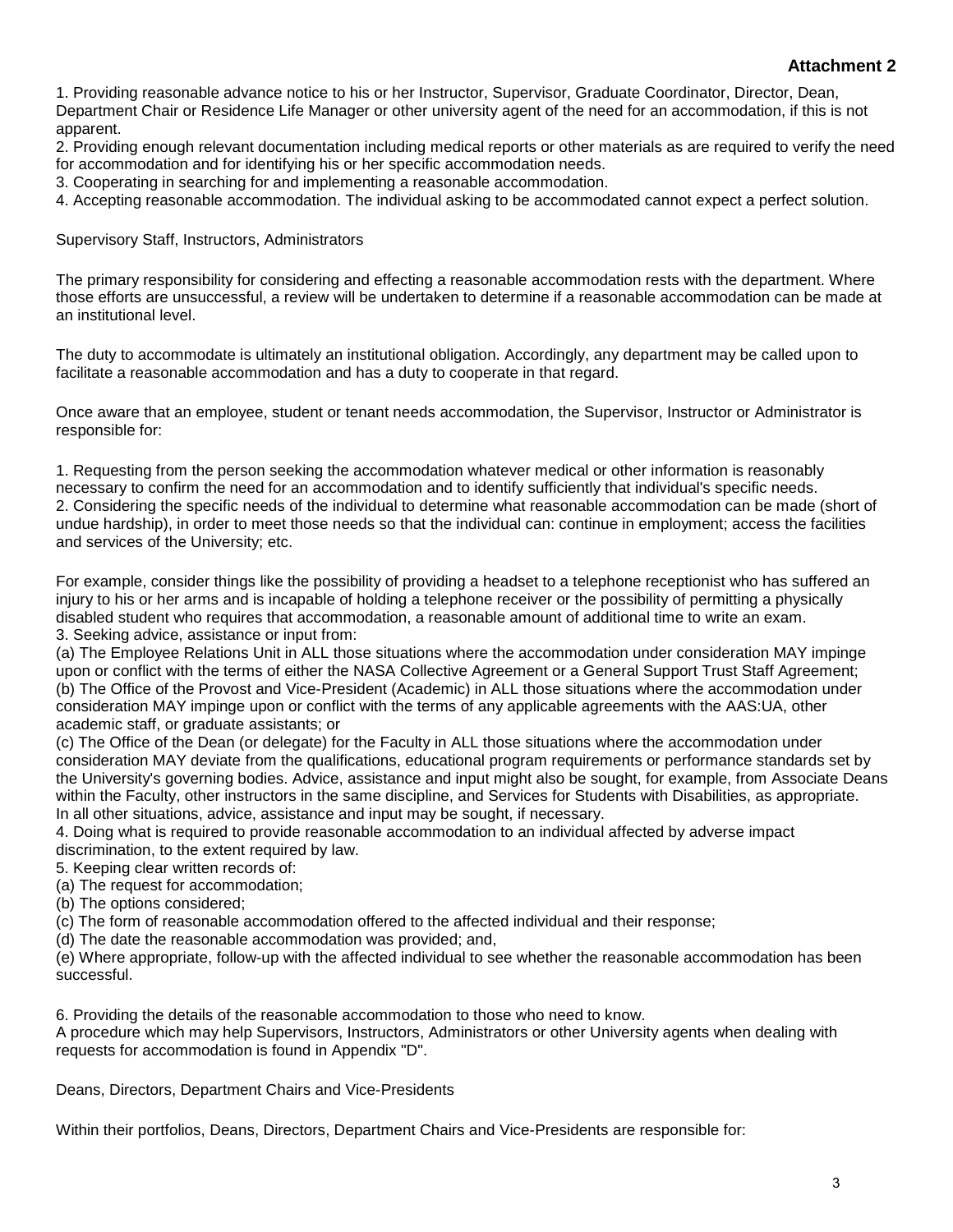#### **Attachment 2**

1. Providing reasonable advance notice to his or her Instructor, Supervisor, Graduate Coordinator, Director, Dean, Department Chair or Residence Life Manager or other university agent of the need for an accommodation, if this is not apparent.

2. Providing enough relevant documentation including medical reports or other materials as are required to verify the need for accommodation and for identifying his or her specific accommodation needs.

3. Cooperating in searching for and implementing a reasonable accommodation.

4. Accepting reasonable accommodation. The individual asking to be accommodated cannot expect a perfect solution.

Supervisory Staff, Instructors, Administrators

The primary responsibility for considering and effecting a reasonable accommodation rests with the department. Where those efforts are unsuccessful, a review will be undertaken to determine if a reasonable accommodation can be made at an institutional level.

The duty to accommodate is ultimately an institutional obligation. Accordingly, any department may be called upon to facilitate a reasonable accommodation and has a duty to cooperate in that regard.

Once aware that an employee, student or tenant needs accommodation, the Supervisor, Instructor or Administrator is responsible for:

1. Requesting from the person seeking the accommodation whatever medical or other information is reasonably necessary to confirm the need for an accommodation and to identify sufficiently that individual's specific needs. 2. Considering the specific needs of the individual to determine what reasonable accommodation can be made (short of undue hardship), in order to meet those needs so that the individual can: continue in employment; access the facilities and services of the University; etc.

For example, consider things like the possibility of providing a headset to a telephone receptionist who has suffered an injury to his or her arms and is incapable of holding a telephone receiver or the possibility of permitting a physically disabled student who requires that accommodation, a reasonable amount of additional time to write an exam. 3. Seeking advice, assistance or input from:

(a) The Employee Relations Unit in ALL those situations where the accommodation under consideration MAY impinge upon or conflict with the terms of either the NASA Collective Agreement or a General Support Trust Staff Agreement; (b) The Office of the Provost and Vice-President (Academic) in ALL those situations where the accommodation under consideration MAY impinge upon or conflict with the terms of any applicable agreements with the AAS:UA, other academic staff, or graduate assistants; or

(c) The Office of the Dean (or delegate) for the Faculty in ALL those situations where the accommodation under consideration MAY deviate from the qualifications, educational program requirements or performance standards set by the University's governing bodies. Advice, assistance and input might also be sought, for example, from Associate Deans within the Faculty, other instructors in the same discipline, and Services for Students with Disabilities, as appropriate. In all other situations, advice, assistance and input may be sought, if necessary.

4. Doing what is required to provide reasonable accommodation to an individual affected by adverse impact discrimination, to the extent required by law.

5. Keeping clear written records of:

(a) The request for accommodation;

(b) The options considered;

(c) The form of reasonable accommodation offered to the affected individual and their response;

(d) The date the reasonable accommodation was provided; and,

(e) Where appropriate, follow-up with the affected individual to see whether the reasonable accommodation has been successful.

6. Providing the details of the reasonable accommodation to those who need to know.

A procedure which may help Supervisors, Instructors, Administrators or other University agents when dealing with requests for accommodation is found in Appendix "D".

Deans, Directors, Department Chairs and Vice-Presidents

Within their portfolios, Deans, Directors, Department Chairs and Vice-Presidents are responsible for: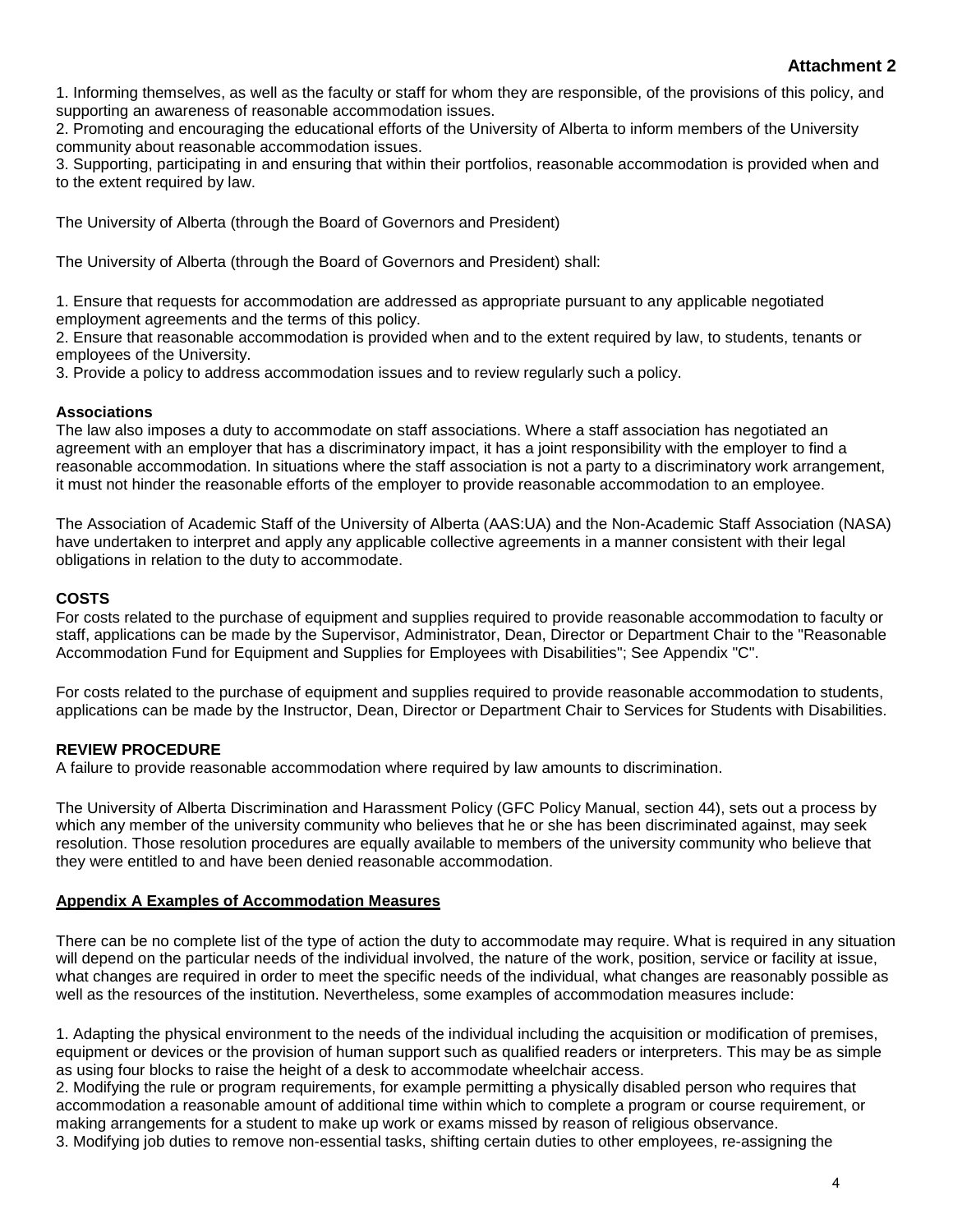1. Informing themselves, as well as the faculty or staff for whom they are responsible, of the provisions of this policy, and supporting an awareness of reasonable accommodation issues.

2. Promoting and encouraging the educational efforts of the University of Alberta to inform members of the University community about reasonable accommodation issues.

3. Supporting, participating in and ensuring that within their portfolios, reasonable accommodation is provided when and to the extent required by law.

The University of Alberta (through the Board of Governors and President)

The University of Alberta (through the Board of Governors and President) shall:

1. Ensure that requests for accommodation are addressed as appropriate pursuant to any applicable negotiated employment agreements and the terms of this policy.

2. Ensure that reasonable accommodation is provided when and to the extent required by law, to students, tenants or employees of the University.

3. Provide a policy to address accommodation issues and to review regularly such a policy.

#### **Associations**

The law also imposes a duty to accommodate on staff associations. Where a staff association has negotiated an agreement with an employer that has a discriminatory impact, it has a joint responsibility with the employer to find a reasonable accommodation. In situations where the staff association is not a party to a discriminatory work arrangement, it must not hinder the reasonable efforts of the employer to provide reasonable accommodation to an employee.

The Association of Academic Staff of the University of Alberta (AAS:UA) and the Non-Academic Staff Association (NASA) have undertaken to interpret and apply any applicable collective agreements in a manner consistent with their legal obligations in relation to the duty to accommodate.

#### **COSTS**

For costs related to the purchase of equipment and supplies required to provide reasonable accommodation to faculty or staff, applications can be made by the Supervisor, Administrator, Dean, Director or Department Chair to the "Reasonable Accommodation Fund for Equipment and Supplies for Employees with Disabilities"; See Appendix "C".

For costs related to the purchase of equipment and supplies required to provide reasonable accommodation to students, applications can be made by the Instructor, Dean, Director or Department Chair to Services for Students with Disabilities.

#### **REVIEW PROCEDURE**

A failure to provide reasonable accommodation where required by law amounts to discrimination.

The University of Alberta Discrimination and Harassment Policy (GFC Policy Manual, section 44), sets out a process by which any member of the university community who believes that he or she has been discriminated against, may seek resolution. Those resolution procedures are equally available to members of the university community who believe that they were entitled to and have been denied reasonable accommodation.

#### **[Appendix A Examples of Accommodation Measures](http://www.uofaweb.ualberta.ca/gfcpolicymanual/content.cfm?ID_page=37660§ion=38766&contentshow=section)**

There can be no complete list of the type of action the duty to accommodate may require. What is required in any situation will depend on the particular needs of the individual involved, the nature of the work, position, service or facility at issue, what changes are required in order to meet the specific needs of the individual, what changes are reasonably possible as well as the resources of the institution. Nevertheless, some examples of accommodation measures include:

1. Adapting the physical environment to the needs of the individual including the acquisition or modification of premises, equipment or devices or the provision of human support such as qualified readers or interpreters. This may be as simple as using four blocks to raise the height of a desk to accommodate wheelchair access.

2. Modifying the rule or program requirements, for example permitting a physically disabled person who requires that accommodation a reasonable amount of additional time within which to complete a program or course requirement, or making arrangements for a student to make up work or exams missed by reason of religious observance. 3. Modifying job duties to remove non-essential tasks, shifting certain duties to other employees, re-assigning the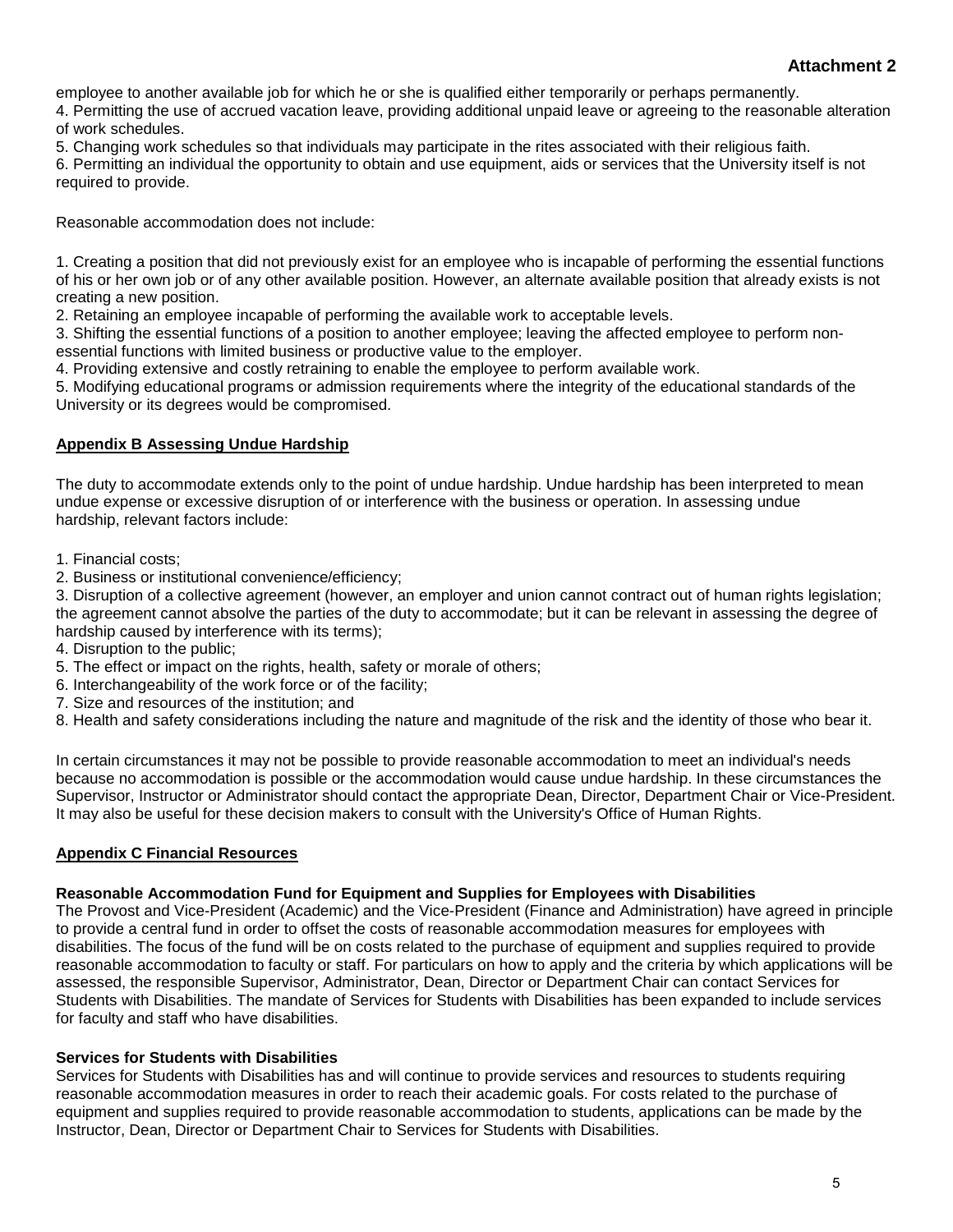#### **Attachment 2**

employee to another available job for which he or she is qualified either temporarily or perhaps permanently.

4. Permitting the use of accrued vacation leave, providing additional unpaid leave or agreeing to the reasonable alteration of work schedules.

5. Changing work schedules so that individuals may participate in the rites associated with their religious faith.

6. Permitting an individual the opportunity to obtain and use equipment, aids or services that the University itself is not required to provide.

Reasonable accommodation does not include:

1. Creating a position that did not previously exist for an employee who is incapable of performing the essential functions of his or her own job or of any other available position. However, an alternate available position that already exists is not creating a new position.

2. Retaining an employee incapable of performing the available work to acceptable levels.

3. Shifting the essential functions of a position to another employee; leaving the affected employee to perform nonessential functions with limited business or productive value to the employer.

4. Providing extensive and costly retraining to enable the employee to perform available work.

5. Modifying educational programs or admission requirements where the integrity of the educational standards of the University or its degrees would be compromised.

#### **[Appendix B Assessing Undue Hardship](http://www.uofaweb.ualberta.ca/gfcpolicymanual/content.cfm?ID_page=37660§ion=38767&contentshow=section)**

The duty to accommodate extends only to the point of undue hardship. Undue hardship has been interpreted to mean undue expense or excessive disruption of or interference with the business or operation. In assessing undue hardship, relevant factors include:

- 1. Financial costs;
- 2. Business or institutional convenience/efficiency;

3. Disruption of a collective agreement (however, an employer and union cannot contract out of human rights legislation; the agreement cannot absolve the parties of the duty to accommodate; but it can be relevant in assessing the degree of hardship caused by interference with its terms);

- 4. Disruption to the public;
- 5. The effect or impact on the rights, health, safety or morale of others;
- 6. Interchangeability of the work force or of the facility;
- 7. Size and resources of the institution; and
- 8. Health and safety considerations including the nature and magnitude of the risk and the identity of those who bear it.

In certain circumstances it may not be possible to provide reasonable accommodation to meet an individual's needs because no accommodation is possible or the accommodation would cause undue hardship. In these circumstances the Supervisor, Instructor or Administrator should contact the appropriate Dean, Director, Department Chair or Vice-President. It may also be useful for these decision makers to consult with the University's Office of Human Rights.

#### **[Appendix C Financial Resources](http://www.uofaweb.ualberta.ca/gfcpolicymanual/content.cfm?ID_page=37660§ion=38768&contentshow=section)**

#### **Reasonable Accommodation Fund for Equipment and Supplies for Employees with Disabilities**

The Provost and Vice-President (Academic) and the Vice-President (Finance and Administration) have agreed in principle to provide a central fund in order to offset the costs of reasonable accommodation measures for employees with disabilities. The focus of the fund will be on costs related to the purchase of equipment and supplies required to provide reasonable accommodation to faculty or staff. For particulars on how to apply and the criteria by which applications will be assessed, the responsible Supervisor, Administrator, Dean, Director or Department Chair can contact Services for Students with Disabilities. The mandate of Services for Students with Disabilities has been expanded to include services for faculty and staff who have disabilities.

#### **Services for Students with Disabilities**

Services for Students with Disabilities has and will continue to provide services and resources to students requiring reasonable accommodation measures in order to reach their academic goals. For costs related to the purchase of equipment and supplies required to provide reasonable accommodation to students, applications can be made by the Instructor, Dean, Director or Department Chair to Services for Students with Disabilities.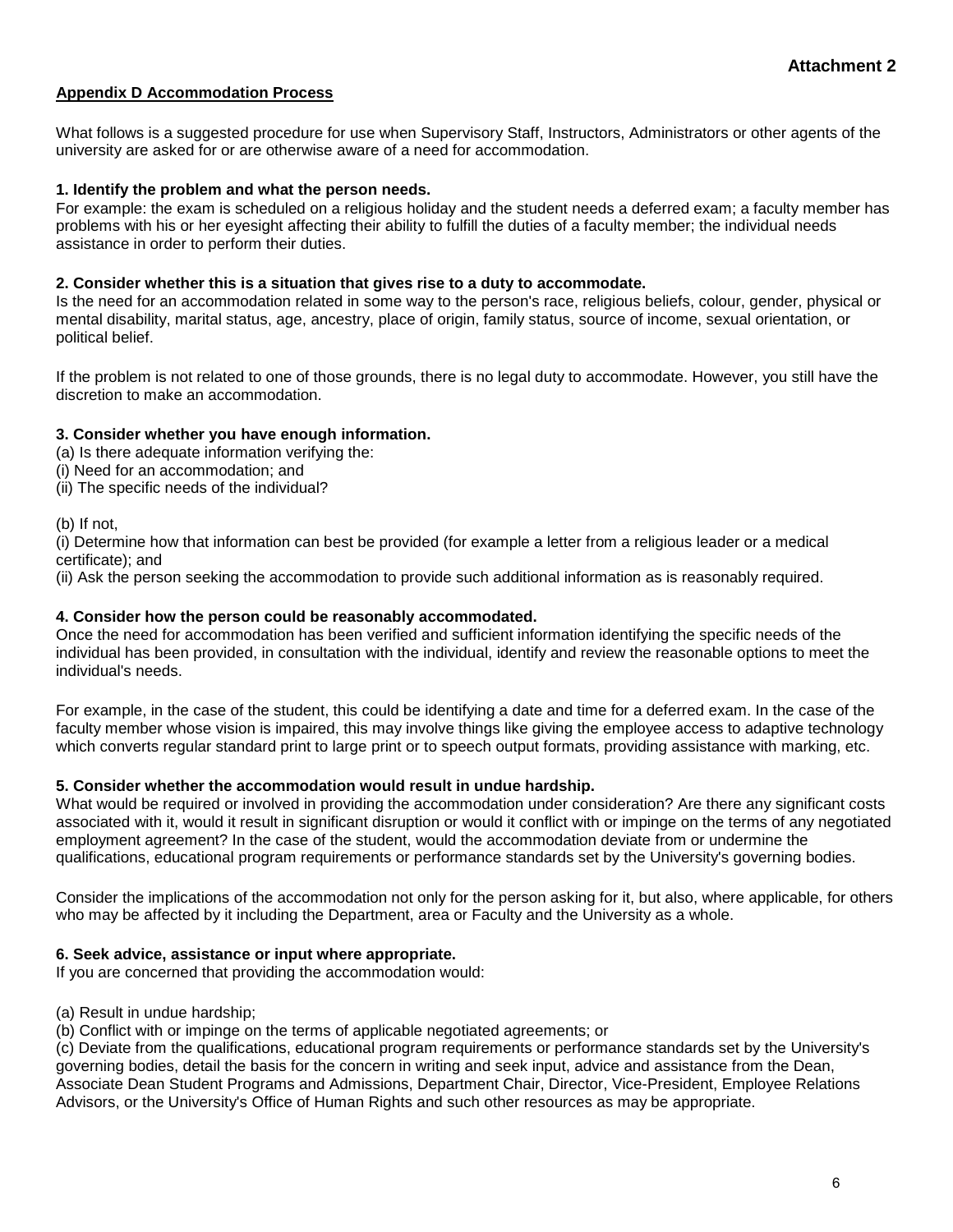#### **[Appendix D Accommodation Process](http://www.uofaweb.ualberta.ca/gfcpolicymanual/content.cfm?ID_page=37660§ion=38769&contentshow=section)**

What follows is a suggested procedure for use when Supervisory Staff, Instructors, Administrators or other agents of the university are asked for or are otherwise aware of a need for accommodation.

#### **1. Identify the problem and what the person needs.**

For example: the exam is scheduled on a religious holiday and the student needs a deferred exam; a faculty member has problems with his or her eyesight affecting their ability to fulfill the duties of a faculty member; the individual needs assistance in order to perform their duties.

#### **2. Consider whether this is a situation that gives rise to a duty to accommodate.**

Is the need for an accommodation related in some way to the person's race, religious beliefs, colour, gender, physical or mental disability, marital status, age, ancestry, place of origin, family status, source of income, sexual orientation, or political belief.

If the problem is not related to one of those grounds, there is no legal duty to accommodate. However, you still have the discretion to make an accommodation.

#### **3. Consider whether you have enough information.**

- (a) Is there adequate information verifying the:
- (i) Need for an accommodation; and
- (ii) The specific needs of the individual?

(b) If not,

(i) Determine how that information can best be provided (for example a letter from a religious leader or a medical certificate); and

(ii) Ask the person seeking the accommodation to provide such additional information as is reasonably required.

#### **4. Consider how the person could be reasonably accommodated.**

Once the need for accommodation has been verified and sufficient information identifying the specific needs of the individual has been provided, in consultation with the individual, identify and review the reasonable options to meet the individual's needs.

For example, in the case of the student, this could be identifying a date and time for a deferred exam. In the case of the faculty member whose vision is impaired, this may involve things like giving the employee access to adaptive technology which converts regular standard print to large print or to speech output formats, providing assistance with marking, etc.

#### **5. Consider whether the accommodation would result in undue hardship.**

What would be required or involved in providing the accommodation under consideration? Are there any significant costs associated with it, would it result in significant disruption or would it conflict with or impinge on the terms of any negotiated employment agreement? In the case of the student, would the accommodation deviate from or undermine the qualifications, educational program requirements or performance standards set by the University's governing bodies.

Consider the implications of the accommodation not only for the person asking for it, but also, where applicable, for others who may be affected by it including the Department, area or Faculty and the University as a whole.

#### **6. Seek advice, assistance or input where appropriate.**

If you are concerned that providing the accommodation would:

(a) Result in undue hardship;

(b) Conflict with or impinge on the terms of applicable negotiated agreements; or

(c) Deviate from the qualifications, educational program requirements or performance standards set by the University's governing bodies, detail the basis for the concern in writing and seek input, advice and assistance from the Dean, Associate Dean Student Programs and Admissions, Department Chair, Director, Vice-President, Employee Relations Advisors, or the University's Office of Human Rights and such other resources as may be appropriate.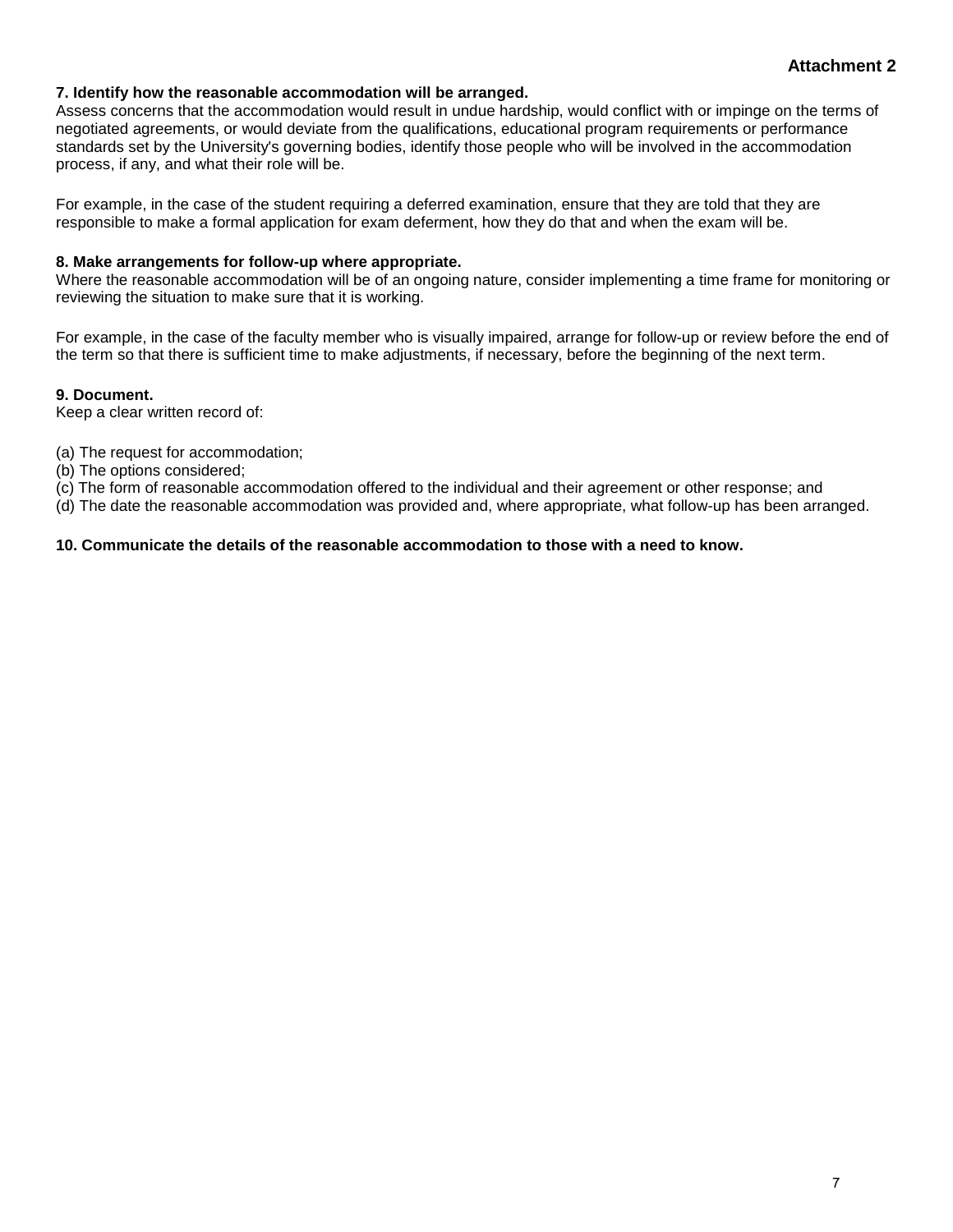#### **7. Identify how the reasonable accommodation will be arranged.**

Assess concerns that the accommodation would result in undue hardship, would conflict with or impinge on the terms of negotiated agreements, or would deviate from the qualifications, educational program requirements or performance standards set by the University's governing bodies, identify those people who will be involved in the accommodation process, if any, and what their role will be.

For example, in the case of the student requiring a deferred examination, ensure that they are told that they are responsible to make a formal application for exam deferment, how they do that and when the exam will be.

#### **8. Make arrangements for follow-up where appropriate.**

Where the reasonable accommodation will be of an ongoing nature, consider implementing a time frame for monitoring or reviewing the situation to make sure that it is working.

For example, in the case of the faculty member who is visually impaired, arrange for follow-up or review before the end of the term so that there is sufficient time to make adjustments, if necessary, before the beginning of the next term.

#### **9. Document.**

Keep a clear written record of:

(a) The request for accommodation;

(b) The options considered;

(c) The form of reasonable accommodation offered to the individual and their agreement or other response; and

(d) The date the reasonable accommodation was provided and, where appropriate, what follow-up has been arranged.

#### **10. Communicate the details of the reasonable accommodation to those with a need to know.**